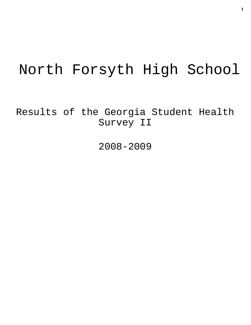# North Forsyth High School

Results of the Georgia Student Health Survey II

2008-2009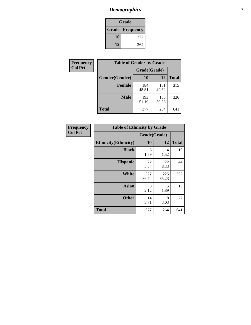# *Demographics* **2**

| Grade                    |     |  |  |  |
|--------------------------|-----|--|--|--|
| <b>Grade   Frequency</b> |     |  |  |  |
| 10                       | 377 |  |  |  |
| 12                       | 264 |  |  |  |

| Frequency      | <b>Table of Gender by Grade</b> |              |              |              |  |  |
|----------------|---------------------------------|--------------|--------------|--------------|--|--|
| <b>Col Pct</b> |                                 | Grade(Grade) |              |              |  |  |
|                | Gender(Gender)                  | 10           | 12           | <b>Total</b> |  |  |
|                | <b>Female</b>                   | 184<br>48.81 | 131<br>49.62 | 315          |  |  |
|                | <b>Male</b>                     | 193<br>51.19 | 133<br>50.38 | 326          |  |  |
|                | <b>Total</b>                    | 377          | 264          | 641          |  |  |

| Frequency<br>Col Pct |
|----------------------|
|                      |

| <b>Table of Ethnicity by Grade</b> |              |              |              |  |  |  |
|------------------------------------|--------------|--------------|--------------|--|--|--|
|                                    | Grade(Grade) |              |              |  |  |  |
| <b>Ethnicity</b> (Ethnicity)       | 10           | 12           | <b>Total</b> |  |  |  |
| <b>Black</b>                       | 6<br>1.59    | 4<br>1.52    | 10           |  |  |  |
| <b>Hispanic</b>                    | 22<br>5.84   | 22<br>8.33   | 44           |  |  |  |
| <b>White</b>                       | 327<br>86.74 | 225<br>85.23 | 552          |  |  |  |
| <b>Asian</b>                       | 8<br>2.12    | 5<br>1.89    | 13           |  |  |  |
| <b>Other</b>                       | 14<br>3.71   | 8<br>3.03    | 22           |  |  |  |
| <b>Total</b>                       | 377          | 264          | 641          |  |  |  |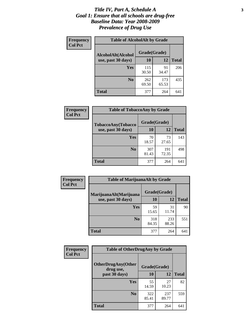### *Title IV, Part A, Schedule A* **3** *Goal 1: Ensure that all schools are drug-free Baseline Data: Year 2008-2009 Prevalence of Drug Use*

| Frequency<br><b>Col Pct</b> | <b>Table of AlcoholAlt by Grade</b> |              |              |              |  |  |
|-----------------------------|-------------------------------------|--------------|--------------|--------------|--|--|
|                             | AlcoholAlt(Alcohol                  | Grade(Grade) |              |              |  |  |
|                             | use, past 30 days)                  | <b>10</b>    | 12           | <b>Total</b> |  |  |
|                             | Yes                                 | 115<br>30.50 | 91<br>34.47  | 206          |  |  |
|                             | N <sub>0</sub>                      | 262<br>69.50 | 173<br>65.53 | 435          |  |  |
|                             | Total                               | 377          | 264          | 641          |  |  |

| Frequency      | <b>Table of TobaccoAny by Grade</b> |              |              |              |  |
|----------------|-------------------------------------|--------------|--------------|--------------|--|
| <b>Col Pct</b> | TobaccoAny(Tobacco                  | Grade(Grade) |              |              |  |
|                | use, past 30 days)                  | <b>10</b>    | 12           | <b>Total</b> |  |
|                | Yes                                 | 70<br>18.57  | 73<br>27.65  | 143          |  |
|                | N <sub>0</sub>                      | 307<br>81.43 | 191<br>72.35 | 498          |  |
|                | Total                               | 377          | 264          | 641          |  |

| Frequency<br><b>Col Pct</b> | <b>Table of MarijuanaAlt by Grade</b> |              |              |              |  |
|-----------------------------|---------------------------------------|--------------|--------------|--------------|--|
|                             | MarijuanaAlt(Marijuana                | Grade(Grade) |              |              |  |
|                             | use, past 30 days)                    | 10           | 12           | <b>Total</b> |  |
|                             | <b>Yes</b>                            | 59<br>15.65  | 31<br>11.74  | 90           |  |
|                             | N <sub>0</sub>                        | 318<br>84.35 | 233<br>88.26 | 551          |  |
|                             | <b>Total</b>                          | 377          | 264          | 641          |  |

| <b>Frequency</b> | <b>Table of OtherDrugAny by Grade</b>                  |              |              |              |  |
|------------------|--------------------------------------------------------|--------------|--------------|--------------|--|
| <b>Col Pct</b>   | <b>OtherDrugAny(Other</b><br>Grade(Grade)<br>drug use, |              |              |              |  |
|                  | past 30 days)                                          | 10           | 12           | <b>Total</b> |  |
|                  | Yes                                                    | 55<br>14.59  | 27<br>10.23  | 82           |  |
|                  | N <sub>0</sub>                                         | 322<br>85.41 | 237<br>89.77 | 559          |  |
|                  | <b>Total</b>                                           | 377          | 264          | 641          |  |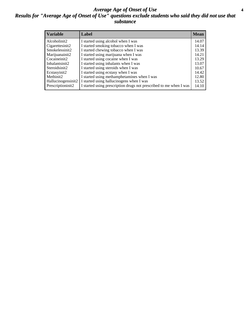### *Average Age of Onset of Use* **4** *Results for "Average Age of Onset of Use" questions exclude students who said they did not use that substance*

| <b>Variable</b>    | Label                                                              | <b>Mean</b> |
|--------------------|--------------------------------------------------------------------|-------------|
| Alcoholinit2       | I started using alcohol when I was                                 | 14.07       |
| Cigarettesinit2    | I started smoking tobacco when I was                               | 14.14       |
| Smokelessinit2     | I started chewing tobacco when I was                               | 13.39       |
| Marijuanainit2     | I started using marijuana when I was                               | 14.21       |
| Cocaineinit2       | I started using cocaine when I was                                 | 13.29       |
| Inhalantsinit2     | I started using inhalants when I was                               | 13.07       |
| Steroidsinit2      | I started using steroids when I was                                | 10.67       |
| Ecstasyinit2       | I started using ecstasy when I was                                 | 14.42       |
| Methinit2          | I started using methamphetamines when I was                        | 12.80       |
| Hallucinogensinit2 | I started using hallucinogens when I was                           | 13.52       |
| Prescriptioninit2  | I started using prescription drugs not prescribed to me when I was | 14.10       |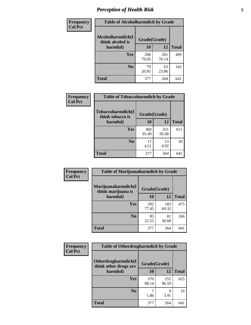# *Perception of Health Risk* **5**

| Frequency      | <b>Table of Alcoholharmdich by Grade</b> |              |              |              |  |
|----------------|------------------------------------------|--------------|--------------|--------------|--|
| <b>Col Pct</b> | Alcoholharmdich(I<br>think alcohol is    | Grade(Grade) |              |              |  |
|                | harmful)                                 | 10           | 12           | <b>Total</b> |  |
|                | Yes                                      | 298<br>79.05 | 201<br>76.14 | 499          |  |
|                | N <sub>0</sub>                           | 79<br>20.95  | 63<br>23.86  | 142          |  |
|                | <b>Total</b>                             | 377          | 264          | 641          |  |

| Frequency      | <b>Table of Tobaccoharmdich by Grade</b> |              |              |              |  |
|----------------|------------------------------------------|--------------|--------------|--------------|--|
| <b>Col Pct</b> | Tobaccoharmdich(I<br>think tobacco is    | Grade(Grade) |              |              |  |
|                | harmful)                                 | 10           | 12           | <b>Total</b> |  |
|                | <b>Yes</b>                               | 360<br>95.49 | 251<br>95.08 | 611          |  |
|                | N <sub>0</sub>                           | 17<br>4.51   | 13<br>4.92   | 30           |  |
|                | <b>Total</b>                             | 377          | 264          | 641          |  |

| Frequency      | <b>Table of Marijuanaharmdich by Grade</b>                |              |              |              |  |
|----------------|-----------------------------------------------------------|--------------|--------------|--------------|--|
| <b>Col Pct</b> | Marijuanaharmdich(I<br>Grade(Grade)<br>think marijuana is |              |              |              |  |
|                | harmful)                                                  | 10           | 12           | <b>Total</b> |  |
|                | Yes                                                       | 292<br>77.45 | 183<br>69.32 | 475          |  |
|                | N <sub>0</sub>                                            | 85<br>22.55  | 81<br>30.68  | 166          |  |
|                | <b>Total</b>                                              | 377          | 264          | 641          |  |

| <b>Frequency</b> | <b>Table of Otherdrugharmdich by Grade</b>                   |              |              |              |  |  |  |  |
|------------------|--------------------------------------------------------------|--------------|--------------|--------------|--|--|--|--|
| <b>Col Pct</b>   | Otherdrugharmdich(I<br>Grade(Grade)<br>think other drugs are |              |              |              |  |  |  |  |
|                  | harmful)                                                     | 10           | 12           | <b>Total</b> |  |  |  |  |
|                  | <b>Yes</b>                                                   | 370<br>98.14 | 255<br>96.59 | 625          |  |  |  |  |
|                  | N <sub>0</sub>                                               | 1.86         | 9<br>3.41    | 16           |  |  |  |  |
|                  | <b>Total</b>                                                 | 377          | 264          | 641          |  |  |  |  |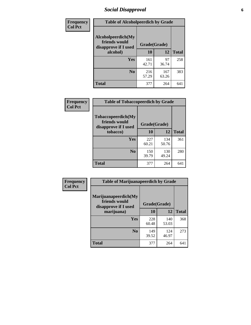# *Social Disapproval* **6**

| Frequency      | <b>Table of Alcoholpeerdich by Grade</b>                    |              |              |     |
|----------------|-------------------------------------------------------------|--------------|--------------|-----|
| <b>Col Pct</b> | Alcoholpeerdich(My<br>friends would<br>disapprove if I used | Grade(Grade) |              |     |
|                | alcohol)                                                    | 10           | <b>Total</b> |     |
|                | <b>Yes</b>                                                  | 161<br>42.71 | 97<br>36.74  | 258 |
|                | N <sub>0</sub>                                              | 216<br>57.29 | 167<br>63.26 | 383 |
|                | Total                                                       | 377          | 264          | 641 |

| <b>Frequency</b> |
|------------------|
| <b>Col Pct</b>   |

| <b>Table of Tobaccopeerdich by Grade</b>                    |              |              |              |  |  |  |  |
|-------------------------------------------------------------|--------------|--------------|--------------|--|--|--|--|
| Tobaccopeerdich(My<br>friends would<br>disapprove if I used | Grade(Grade) |              |              |  |  |  |  |
| tobacco)                                                    | 10           | 12           | <b>Total</b> |  |  |  |  |
| Yes                                                         | 227<br>60.21 | 134<br>50.76 | 361          |  |  |  |  |
| N <sub>0</sub>                                              | 150<br>39.79 | 130<br>49.24 | 280          |  |  |  |  |
| <b>Total</b>                                                | 377          | 264          | 641          |  |  |  |  |

| Frequency      | <b>Table of Marijuanapeerdich by Grade</b>                    |              |              |              |  |  |  |  |
|----------------|---------------------------------------------------------------|--------------|--------------|--------------|--|--|--|--|
| <b>Col Pct</b> | Marijuanapeerdich(My<br>friends would<br>disapprove if I used | Grade(Grade) |              |              |  |  |  |  |
|                | marijuana)                                                    | 10           | 12           | <b>Total</b> |  |  |  |  |
|                | <b>Yes</b>                                                    | 228<br>60.48 | 140<br>53.03 | 368          |  |  |  |  |
|                | N <sub>0</sub>                                                | 149<br>39.52 | 124<br>46.97 | 273          |  |  |  |  |
|                | <b>Total</b>                                                  | 377          | 264          | 641          |  |  |  |  |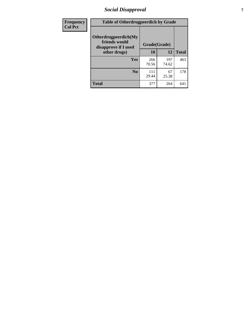# *Social Disapproval* **7**

| Frequency      | <b>Table of Otherdrugpeerdich by Grade</b>                    |              |              |              |  |  |  |  |
|----------------|---------------------------------------------------------------|--------------|--------------|--------------|--|--|--|--|
| <b>Col Pct</b> | Otherdrugpeerdich(My<br>friends would<br>disapprove if I used | Grade(Grade) |              |              |  |  |  |  |
|                | other drugs)                                                  | 10           | 12           | <b>Total</b> |  |  |  |  |
|                | <b>Yes</b>                                                    | 266<br>70.56 | 197<br>74.62 | 463          |  |  |  |  |
|                | N <sub>0</sub>                                                | 111<br>29.44 | 67<br>25.38  | 178          |  |  |  |  |
|                | <b>Total</b>                                                  | 377          | 264          | 641          |  |  |  |  |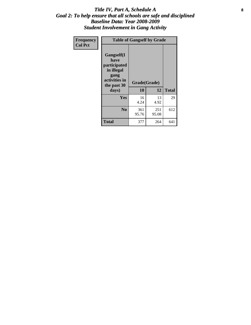### Title IV, Part A, Schedule A **8** *Goal 2: To help ensure that all schools are safe and disciplined Baseline Data: Year 2008-2009 Student Involvement in Gang Activity*

| Frequency      | <b>Table of Gangself by Grade</b>                                                                 |                    |              |              |
|----------------|---------------------------------------------------------------------------------------------------|--------------------|--------------|--------------|
| <b>Col Pct</b> | Gangself(I<br>have<br>participated<br>in illegal<br>gang<br>activities in<br>the past 30<br>days) | Grade(Grade)<br>10 | 12           | <b>Total</b> |
|                | Yes                                                                                               | 16<br>4.24         | 13<br>4.92   | 29           |
|                | N <sub>0</sub>                                                                                    | 361<br>95.76       | 251<br>95.08 | 612          |
|                | <b>Total</b>                                                                                      | 377                | 264          | 641          |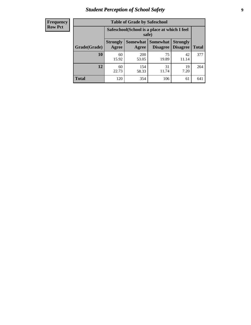# *Student Perception of School Safety* **9**

| <b>Frequency</b><br>Row Pct |
|-----------------------------|
|                             |

| <b>Table of Grade by Safeschool</b> |                          |                                                                                                   |             |             |     |  |  |
|-------------------------------------|--------------------------|---------------------------------------------------------------------------------------------------|-------------|-------------|-----|--|--|
|                                     |                          | Safeschool (School is a place at which I feel<br>safe)                                            |             |             |     |  |  |
| Grade(Grade)                        | <b>Strongly</b><br>Agree | Somewhat  <br>Somewhat<br><b>Strongly</b><br><b>Disagree</b><br>Disagree<br><b>Total</b><br>Agree |             |             |     |  |  |
| 10                                  | 60<br>15.92              | 200<br>53.05                                                                                      | 75<br>19.89 | 42<br>11.14 | 377 |  |  |
| 12                                  | 60<br>22.73              | 154<br>58.33                                                                                      | 31<br>11.74 | 19<br>7.20  | 264 |  |  |
| <b>Total</b>                        | 120                      | 354                                                                                               | 106         | 61          | 641 |  |  |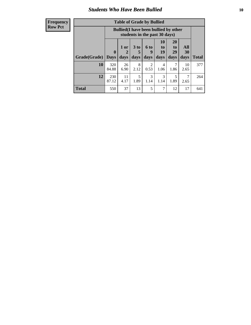### *Students Who Have Been Bullied* **10**

| <b>Frequency</b> |  |
|------------------|--|
| <b>Row Pct</b>   |  |

| <b>Table of Grade by Bullied</b> |                             |                                                                               |                              |                        |                        |                        |                                 |              |
|----------------------------------|-----------------------------|-------------------------------------------------------------------------------|------------------------------|------------------------|------------------------|------------------------|---------------------------------|--------------|
|                                  |                             | <b>Bullied</b> (I have been bullied by other<br>students in the past 30 days) |                              |                        |                        |                        |                                 |              |
| Grade(Grade)                     | $\mathbf{0}$<br><b>Days</b> | 1 or<br>2<br>days                                                             | 3 <sub>to</sub><br>5<br>days | 6 to<br>9<br>days      | 10<br>to<br>19<br>days | 20<br>to<br>29<br>days | <b>All</b><br><b>30</b><br>days | <b>Total</b> |
| 10                               | 320<br>84.88                | 26<br>6.90                                                                    | 8<br>2.12                    | $\overline{2}$<br>0.53 | 4<br>1.06              | 7<br>1.86              | 10<br>2.65                      | 377          |
| 12                               | 230<br>87.12                | 11<br>4.17                                                                    | 5<br>1.89                    | 3<br>1.14              | 3<br>1.14              | 5<br>1.89              | 2.65                            | 264          |
| <b>Total</b>                     | 550                         | 37                                                                            | 13                           | 5                      | 7                      | 12                     | 17                              | 641          |

 $\blacksquare$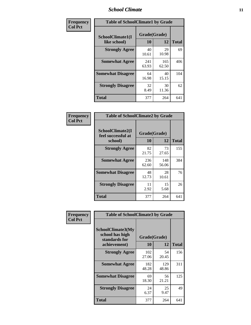### *School Climate* **11**

| Frequency      | <b>Table of SchoolClimate1 by Grade</b> |                    |              |              |  |  |  |  |
|----------------|-----------------------------------------|--------------------|--------------|--------------|--|--|--|--|
| <b>Col Pct</b> | SchoolClimate1(I<br>like school)        | Grade(Grade)<br>10 | 12           | <b>Total</b> |  |  |  |  |
|                | <b>Strongly Agree</b>                   | 40<br>10.61        | 29<br>10.98  | 69           |  |  |  |  |
|                | <b>Somewhat Agree</b>                   | 241<br>63.93       | 165<br>62.50 | 406          |  |  |  |  |
|                | <b>Somewhat Disagree</b>                | 64<br>16.98        | 40<br>15.15  | 104          |  |  |  |  |
|                | <b>Strongly Disagree</b>                | 32<br>8.49         | 30<br>11.36  | 62           |  |  |  |  |
|                | Total                                   | 377                | 264          | 641          |  |  |  |  |

| Frequency      | <b>Table of SchoolClimate2 by Grade</b>           |                    |              |              |
|----------------|---------------------------------------------------|--------------------|--------------|--------------|
| <b>Col Pct</b> | SchoolClimate2(I<br>feel successful at<br>school) | Grade(Grade)<br>10 | 12           | <b>Total</b> |
|                | <b>Strongly Agree</b>                             | 82<br>21.75        | 73<br>27.65  | 155          |
|                | <b>Somewhat Agree</b>                             | 236<br>62.60       | 148<br>56.06 | 384          |
|                | <b>Somewhat Disagree</b>                          | 48<br>12.73        | 28<br>10.61  | 76           |
|                | <b>Strongly Disagree</b>                          | 11<br>2.92         | 15<br>5.68   | 26           |
|                | <b>Total</b>                                      | 377                | 264          | 641          |

| Frequency      | <b>Table of SchoolClimate3 by Grade</b>                                      |                    |              |              |
|----------------|------------------------------------------------------------------------------|--------------------|--------------|--------------|
| <b>Col Pct</b> | <b>SchoolClimate3(My</b><br>school has high<br>standards for<br>achievement) | Grade(Grade)<br>10 | 12           | <b>Total</b> |
|                | <b>Strongly Agree</b>                                                        | 102<br>27.06       | 54<br>20.45  | 156          |
|                | <b>Somewhat Agree</b>                                                        | 182<br>48.28       | 129<br>48.86 | 311          |
|                | <b>Somewhat Disagree</b>                                                     | 69<br>18.30        | 56<br>21.21  | 125          |
|                | <b>Strongly Disagree</b>                                                     | 24<br>6.37         | 25<br>9.47   | 49           |
|                | Total                                                                        | 377                | 264          | 641          |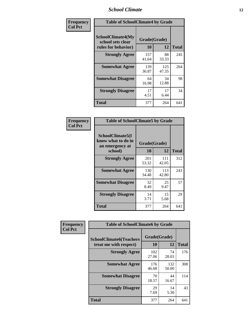### *School Climate* **12**

| Frequency      |                                                                      | <b>Table of SchoolClimate4 by Grade</b> |              |              |  |
|----------------|----------------------------------------------------------------------|-----------------------------------------|--------------|--------------|--|
| <b>Col Pct</b> | <b>SchoolClimate4(My</b><br>school sets clear<br>rules for behavior) | Grade(Grade)<br>10                      | 12           | <b>Total</b> |  |
|                | <b>Strongly Agree</b>                                                | 157<br>41.64                            | 88<br>33.33  | 245          |  |
|                | <b>Somewhat Agree</b>                                                | 139<br>36.87                            | 125<br>47.35 | 264          |  |
|                | <b>Somewhat Disagree</b>                                             | 64<br>16.98                             | 34<br>12.88  | 98           |  |
|                | <b>Strongly Disagree</b>                                             | 17<br>4.51                              | 17<br>6.44   | 34           |  |
|                | <b>Total</b>                                                         | 377                                     | 264          | 641          |  |

| <b>Table of SchoolClimate5 by Grade</b>                   |              |              |              |  |  |
|-----------------------------------------------------------|--------------|--------------|--------------|--|--|
| SchoolClimate5(I<br>know what to do in<br>an emergency at | Grade(Grade) |              |              |  |  |
| school)                                                   | 10           | 12           | <b>Total</b> |  |  |
| <b>Strongly Agree</b>                                     | 201<br>53.32 | 111<br>42.05 | 312          |  |  |
| <b>Somewhat Agree</b>                                     | 130<br>34.48 | 113<br>42.80 | 243          |  |  |
| <b>Somewhat Disagree</b>                                  | 32<br>8.49   | 25<br>9.47   | 57           |  |  |
| <b>Strongly Disagree</b>                                  | 14<br>3.71   | 15<br>5.68   | 29           |  |  |
| Total                                                     | 377          | 264          | 641          |  |  |

| Frequency      | <b>Table of SchoolClimate6 by Grade</b>                  |                    |              |              |  |
|----------------|----------------------------------------------------------|--------------------|--------------|--------------|--|
| <b>Col Pct</b> | <b>SchoolClimate6(Teachers</b><br>treat me with respect) | Grade(Grade)<br>10 | 12           | <b>Total</b> |  |
|                | <b>Strongly Agree</b>                                    | 102<br>27.06       | 74<br>28.03  | 176          |  |
|                | <b>Somewhat Agree</b>                                    | 176<br>46.68       | 132<br>50.00 | 308          |  |
|                | <b>Somewhat Disagree</b>                                 | 70<br>18.57        | 44<br>16.67  | 114          |  |
|                | <b>Strongly Disagree</b>                                 | 29<br>7.69         | 14<br>5.30   | 43           |  |
|                | <b>Total</b>                                             | 377                | 264          | 641          |  |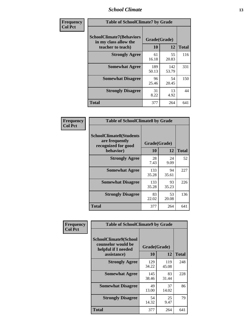### *School Climate* **13**

| Frequency      | <b>Table of SchoolClimate7 by Grade</b>                                       |                           |              |              |
|----------------|-------------------------------------------------------------------------------|---------------------------|--------------|--------------|
| <b>Col Pct</b> | <b>SchoolClimate7(Behaviors</b><br>in my class allow the<br>teacher to teach) | Grade(Grade)<br><b>10</b> | 12           | <b>Total</b> |
|                | <b>Strongly Agree</b>                                                         | 61<br>16.18               | 55<br>20.83  | 116          |
|                | <b>Somewhat Agree</b>                                                         | 189<br>50.13              | 142<br>53.79 | 331          |
|                | <b>Somewhat Disagree</b>                                                      | 96<br>25.46               | 54<br>20.45  | 150          |
|                | <b>Strongly Disagree</b>                                                      | 31<br>8.22                | 13<br>4.92   | 44           |
|                | <b>Total</b>                                                                  | 377                       | 264          | 641          |

| Frequency      | <b>Table of SchoolClimate8 by Grade</b>                                 |              |             |              |
|----------------|-------------------------------------------------------------------------|--------------|-------------|--------------|
| <b>Col Pct</b> | <b>SchoolClimate8(Students</b><br>are frequently<br>recognized for good | Grade(Grade) |             |              |
|                | behavior)                                                               | 10           | 12          | <b>Total</b> |
|                | <b>Strongly Agree</b>                                                   | 28<br>7.43   | 24<br>9.09  | 52           |
|                | <b>Somewhat Agree</b>                                                   | 133<br>35.28 | 94<br>35.61 | 227          |
|                | <b>Somewhat Disagree</b>                                                | 133<br>35.28 | 93<br>35.23 | 226          |
|                | <b>Strongly Disagree</b>                                                | 83<br>22.02  | 53<br>20.08 | 136          |
|                | <b>Total</b>                                                            | 377          | 264         | 641          |

| Frequency      | <b>Table of SchoolClimate9 by Grade</b>                                           |                    |              |              |
|----------------|-----------------------------------------------------------------------------------|--------------------|--------------|--------------|
| <b>Col Pct</b> | SchoolClimate9(School<br>counselor would be<br>helpful if I needed<br>assistance) | Grade(Grade)<br>10 | 12           | <b>Total</b> |
|                | <b>Strongly Agree</b>                                                             | 129<br>34.22       | 119<br>45.08 | 248          |
|                | <b>Somewhat Agree</b>                                                             | 145<br>38.46       | 83<br>31.44  | 228          |
|                | <b>Somewhat Disagree</b>                                                          | 49<br>13.00        | 37<br>14.02  | 86           |
|                | <b>Strongly Disagree</b>                                                          | 54<br>14.32        | 25<br>9.47   | 79           |
|                | <b>Total</b>                                                                      | 377                | 264          | 641          |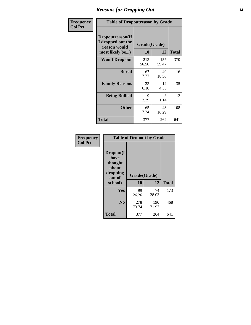### *Reasons for Dropping Out* **14**

| Frequency      | <b>Table of Dropoutreason by Grade</b>                                   |              |                    |              |
|----------------|--------------------------------------------------------------------------|--------------|--------------------|--------------|
| <b>Col Pct</b> | Dropoutreason(If<br>I dropped out the<br>reason would<br>most likely be) | 10           | Grade(Grade)<br>12 | <b>Total</b> |
|                | Won't Drop out                                                           | 213<br>56.50 | 157<br>59.47       | 370          |
|                | <b>Bored</b>                                                             | 67<br>17.77  | 49<br>18.56        | 116          |
|                | <b>Family Reasons</b>                                                    | 23<br>6.10   | 12<br>4.55         | 35           |
|                | <b>Being Bullied</b>                                                     | 9<br>2.39    | 3<br>1.14          | 12           |
|                | <b>Other</b>                                                             | 65<br>17.24  | 43<br>16.29        | 108          |
|                | Total                                                                    | 377          | 264                | 641          |

| Frequency<br><b>Col Pct</b> | <b>Table of Dropout by Grade</b>                            |              |              |              |  |
|-----------------------------|-------------------------------------------------------------|--------------|--------------|--------------|--|
|                             | Dropout(I<br>have<br>thought<br>about<br>dropping<br>out of |              | Grade(Grade) |              |  |
|                             | school)                                                     | 10           | 12           | <b>Total</b> |  |
|                             | Yes                                                         | 99<br>26.26  | 74<br>28.03  | 173          |  |
|                             | N <sub>0</sub>                                              | 278<br>73.74 | 190<br>71.97 | 468          |  |
|                             |                                                             |              |              |              |  |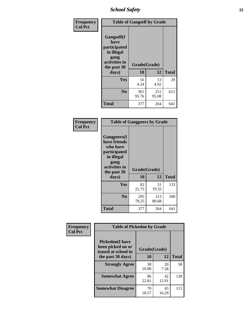*School Safety* **15**

| Frequency      |                                                                                                   | <b>Table of Gangself by Grade</b> |              |              |  |
|----------------|---------------------------------------------------------------------------------------------------|-----------------------------------|--------------|--------------|--|
| <b>Col Pct</b> | Gangself(I<br>have<br>participated<br>in illegal<br>gang<br>activities in<br>the past 30<br>days) | Grade(Grade)<br>10<br>12          |              | <b>Total</b> |  |
|                | Yes                                                                                               | 16<br>4.24                        | 13<br>4.92   | 29           |  |
|                | N <sub>0</sub>                                                                                    | 361<br>95.76                      | 251<br>95.08 | 612          |  |
|                | <b>Total</b>                                                                                      | 377                               | 264          | 641          |  |

| Frequency<br><b>Col Pct</b> | <b>Table of Gangpeers by Grade</b>                                                                                     |                    |              |              |
|-----------------------------|------------------------------------------------------------------------------------------------------------------------|--------------------|--------------|--------------|
|                             | Gangpeers(I<br>have friends<br>who have<br>participated<br>in illegal<br>gang<br>activities in<br>the past 30<br>days) | Grade(Grade)<br>10 | 12           | <b>Total</b> |
|                             | <b>Yes</b>                                                                                                             | 82<br>21.75        | 51<br>19.32  | 133          |
|                             | N <sub>0</sub>                                                                                                         | 295<br>78.25       | 213<br>80.68 | 508          |
|                             | Total                                                                                                                  | 377                | 264          | 641          |

| Frequency      | <b>Table of Pickedon by Grade</b>                                  |              |             |              |
|----------------|--------------------------------------------------------------------|--------------|-------------|--------------|
| <b>Col Pct</b> | <b>Pickedon(I have</b><br>been picked on or<br>teased at school in | Grade(Grade) |             |              |
|                | the past 30 days)                                                  | 10           | 12          | <b>Total</b> |
|                | <b>Strongly Agree</b>                                              | 38<br>10.08  | 20<br>7.58  | 58           |
|                | <b>Somewhat Agree</b>                                              | 86<br>22.81  | 42<br>15.91 | 128          |
|                | <b>Somewhat Disagree</b>                                           | 70<br>18.57  | 43<br>16.29 | 113          |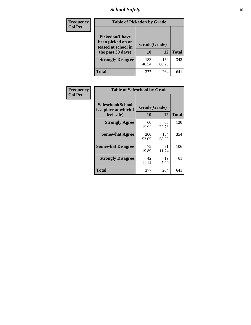# *School Safety* **16**

| <b>Frequency</b> | <b>Table of Pickedon by Grade</b>                                                        |                    |              |              |
|------------------|------------------------------------------------------------------------------------------|--------------------|--------------|--------------|
| <b>Col Pct</b>   | <b>Pickedon</b> (I have<br>been picked on or<br>teased at school in<br>the past 30 days) | Grade(Grade)<br>10 | 12           | <b>Total</b> |
|                  | <b>Strongly Disagree</b>                                                                 | 183<br>48.54       | 159<br>60.23 | 342          |
|                  | Total                                                                                    | 377                | 264          | 64           |

| Frequency      | <b>Table of Safeschool by Grade</b>                      |                     |              |              |
|----------------|----------------------------------------------------------|---------------------|--------------|--------------|
| <b>Col Pct</b> | Safeschool(School<br>is a place at which I<br>feel safe) | Grade(Grade)<br>10  | 12           | <b>Total</b> |
|                | <b>Strongly Agree</b>                                    | 60<br>15.92         | 60<br>22.73  | 120          |
|                | <b>Somewhat Agree</b>                                    | <b>200</b><br>53.05 | 154<br>58.33 | 354          |
|                | <b>Somewhat Disagree</b>                                 | 75<br>19.89         | 31<br>11.74  | 106          |
|                | <b>Strongly Disagree</b>                                 | 42<br>11.14         | 19<br>7.20   | 61           |
|                | <b>Total</b>                                             | 377                 | 264          | 641          |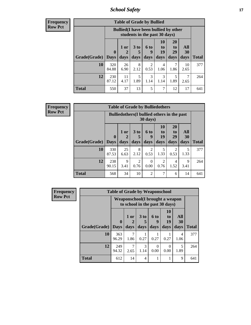*School Safety* **17**

**Frequency Row Pct**

| <b>Table of Grade by Bullied</b> |                                 |                                                                               |                              |                   |                        |                        |                                 |              |  |  |  |  |
|----------------------------------|---------------------------------|-------------------------------------------------------------------------------|------------------------------|-------------------|------------------------|------------------------|---------------------------------|--------------|--|--|--|--|
|                                  |                                 | <b>Bullied</b> (I have been bullied by other<br>students in the past 30 days) |                              |                   |                        |                        |                                 |              |  |  |  |  |
| Grade(Grade)                     | $\boldsymbol{0}$<br><b>Days</b> | $1$ or<br>2<br>days                                                           | 3 <sub>to</sub><br>5<br>days | 6 to<br>9<br>days | 10<br>to<br>19<br>days | 20<br>to<br>29<br>days | <b>All</b><br><b>30</b><br>days | <b>Total</b> |  |  |  |  |
| 10                               | 320<br>84.88                    | 26<br>6.90                                                                    | 8<br>2.12                    | 2<br>0.53         | 4<br>1.06              | 1.86                   | 10<br>2.65                      | 377          |  |  |  |  |
| 12                               | 230<br>87.12                    | 11<br>4.17                                                                    | 5<br>1.89                    | 3<br>1.14         | 3<br>1.14              | 5<br>1.89              | 2.65                            | 264          |  |  |  |  |
| <b>Total</b>                     | 550                             | 37                                                                            | 13                           | 5                 | 7                      | 12                     | 17                              | 641          |  |  |  |  |

| <b>Frequency</b> |
|------------------|
| <b>Row Pct</b>   |

| <b>Table of Grade by Bulliedothers</b> |                             |                                                                         |                              |                   |                               |                               |                   |              |  |  |  |  |
|----------------------------------------|-----------------------------|-------------------------------------------------------------------------|------------------------------|-------------------|-------------------------------|-------------------------------|-------------------|--------------|--|--|--|--|
|                                        |                             | <b>Bulliedothers</b> (I bullied others in the past<br>$30 \text{ days}$ |                              |                   |                               |                               |                   |              |  |  |  |  |
| Grade(Grade)                           | $\mathbf{0}$<br><b>Days</b> | 1 or<br>2<br>days                                                       | 3 <sub>to</sub><br>5<br>days | 6 to<br>q<br>days | <b>10</b><br>to<br>19<br>days | <b>20</b><br>to<br>29<br>days | All<br>30<br>days | <b>Total</b> |  |  |  |  |
| 10                                     | 330<br>87.53                | 25<br>6.63                                                              | 8<br>2.12                    | 2<br>0.53         | 5<br>1.33                     | 2<br>0.53                     | 5<br>1.33         | 377          |  |  |  |  |
| 12                                     | 238<br>90.15                | 9<br>3.41                                                               | 2<br>0.76                    | $\Omega$<br>0.00  | 2<br>0.76                     | 4<br>1.52                     | 9<br>3.41         | 264          |  |  |  |  |
| <b>Total</b>                           | 568                         | 34                                                                      | 10                           | $\mathfrak{D}$    | 7                             | 6                             | 14                | 641          |  |  |  |  |

| <b>Frequency</b> | <b>Table of Grade by Weaponschool</b> |                                                                   |              |                         |                   |                                    |                   |              |  |  |
|------------------|---------------------------------------|-------------------------------------------------------------------|--------------|-------------------------|-------------------|------------------------------------|-------------------|--------------|--|--|
| <b>Row Pct</b>   |                                       | Weaponschool(I brought a weapon<br>to school in the past 30 days) |              |                         |                   |                                    |                   |              |  |  |
|                  | Grade(Grade)                          | $\mathbf{0}$<br><b>Days</b>                                       | 1 or<br>days | 3 <sub>to</sub><br>days | 6 to<br>9<br>days | 10<br>t <sub>0</sub><br>19<br>days | All<br>30<br>days | <b>Total</b> |  |  |
|                  | 10                                    | 363<br>96.29                                                      | 7<br>1.86    | 0.27                    | 0.27              | 0.27                               | 4<br>1.06         | 377          |  |  |
|                  | 12                                    | 249<br>94.32                                                      | 7<br>2.65    | 3<br>1.14               | 0<br>0.00         | $\Omega$<br>0.00                   | 5<br>1.89         | 264          |  |  |
|                  | <b>Total</b>                          | 612                                                               | 14           | 4                       |                   |                                    | 9                 | 641          |  |  |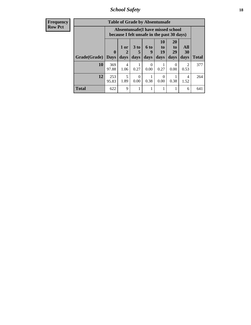*School Safety* **18**

| <b>Frequency</b> |              |                  |                        |                      | <b>Table of Grade by Absentunsafe</b>                                           |                  |                       |                        |              |
|------------------|--------------|------------------|------------------------|----------------------|---------------------------------------------------------------------------------|------------------|-----------------------|------------------------|--------------|
| Row Pct          |              |                  |                        |                      | Absentunsafe(I have missed school<br>because I felt unsafe in the past 30 days) |                  |                       |                        |              |
|                  |              | $\boldsymbol{0}$ | 1 or<br>2              | 3 <sub>to</sub><br>5 | 6 to<br>9                                                                       | 10<br>to<br>19   | <b>20</b><br>to<br>29 | All<br>30              |              |
|                  | Grade(Grade) | <b>Days</b>      | days                   | days                 | days                                                                            | days             | days                  | days                   | <b>Total</b> |
|                  | 10           | 369<br>97.88     | $\overline{4}$<br>1.06 | 0.27                 | $\Omega$<br>0.00                                                                | 0.27             | $\Omega$<br>0.00      | 2<br>0.53              | 377          |
|                  | 12           | 253<br>95.83     | 5<br>1.89              | $\Omega$<br>0.00     | 0.38                                                                            | $\Omega$<br>0.00 | 0.38                  | $\overline{4}$<br>1.52 | 264          |
|                  | <b>Total</b> | 622              | 9                      | 1                    |                                                                                 |                  |                       | 6                      | 641          |
|                  |              |                  |                        |                      |                                                                                 |                  |                       |                        |              |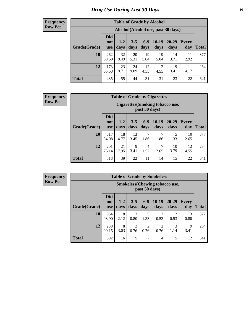# *Drug Use During Last 30 Days* **19**

#### **Frequency Row Pct**

| <b>Table of Grade by Alcohol</b> |                                 |                                     |                 |                 |                 |                   |                     |              |  |  |  |  |
|----------------------------------|---------------------------------|-------------------------------------|-----------------|-----------------|-----------------|-------------------|---------------------|--------------|--|--|--|--|
|                                  |                                 | Alcohol (Alcohol use, past 30 days) |                 |                 |                 |                   |                     |              |  |  |  |  |
| Grade(Grade)                     | <b>Did</b><br>not<br><b>use</b> | $1 - 2$<br>days                     | $3 - 5$<br>days | $6 - 9$<br>days | $10-19$<br>days | $20 - 29$<br>days | <b>Every</b><br>day | <b>Total</b> |  |  |  |  |
| 10                               | 262<br>69.50                    | 32<br>8.49                          | 20<br>5.31      | 19<br>5.04      | 19<br>5.04      | 14<br>3.71        | 11<br>2.92          | 377          |  |  |  |  |
| 12                               | 173<br>65.53                    | 23<br>8.71                          | 24<br>9.09      | 12<br>4.55      | 12<br>4.55      | 9<br>3.41         | 11<br>4.17          | 264          |  |  |  |  |
| <b>Total</b>                     | 435                             | 55                                  | 44              | 31              | 31              | 23                | 22                  | 641          |  |  |  |  |

#### **Frequency Row Pct**

| <b>Table of Grade by Cigarettes</b> |                                 |                                                          |                 |               |                 |                   |                     |              |  |  |  |
|-------------------------------------|---------------------------------|----------------------------------------------------------|-----------------|---------------|-----------------|-------------------|---------------------|--------------|--|--|--|
|                                     |                                 | <b>Cigarettes</b> (Smoking tobacco use,<br>past 30 days) |                 |               |                 |                   |                     |              |  |  |  |
| Grade(Grade)                        | <b>Did</b><br>not<br><b>use</b> | $1 - 2$<br>days                                          | $3 - 5$<br>days | $6-9$<br>days | $10-19$<br>days | $20 - 29$<br>days | <b>Every</b><br>day | <b>Total</b> |  |  |  |
| 10                                  | 317<br>84.08                    | 18<br>4.77                                               | 13<br>3.45      | 7<br>1.86     | 7<br>1.86       | 5<br>1.33         | 10<br>2.65          | 377          |  |  |  |
| 12                                  | 201<br>76.14                    | 21<br>7.95                                               | 9<br>3.41       | 4<br>1.52     | 7<br>2.65       | 10<br>3.79        | 12<br>4.55          | 264          |  |  |  |
| <b>Total</b>                        | 518                             | 39                                                       | 22              | 11            | 14              | 15                | 22                  | 641          |  |  |  |

**Frequency Row Pct**

| <b>Table of Grade by Smokeless</b> |                                 |                                                         |                 |               |                        |                        |                     |              |  |  |  |  |
|------------------------------------|---------------------------------|---------------------------------------------------------|-----------------|---------------|------------------------|------------------------|---------------------|--------------|--|--|--|--|
|                                    |                                 | <b>Smokeless</b> (Chewing tobacco use,<br>past 30 days) |                 |               |                        |                        |                     |              |  |  |  |  |
| Grade(Grade)                       | <b>Did</b><br>not<br><b>use</b> | $1 - 2$<br>days                                         | $3 - 5$<br>days | $6-9$<br>days | $10-19$<br>days        | $20 - 29$<br>days      | <b>Every</b><br>day | <b>Total</b> |  |  |  |  |
| 10                                 | 354<br>93.90                    | 8<br>2.12                                               | 3<br>0.80       | 5<br>1.33     | $\mathfrak{D}$<br>0.53 | $\mathfrak{D}$<br>0.53 | 3<br>0.80           | 377          |  |  |  |  |
| 12                                 | 238<br>90.15                    | 8<br>3.03                                               | 2<br>0.76       | 2<br>0.76     | $\overline{2}$<br>0.76 | 1.14                   | 9<br>3.41           | 264          |  |  |  |  |
| <b>Total</b>                       | 592                             | 16                                                      | 5               | $\mathcal{I}$ | 4                      | 5                      | 12                  | 641          |  |  |  |  |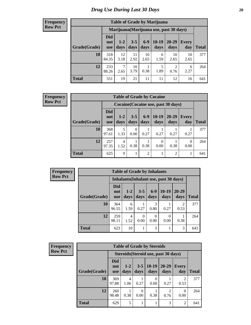#### **Frequency Row Pct**

| <b>Table of Grade by Marijuana</b> |                                 |                                         |                 |               |                 |                        |              |              |  |  |  |  |  |
|------------------------------------|---------------------------------|-----------------------------------------|-----------------|---------------|-----------------|------------------------|--------------|--------------|--|--|--|--|--|
|                                    |                                 | Marijuana (Marijuana use, past 30 days) |                 |               |                 |                        |              |              |  |  |  |  |  |
| Grade(Grade)                       | <b>Did</b><br>not<br><b>use</b> | $1 - 2$<br>days                         | $3 - 5$<br>days | $6-9$<br>days | $10-19$<br>days | 20-29<br>days          | Every<br>day | <b>Total</b> |  |  |  |  |  |
| 10                                 | 318<br>84.35                    | 12<br>3.18                              | 11<br>2.92      | 10<br>2.65    | 6<br>1.59       | 10<br>2.65             | 10<br>2.65   | 377          |  |  |  |  |  |
| 12                                 | 233<br>88.26                    | 7<br>2.65                               | 10<br>3.79      | 1<br>0.38     | 5<br>1.89       | $\overline{2}$<br>0.76 | 6<br>2.27    | 264          |  |  |  |  |  |
| <b>Total</b>                       | 551                             | 19                                      | 21              | 11            | 11              | 12                     | 16           | 641          |  |  |  |  |  |

#### **Frequency Row Pct**

| <b>Table of Grade by Cocaine</b> |                          |                                                                                                                |                |      |      |      |      |     |  |  |
|----------------------------------|--------------------------|----------------------------------------------------------------------------------------------------------------|----------------|------|------|------|------|-----|--|--|
|                                  |                          | Cocaine (Cocaine use, past 30 days)                                                                            |                |      |      |      |      |     |  |  |
| Grade(Grade)                     | Did<br>not<br><b>use</b> | $6-9$<br>$10-19$<br>20-29<br>$3 - 5$<br>$1-2$<br>Every<br>days<br>days<br>days<br>days<br>day<br>Total<br>days |                |      |      |      |      |     |  |  |
| 10                               | 368<br>97.61             | 5<br>1.33                                                                                                      | $_{0}$<br>0.00 | 0.27 | 0.27 | 0.27 | 0.27 | 377 |  |  |
| 12                               | 257<br>97.35             | 4<br>0<br>0<br>1.52<br>0.38<br>0.38<br>0.38<br>0.00<br>0.00                                                    |                |      |      |      |      |     |  |  |
| Total                            | 625                      | 9                                                                                                              | 1              | 2    |      | 2    |      | 641 |  |  |

| <b>Frequency</b> | <b>Table of Grade by Inhalants</b> |                                        |                 |                  |                  |                 |                        |              |  |  |
|------------------|------------------------------------|----------------------------------------|-----------------|------------------|------------------|-----------------|------------------------|--------------|--|--|
| <b>Row Pct</b>   |                                    | Inhalants (Inhalant use, past 30 days) |                 |                  |                  |                 |                        |              |  |  |
|                  | Grade(Grade)                       | <b>Did</b><br>not<br><b>use</b>        | $1 - 2$<br>days | $3 - 5$<br>days  | $6-9$<br>days    | $10-19$<br>days | $20 - 29$<br>days      | <b>Total</b> |  |  |
|                  | 10                                 | 364<br>96.55                           | 6<br>1.59       | 0.27             | 3<br>0.80        | 0.27            | $\overline{2}$<br>0.53 | 377          |  |  |
|                  | 12                                 | 259<br>98.11                           | 4<br>1.52       | $\Omega$<br>0.00 | $\Omega$<br>0.00 | 0.00            | 0.38                   | 264          |  |  |
|                  | <b>Total</b>                       | 623                                    | 10              | 1                | 3                |                 | 3                      | 641          |  |  |

| <b>Frequency</b> |
|------------------|
| <b>Row Pct</b>   |

r.

| <b>Table of Grade by Steroids</b> |                                 |                                                                                                      |      |      |      |           |     |  |  |  |
|-----------------------------------|---------------------------------|------------------------------------------------------------------------------------------------------|------|------|------|-----------|-----|--|--|--|
|                                   |                                 | Steroids (Steroid use, past 30 days)                                                                 |      |      |      |           |     |  |  |  |
| Grade(Grade)                      | <b>Did</b><br>not<br><b>use</b> | $10-19$<br>20-29<br>$1-2$<br>$3 - 5$<br>Every<br>days<br><b>Total</b><br>days<br>day<br>days<br>days |      |      |      |           |     |  |  |  |
| 10                                | 369<br>97.88                    | 4<br>1.06                                                                                            | 0.27 | 0.00 | 0.27 | 2<br>0.53 | 377 |  |  |  |
| 12                                | 260<br>98.48                    | 2<br>0<br>0.38<br>0.38<br>0.00<br>0.00<br>0.76                                                       |      |      |      |           |     |  |  |  |
| <b>Total</b>                      | 629                             | 5                                                                                                    |      |      | 3    | 2         | 641 |  |  |  |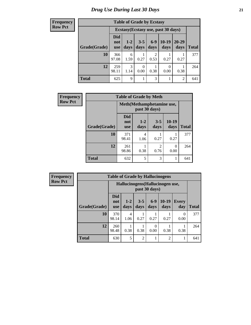| <b>Frequency</b> |  |
|------------------|--|
| Row Pct          |  |

| <b>Table of Grade by Ecstasy</b> |                                     |                 |                 |                        |                 |                   |              |  |
|----------------------------------|-------------------------------------|-----------------|-----------------|------------------------|-----------------|-------------------|--------------|--|
|                                  | Ecstasy (Ecstasy use, past 30 days) |                 |                 |                        |                 |                   |              |  |
| Grade(Grade)                     | <b>Did</b><br>not<br><b>use</b>     | $1 - 2$<br>days | $3 - 5$<br>days | $6-9$<br>days          | $10-19$<br>days | $20 - 29$<br>days | <b>Total</b> |  |
| 10                               | 366<br>97.08                        | 6<br>1.59       | 0.27            | $\overline{2}$<br>0.53 | 0.27            | 0.27              | 377          |  |
| 12                               | 259<br>98.11                        | 3<br>1.14       | 0.00            | 0.38                   | 0<br>0.00       | 0.38              | 264          |  |
| <b>Total</b>                     | 625                                 | 9               |                 | 3                      |                 | 2                 | 641          |  |

| Frequency      | <b>Table of Grade by Meth</b> |                          |                                            |                        |                 |              |  |
|----------------|-------------------------------|--------------------------|--------------------------------------------|------------------------|-----------------|--------------|--|
| <b>Row Pct</b> |                               |                          | Meth(Methamphetamine use,<br>past 30 days) |                        |                 |              |  |
|                | Grade(Grade)                  | Did<br>not<br><b>use</b> | $1 - 2$<br>days                            | $3 - 5$<br>days        | $10-19$<br>days | <b>Total</b> |  |
|                | 10                            | 371<br>98.41             | 4<br>1.06                                  | 0.27                   | 0.27            | 377          |  |
|                | 12                            | 261<br>98.86             | 0.38                                       | $\overline{2}$<br>0.76 | 0<br>0.00       | 264          |  |
|                | <b>Total</b>                  | 632                      | 5                                          | 3                      |                 | 641          |  |

| <b>Frequency</b> | <b>Table of Grade by Hallucinogens</b> |                                                   |                 |                 |                  |                 |                  |              |
|------------------|----------------------------------------|---------------------------------------------------|-----------------|-----------------|------------------|-----------------|------------------|--------------|
| <b>Row Pct</b>   |                                        | Hallucinogens (Hallucinogen use,<br>past 30 days) |                 |                 |                  |                 |                  |              |
|                  | Grade(Grade)                           | <b>Did</b><br>not<br><b>use</b>                   | $1 - 2$<br>days | $3 - 5$<br>days | $6-9$<br>days    | $10-19$<br>days | Every<br>day     | <b>Total</b> |
|                  | 10                                     | 370<br>98.14                                      | 4<br>1.06       | 0.27            | 0.27             | 0.27            | $\Omega$<br>0.00 | 377          |
|                  | 12                                     | 260<br>98.48                                      | 0.38            | 0.38            | $\Omega$<br>0.00 | 0.38            | 0.38             | 264          |
|                  | <b>Total</b>                           | 630                                               | 5               | $\mathfrak{D}$  |                  | $\overline{c}$  |                  | 641          |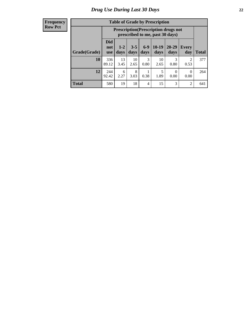#### **Frequency Row Pct**

| <b>Table of Grade by Prescription</b> |                                 |                                                                                                                                      |            |           |            |           |                |     |  |  |
|---------------------------------------|---------------------------------|--------------------------------------------------------------------------------------------------------------------------------------|------------|-----------|------------|-----------|----------------|-----|--|--|
|                                       |                                 | <b>Prescription</b> (Prescription drugs not<br>prescribed to me, past 30 days)                                                       |            |           |            |           |                |     |  |  |
| Grade(Grade)                          | <b>Did</b><br>not<br><b>use</b> | $6 - 9$<br>$10-19$<br>$3 - 5$<br>$20 - 29$<br>$1 - 2$<br><b>Every</b><br><b>Total</b><br>days<br>days<br>days<br>days<br>day<br>days |            |           |            |           |                |     |  |  |
| 10                                    | 336<br>89.12                    | 13<br>3.45                                                                                                                           | 10<br>2.65 | 3<br>0.80 | 10<br>2.65 | 3<br>0.80 | 2<br>0.53      | 377 |  |  |
| 12                                    | 244<br>92.42                    | 8<br>5<br>6<br>0<br>$\Omega$<br>1.89<br>0.38<br>2.27<br>3.03<br>0.00<br>0.00                                                         |            |           |            |           |                |     |  |  |
| <b>Total</b>                          | 580                             | 19                                                                                                                                   | 18         | 4         | 15         | 3         | $\overline{2}$ | 641 |  |  |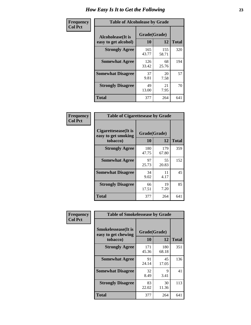| Frequency      | <b>Table of Alcoholease by Grade</b>       |                    |              |              |  |  |  |  |  |
|----------------|--------------------------------------------|--------------------|--------------|--------------|--|--|--|--|--|
| <b>Col Pct</b> | Alcoholease (It is<br>easy to get alcohol) | Grade(Grade)<br>10 | 12           | <b>Total</b> |  |  |  |  |  |
|                | <b>Strongly Agree</b>                      | 165<br>43.77       | 155<br>58.71 | 320          |  |  |  |  |  |
|                | <b>Somewhat Agree</b>                      | 126<br>33.42       | 68<br>25.76  | 194          |  |  |  |  |  |
|                | <b>Somewhat Disagree</b>                   | 37<br>9.81         | 20<br>7.58   | 57           |  |  |  |  |  |
|                | <b>Strongly Disagree</b>                   | 49<br>13.00        | 21<br>7.95   | 70           |  |  |  |  |  |
|                | <b>Total</b>                               | 377                | 264          | 641          |  |  |  |  |  |

| Frequency      | <b>Table of Cigarettesease by Grade</b>                  |                    |              |              |  |  |  |
|----------------|----------------------------------------------------------|--------------------|--------------|--------------|--|--|--|
| <b>Col Pct</b> | Cigarettesease (It is<br>easy to get smoking<br>tobacco) | Grade(Grade)<br>10 | 12           | <b>Total</b> |  |  |  |
|                | <b>Strongly Agree</b>                                    | 180<br>47.75       | 179<br>67.80 | 359          |  |  |  |
|                | <b>Somewhat Agree</b>                                    | 97<br>25.73        | 55<br>20.83  | 152          |  |  |  |
|                | <b>Somewhat Disagree</b>                                 | 34<br>9.02         | 11<br>4.17   | 45           |  |  |  |
|                | <b>Strongly Disagree</b>                                 | 66<br>17.51        | 19<br>7.20   | 85           |  |  |  |
|                | <b>Total</b>                                             | 377                | 264          | 641          |  |  |  |

| Frequency      | <b>Table of Smokelessease by Grade</b>                         |                           |              |              |  |  |  |  |
|----------------|----------------------------------------------------------------|---------------------------|--------------|--------------|--|--|--|--|
| <b>Col Pct</b> | <b>Smokelessease</b> (It is<br>easy to get chewing<br>tobacco) | Grade(Grade)<br><b>10</b> | 12           | <b>Total</b> |  |  |  |  |
|                | <b>Strongly Agree</b>                                          | 171<br>45.36              | 180<br>68.18 | 351          |  |  |  |  |
|                | <b>Somewhat Agree</b>                                          | 91<br>24.14               | 45<br>17.05  | 136          |  |  |  |  |
|                | <b>Somewhat Disagree</b>                                       | 32<br>8.49                | 9<br>3.41    | 41           |  |  |  |  |
|                | <b>Strongly Disagree</b>                                       | 83<br>22.02               | 30<br>11.36  | 113          |  |  |  |  |
|                | <b>Total</b>                                                   | 377                       | 264          | 641          |  |  |  |  |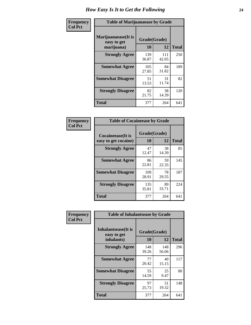| Frequency      | <b>Table of Marijuanaease by Grade</b>           |                    |              |              |  |  |  |  |  |  |
|----------------|--------------------------------------------------|--------------------|--------------|--------------|--|--|--|--|--|--|
| <b>Col Pct</b> | Marijuanaease(It is<br>easy to get<br>marijuana) | Grade(Grade)<br>10 | 12           | <b>Total</b> |  |  |  |  |  |  |
|                | <b>Strongly Agree</b>                            | 139<br>36.87       | 111<br>42.05 | 250          |  |  |  |  |  |  |
|                | <b>Somewhat Agree</b>                            | 105<br>27.85       | 84<br>31.82  | 189          |  |  |  |  |  |  |
|                | <b>Somewhat Disagree</b>                         | 51<br>13.53        | 31<br>11.74  | 82           |  |  |  |  |  |  |
|                | <b>Strongly Disagree</b>                         | 82<br>21.75        | 38<br>14.39  | 120          |  |  |  |  |  |  |
|                | Total                                            | 377                | 264          | 641          |  |  |  |  |  |  |

| <b>Table of Cocaineease by Grade</b>      |                    |             |              |  |  |  |  |  |  |  |
|-------------------------------------------|--------------------|-------------|--------------|--|--|--|--|--|--|--|
| Cocaineease(It is<br>easy to get cocaine) | Grade(Grade)<br>10 | 12          | <b>Total</b> |  |  |  |  |  |  |  |
| <b>Strongly Agree</b>                     | 47<br>12.47        | 38<br>14.39 | 85           |  |  |  |  |  |  |  |
| <b>Somewhat Agree</b>                     | 86<br>22.81        | 59<br>22.35 | 145          |  |  |  |  |  |  |  |
| <b>Somewhat Disagree</b>                  | 109<br>28.91       | 78<br>29.55 | 187          |  |  |  |  |  |  |  |
| <b>Strongly Disagree</b>                  | 135<br>35.81       | 89<br>33.71 | 224          |  |  |  |  |  |  |  |
| <b>Total</b>                              | 377                | 264         | 641          |  |  |  |  |  |  |  |

| Frequency      | <b>Table of Inhalantsease by Grade</b>     |              |              |                                  |
|----------------|--------------------------------------------|--------------|--------------|----------------------------------|
| <b>Col Pct</b> | <b>Inhalantsease</b> (It is<br>easy to get | Grade(Grade) |              |                                  |
|                | inhalants)                                 | 10           | 12           | <b>Total</b><br>296<br>117<br>80 |
|                | <b>Strongly Agree</b>                      | 148<br>39.26 | 148<br>56.06 |                                  |
|                | <b>Somewhat Agree</b>                      | 77<br>20.42  | 40<br>15.15  |                                  |
|                | <b>Somewhat Disagree</b>                   | 55<br>14.59  | 25<br>9.47   |                                  |
|                | <b>Strongly Disagree</b>                   | 97<br>25.73  | 51<br>19.32  | 148                              |
|                | <b>Total</b>                               | 377          | 264          | 641                              |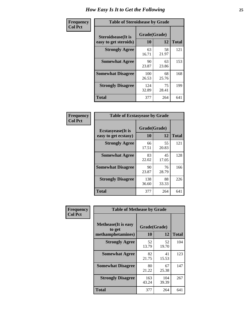| Frequency      | <b>Table of Steroidsease by Grade</b>               |                    |             |                                 |  |  |  |
|----------------|-----------------------------------------------------|--------------------|-------------|---------------------------------|--|--|--|
| <b>Col Pct</b> | <b>Steroidsease</b> (It is<br>easy to get steroids) | Grade(Grade)<br>10 | 12          | <b>Total</b>                    |  |  |  |
|                | <b>Strongly Agree</b>                               | 63<br>16.71        | 58<br>21.97 | 121<br>153<br>168<br>199<br>641 |  |  |  |
|                | <b>Somewhat Agree</b>                               | 90<br>23.87        | 63<br>23.86 |                                 |  |  |  |
|                | <b>Somewhat Disagree</b>                            | 100<br>26.53       | 68<br>25.76 |                                 |  |  |  |
|                | <b>Strongly Disagree</b>                            | 124<br>32.89       | 75<br>28.41 |                                 |  |  |  |
|                | <b>Total</b>                                        | 377                | 264         |                                 |  |  |  |

| Frequency      | <b>Table of Ecstasyease by Grade</b>              |                    |             |              |  |  |  |  |  |  |
|----------------|---------------------------------------------------|--------------------|-------------|--------------|--|--|--|--|--|--|
| <b>Col Pct</b> | <b>Ecstasyease</b> (It is<br>easy to get ecstasy) | Grade(Grade)<br>10 | 12          | <b>Total</b> |  |  |  |  |  |  |
|                | <b>Strongly Agree</b>                             | 66<br>17.51        | 55<br>20.83 | 121          |  |  |  |  |  |  |
|                | <b>Somewhat Agree</b>                             | 83<br>22.02        | 45<br>17.05 | 128          |  |  |  |  |  |  |
|                | <b>Somewhat Disagree</b>                          | 90<br>23.87        | 76<br>28.79 | 166          |  |  |  |  |  |  |
|                | <b>Strongly Disagree</b>                          | 138<br>36.60       | 88<br>33.33 | 226          |  |  |  |  |  |  |
|                | Total                                             | 377                | 264         | 641          |  |  |  |  |  |  |

| Frequency      | <b>Table of Methease by Grade</b>                          |                    |              |              |
|----------------|------------------------------------------------------------|--------------------|--------------|--------------|
| <b>Col Pct</b> | <b>Methease</b> (It is easy<br>to get<br>methamphetamines) | Grade(Grade)<br>10 | 12           | <b>Total</b> |
|                | <b>Strongly Agree</b>                                      | 52<br>13.79        | 52<br>19.70  | 104          |
|                | <b>Somewhat Agree</b>                                      | 82<br>21.75        | 41<br>15.53  | 123          |
|                | <b>Somewhat Disagree</b>                                   | 80<br>21.22        | 67<br>25.38  | 147          |
|                | <b>Strongly Disagree</b>                                   | 163<br>43.24       | 104<br>39.39 | 267          |
|                | Total                                                      | 377                | 264          | 641          |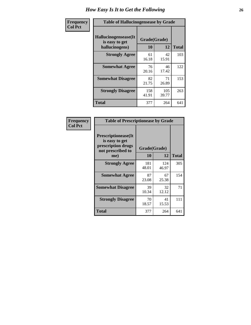| <b>Frequency</b> | <b>Table of Hallucinogensease by Grade</b>               |                    |              |              |  |  |  |  |  |  |
|------------------|----------------------------------------------------------|--------------------|--------------|--------------|--|--|--|--|--|--|
| <b>Col Pct</b>   | Hallucinogensease(It<br>is easy to get<br>hallucinogens) | Grade(Grade)<br>10 | 12           | <b>Total</b> |  |  |  |  |  |  |
|                  | <b>Strongly Agree</b>                                    | 61<br>16.18        | 42<br>15.91  | 103          |  |  |  |  |  |  |
|                  | <b>Somewhat Agree</b>                                    | 76<br>20.16        | 46<br>17.42  | 122          |  |  |  |  |  |  |
|                  | <b>Somewhat Disagree</b>                                 | 82<br>21.75        | 71<br>26.89  | 153          |  |  |  |  |  |  |
|                  | <b>Strongly Disagree</b>                                 | 158<br>41.91       | 105<br>39.77 | 263          |  |  |  |  |  |  |
|                  | <b>Total</b>                                             | 377                | 264          | 641          |  |  |  |  |  |  |

| Frequency<br>Col Pct |
|----------------------|
|                      |

| <b>Table of Prescriptionease by Grade</b>                                                |              |              |              |  |  |  |  |  |  |
|------------------------------------------------------------------------------------------|--------------|--------------|--------------|--|--|--|--|--|--|
| <b>Prescriptionease</b> (It<br>is easy to get<br>prescription drugs<br>not prescribed to | Grade(Grade) |              |              |  |  |  |  |  |  |
| me)                                                                                      | 10           | 12           | <b>Total</b> |  |  |  |  |  |  |
| <b>Strongly Agree</b>                                                                    | 181<br>48.01 | 124<br>46.97 | 305          |  |  |  |  |  |  |
| <b>Somewhat Agree</b>                                                                    | 87<br>23.08  | 67<br>25.38  | 154          |  |  |  |  |  |  |
| <b>Somewhat Disagree</b>                                                                 | 39<br>10.34  | 32<br>12.12  | 71           |  |  |  |  |  |  |
| <b>Strongly Disagree</b>                                                                 | 70<br>18.57  | 41<br>15.53  | 111          |  |  |  |  |  |  |
| Total                                                                                    | 377          | 264          | 641          |  |  |  |  |  |  |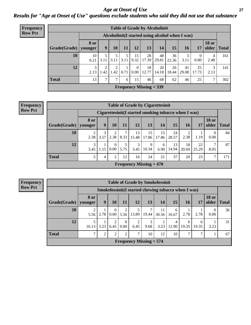*Age at Onset of Use* **27** *Results for "Age at Onset of Use" questions exclude students who said they did not use that substance*

| <b>Frequency</b> | <b>Table of Grade by Alcoholinit</b> |                                                  |                       |            |      |                      |                           |             |             |             |                  |                       |              |
|------------------|--------------------------------------|--------------------------------------------------|-----------------------|------------|------|----------------------|---------------------------|-------------|-------------|-------------|------------------|-----------------------|--------------|
| <b>Row Pct</b>   |                                      | Alcoholinit (I started using alcohol when I was) |                       |            |      |                      |                           |             |             |             |                  |                       |              |
|                  | Grade(Grade)                         | <b>8 or</b><br>younger                           | 9                     | 10         | 11   | 12                   | 13                        | 14          | 15          | 16          | 17               | <b>18 or</b><br>older | <b>Total</b> |
|                  | 10                                   | 10<br>6.21                                       | 5<br>3.11             | 3.11       | 3.11 | 15<br>9.32           | 28<br>17.39               | 48<br>29.81 | 36<br>22.36 | 3.11        | $\theta$<br>0.00 | 4<br>2.48             | 161          |
|                  | 12                                   | $\mathfrak{Z}$<br>2.13                           | $\overline{2}$<br>.42 | C.<br>1.42 | 0.71 | $\Omega$<br>$0.00\,$ | 18<br>12.77               | 20<br>14.18 | 26<br>18.44 | 41<br>29.08 | 25<br>17.73      | 3<br>2.13             | 141          |
|                  | <b>Total</b>                         | 13                                               | 7                     | 7          | 6    | 15                   | 46                        | 68          | 62          | 46          | 25               | 7                     | 302          |
|                  |                                      |                                                  |                       |            |      |                      | Frequency Missing $=$ 339 |             |             |             |                  |                       |              |

#### **Frequency Row Pct**

| <b>Table of Grade by Cigarettesinit</b> |                 |                                                                                                   |                  |           |                                             |             |             |             |             |             |                  |     |
|-----------------------------------------|-----------------|---------------------------------------------------------------------------------------------------|------------------|-----------|---------------------------------------------|-------------|-------------|-------------|-------------|-------------|------------------|-----|
|                                         |                 | Cigarettesinit(I started smoking tobacco when I was)                                              |                  |           |                                             |             |             |             |             |             |                  |     |
| Grade(Grade)                            | 8 or<br>younger | <b>18 or</b><br>13<br>15<br>12<br>older<br>9<br>11<br>14<br><b>17</b><br>16<br>10<br><b>Total</b> |                  |           |                                             |             |             |             |             |             |                  |     |
| 10                                      | 2.38            | 3<br>3.57                                                                                         | 2.38             | 7<br>8.33 | 13<br>15.48                                 | 15<br>17.86 | 15<br>17.86 | 24<br>28.57 | 2.38        | 1.19        | $\theta$<br>0.00 | 84  |
| 12                                      | 3<br>3.45       | 1.15                                                                                              | $\left($<br>0.00 | 5.75      | 3<br>3.45                                   | 9<br>10.34  | 6<br>6.90   | 13<br>14.94 | 18<br>20.69 | 22<br>25.29 | 7<br>8.05        | 87  |
| <b>Total</b>                            | 5               | 4                                                                                                 | 2                | 12        | 16                                          | 24          | 21          | 37          | 20          | 23          | 7                | 171 |
|                                         |                 |                                                                                                   |                  |           | <b>Frequency Missing <math>= 470</math></b> |             |             |             |             |             |                  |     |

**Frequency Row Pct**

| <b>Table of Grade by Smokelessinit</b> |                                                     |      |                  |                      |                           |            |             |            |            |            |                       |              |
|----------------------------------------|-----------------------------------------------------|------|------------------|----------------------|---------------------------|------------|-------------|------------|------------|------------|-----------------------|--------------|
|                                        | Smokelessinit(I started chewing tobacco when I was) |      |                  |                      |                           |            |             |            |            |            |                       |              |
| Grade(Grade)                           | 8 or<br>younger                                     | 9    | 10               | 11                   | <b>12</b>                 | 13         | 14          | 15         | 16         | 17         | <b>18 or</b><br>older | <b>Total</b> |
| 10                                     | 5.56                                                | 2.78 | $\Omega$<br>0.00 | 2<br>5.56            | 13.89                     | 7<br>19.44 | 11<br>30.56 | 6<br>16.67 | 2.78       | 2.78       | $\Omega$<br>0.00      | 36           |
| 12                                     | 16.13                                               | 3.23 | 6.45             | $\mathbf{0}$<br>0.00 | 2<br>6.45                 | 3<br>9.68  | 3.23        | 4<br>12.90 | 6<br>19.35 | 6<br>19.35 | 3.23                  | 31           |
| <b>Total</b>                           |                                                     | 2    | 2                | 2                    | 7                         | 10         | 12          | 10         | ⇁          | ⇁          |                       | 67           |
|                                        |                                                     |      |                  |                      | Frequency Missing $= 574$ |            |             |            |            |            |                       |              |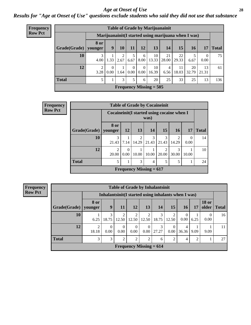#### *Age at Onset of Use* **28**

*Results for "Age at Onset of Use" questions exclude students who said they did not use that substance*

| Frequency      |                        |                        |                  |           |                  |                  | <b>Table of Grade by Marijuanainit</b> |             |             |                                                      |                  |              |
|----------------|------------------------|------------------------|------------------|-----------|------------------|------------------|----------------------------------------|-------------|-------------|------------------------------------------------------|------------------|--------------|
| <b>Row Pct</b> |                        |                        |                  |           |                  |                  |                                        |             |             | Marijuanainit (I started using marijuana when I was) |                  |              |
|                | Grade(Grade)   younger | 8 or                   | 9                | 10        | 11               | 12               | 13                                     | 14          | 15          | 16                                                   | 17               | <b>Total</b> |
|                | 10                     | 3<br>4.00              | 1.33             | 2<br>2.67 | 5<br>6.67        | 6<br>8.00        | 10<br>13.33                            | 21<br>28.00 | 22<br>29.33 | 6.67                                                 | $\theta$<br>0.00 | 75           |
|                | 12                     | $\overline{2}$<br>3.28 | $\Omega$<br>0.00 | 1.64      | $\Omega$<br>0.00 | $\theta$<br>0.00 | 10<br>16.39                            | 4<br>6.56   | 11<br>18.03 | 20<br>32.79                                          | 13<br>21.31      | 61           |
|                | <b>Total</b>           | 5                      |                  | 3         | 5                | 6                | 20                                     | 25          | 33          | 25                                                   | 13               | 136          |
|                |                        |                        |                  |           |                  |                  | Frequency Missing $= 505$              |             |             |                                                      |                  |              |

| Frequency      |                        | <b>Table of Grade by Cocaineinit</b>        |                  |                                             |            |            |                         |                  |              |  |
|----------------|------------------------|---------------------------------------------|------------------|---------------------------------------------|------------|------------|-------------------------|------------------|--------------|--|
| <b>Row Pct</b> |                        | Cocaineinit (I started using cocaine when I |                  |                                             | was)       |            |                         |                  |              |  |
|                | Grade(Grade)   younger | 8 or                                        | 12               | 13                                          | 14         | <b>15</b>  | <b>16</b>               | 17               | <b>Total</b> |  |
|                | 10                     | 3<br>21.43                                  | 7.14             | 2<br>14.29                                  | 3<br>21.43 | 3<br>21.43 | $\mathfrak{D}$<br>14.29 | $\Omega$<br>0.00 | 14           |  |
|                | 12                     | $\mathfrak{D}$<br>20.00                     | $\Omega$<br>0.00 | 10.00                                       | 10.00      | っ<br>20.00 | 3<br>30.00              | 10.00            | 10           |  |
|                | <b>Total</b>           | 5                                           | 1                | 3                                           | 4          | 5          | 5                       |                  | 24           |  |
|                |                        |                                             |                  | <b>Frequency Missing = <math>617</math></b> |            |            |                         |                  |              |  |

**Frequency**

| <b>Row Pct</b> |  |
|----------------|--|
|----------------|--|

| <b>Table of Grade by Inhalantsinit</b>                                                                                     |                         |                                                      |                  |                  |                |                      |                         |                  |      |                       |              |
|----------------------------------------------------------------------------------------------------------------------------|-------------------------|------------------------------------------------------|------------------|------------------|----------------|----------------------|-------------------------|------------------|------|-----------------------|--------------|
|                                                                                                                            |                         | Inhalantsinit (I started using inhalants when I was) |                  |                  |                |                      |                         |                  |      |                       |              |
| Grade(Grade)                                                                                                               | 8 or<br>younger         | 9                                                    | 11               | <b>12</b>        | 13             | 14                   | 15                      | 16               | 17   | <b>18 or</b><br>older | <b>Total</b> |
| 10                                                                                                                         | 6.25                    | 3<br>18.75                                           | 2<br>12.50       | 2<br>12.50       | $\overline{2}$ | 3<br>$12.50$   18.75 | $\overline{2}$<br>12.50 | $\theta$<br>0.00 | 6.25 | $\Omega$<br>0.00      | 16           |
| 12                                                                                                                         | $\overline{2}$<br>18.18 | $\Omega$<br>0.00                                     | $\Omega$<br>0.00 | $\theta$<br>0.00 | 0.00           | 3<br>27.27           | $\Omega$<br>0.00        | 4<br>36.36       | 9.09 | 9.09                  | 11           |
| <b>Total</b><br>3<br>3<br>$\overline{c}$<br>$\overline{2}$<br>$\mathfrak{D}$<br>$\overline{2}$<br>$\overline{2}$<br>4<br>6 |                         |                                                      |                  |                  |                |                      |                         |                  |      |                       | 27           |
| Frequency Missing $= 614$                                                                                                  |                         |                                                      |                  |                  |                |                      |                         |                  |      |                       |              |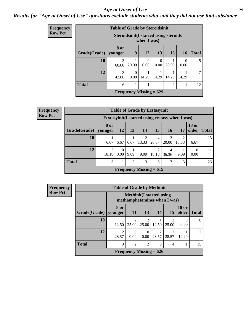#### *Age at Onset of Use* **29**

### *Results for "Age at Onset of Use" questions exclude students who said they did not use that substance*

| Frequency      |              | <b>Table of Grade by Steroidsinit</b> |                  |                                                              |                  |                |                  |              |  |
|----------------|--------------|---------------------------------------|------------------|--------------------------------------------------------------|------------------|----------------|------------------|--------------|--|
| <b>Row Pct</b> |              |                                       |                  | <b>Steroidsinit (I started using steroids</b><br>when I was) |                  |                |                  |              |  |
|                | Grade(Grade) | 8 or<br>younger                       | 9                | 12                                                           | 13               | 15             | 16               | <b>Total</b> |  |
|                | 10           | 3<br>60.00                            | 20.00            | $\Omega$<br>0.00                                             | $\Omega$<br>0.00 | 20.00          | $\Omega$<br>0.00 | 5            |  |
|                | 12           | 3<br>42.86                            | $\theta$<br>0.00 | 14.29                                                        | 14.29            | 14.29          | 14.29            | 7            |  |
|                | <b>Total</b> | 6                                     | 1                | 1                                                            |                  | $\overline{2}$ |                  | 12           |  |
|                |              |                                       |                  | Frequency Missing $= 629$                                    |                  |                |                  |              |  |

| <b>Frequency</b> |              |                         |                               |      |       | <b>Table of Grade by Ecstasyinit</b> |                                                  |       |                       |              |
|------------------|--------------|-------------------------|-------------------------------|------|-------|--------------------------------------|--------------------------------------------------|-------|-----------------------|--------------|
| <b>Row Pct</b>   |              |                         |                               |      |       |                                      | Ecstasyinit (I started using ecstasy when I was) |       |                       |              |
|                  | Grade(Grade) | 8 or<br>younger         | <b>12</b>                     | 13   | 14    | 15                                   | 16                                               | 17    | <b>18 or</b><br>older | <b>Total</b> |
|                  | 10           | 6.67                    | 6.67                          | 6.67 | 13.33 | 4<br>26.67                           | 3<br>20.00                                       | 13.33 | 6.67                  | 15           |
|                  | 12           | $\mathfrak{D}$<br>18.18 | $\Omega$<br>0.00 <sub>l</sub> | 9.09 | 9.09  | 2<br>18.18                           | 4<br>36.36                                       | 9.09  | 0<br>0.00             | 11           |
|                  | <b>Total</b> | 3                       |                               | 2    | 3     | 6                                    | 7                                                | 3     |                       | 26           |
|                  |              |                         |                               |      |       | Frequency Missing $= 615$            |                                                  |       |                       |              |

| <b>Frequency</b> |              |                                                                 |                         |                         |                           |            |                       |              |  |  |  |  |
|------------------|--------------|-----------------------------------------------------------------|-------------------------|-------------------------|---------------------------|------------|-----------------------|--------------|--|--|--|--|
| <b>Row Pct</b>   |              | <b>Methinit(I started using</b><br>methamphetamines when I was) |                         |                         |                           |            |                       |              |  |  |  |  |
|                  | Grade(Grade) | 8 or<br>vounger                                                 | <b>11</b>               | 13                      | 14                        | 15         | <b>18 or</b><br>older | <b>Total</b> |  |  |  |  |
|                  | 10           | 12.50                                                           | $\mathfrak{D}$<br>25.00 | $\overline{2}$<br>25.00 | 12.50                     | 2<br>25.00 | 0.00                  | 8            |  |  |  |  |
|                  | 12           | $\mathfrak{D}$<br>28.57                                         | $\Omega$<br>0.00        | 0.00                    | 28.57                     | 28.57      | 14.29                 |              |  |  |  |  |
|                  | <b>Total</b> | 3                                                               | 3<br>2<br>2<br>4        |                         |                           |            |                       |              |  |  |  |  |
|                  |              |                                                                 |                         |                         | Frequency Missing $= 626$ |            |                       |              |  |  |  |  |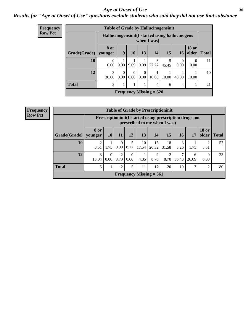#### Age at Onset of Use **30**

### *Results for "Age at Onset of Use" questions exclude students who said they did not use that substance*

| <b>Frequency</b> |              | <b>Table of Grade by Hallucinogensinit</b>       |                  |                  |                  |                           |            |            |                       |              |
|------------------|--------------|--------------------------------------------------|------------------|------------------|------------------|---------------------------|------------|------------|-----------------------|--------------|
| <b>Row Pct</b>   |              | Hallucinogensinit (I started using hallucinogens |                  |                  |                  | when I was)               |            |            |                       |              |
|                  | Grade(Grade) | 8 or<br>younger                                  | 9                | 10               | 13               | 14                        | 15         | 16         | <b>18</b> or<br>older | <b>Total</b> |
|                  | 10           | $\Omega$<br>0.00                                 | 9.09             | 9.09             | 9.09             | 3<br>27.27                | 5<br>45.45 | 0<br>0.00  | $\Omega$<br>0.00      | 11           |
|                  | 12           | 3<br>30.00                                       | $\Omega$<br>0.00 | $\Omega$<br>0.00 | $\Omega$<br>0.00 | 10.00                     | 10.00      | 4<br>40.00 | 10.00                 | 10           |
|                  | <b>Total</b> | 3                                                |                  |                  |                  | 4                         | 6          | 4          |                       | 21           |
|                  |              |                                                  |                  |                  |                  | Frequency Missing $= 620$ |            |            |                       |              |

| <b>Frequency</b> |  |
|------------------|--|
| <b>Row Pct</b>   |  |

| <b>Table of Grade by Prescriptioninit</b>                                                                                                                                  |                                                                                            |                                                                                                |                  |           |             |             |             |           |      |      |    |  |
|----------------------------------------------------------------------------------------------------------------------------------------------------------------------------|--------------------------------------------------------------------------------------------|------------------------------------------------------------------------------------------------|------------------|-----------|-------------|-------------|-------------|-----------|------|------|----|--|
|                                                                                                                                                                            | Prescription in it (I started using prescription drugs not<br>prescribed to me when I was) |                                                                                                |                  |           |             |             |             |           |      |      |    |  |
| Grade(Grade)                                                                                                                                                               | 8 or<br>younger                                                                            | <b>18 or</b><br>15<br>12<br>13<br>older<br><b>10</b><br>14<br><b>16</b><br>11<br>  Total<br>17 |                  |           |             |             |             |           |      |      |    |  |
| 10                                                                                                                                                                         | 3.51                                                                                       | 1.75                                                                                           | $\Omega$<br>0.00 | 5<br>8.77 | 10<br>17.54 | 15<br>26.32 | 18<br>31.58 | 3<br>5.26 | 1.75 | 3.51 | 57 |  |
| 12<br>3<br>$\overline{2}$<br>7<br>2<br>$\Omega$<br>$\overline{2}$<br>$\Omega$<br>0<br>6<br>4.35<br>8.70<br>8.70<br>0.00<br>8.70<br>0.00<br>30.43<br>13.04<br>26.09<br>0.00 |                                                                                            |                                                                                                |                  |           |             |             |             |           |      | 23   |    |  |
| <b>Total</b><br>5<br>$\overline{2}$<br>5<br>17<br>20<br>10<br>11<br>ℸ<br>$\overline{2}$                                                                                    |                                                                                            |                                                                                                |                  |           |             |             |             |           |      |      | 80 |  |
| Frequency Missing $= 561$                                                                                                                                                  |                                                                                            |                                                                                                |                  |           |             |             |             |           |      |      |    |  |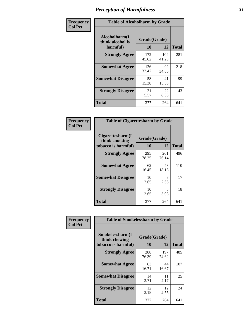| Frequency      |                                               | <b>Table of Alcoholharm by Grade</b> |              |              |  |  |  |  |  |  |  |
|----------------|-----------------------------------------------|--------------------------------------|--------------|--------------|--|--|--|--|--|--|--|
| <b>Col Pct</b> | Alcoholharm(I<br>think alcohol is<br>harmful) | Grade(Grade)<br>10                   | 12           | <b>Total</b> |  |  |  |  |  |  |  |
|                | <b>Strongly Agree</b>                         | 172<br>45.62                         | 109<br>41.29 | 281          |  |  |  |  |  |  |  |
|                | <b>Somewhat Agree</b>                         | 126<br>33.42                         | 92<br>34.85  | 218          |  |  |  |  |  |  |  |
|                | <b>Somewhat Disagree</b>                      | 58<br>15.38                          | 41<br>15.53  | 99           |  |  |  |  |  |  |  |
|                | <b>Strongly Disagree</b>                      | 21<br>5.57                           | 22<br>8.33   | 43           |  |  |  |  |  |  |  |
|                | <b>Total</b>                                  | 377                                  | 264          | 641          |  |  |  |  |  |  |  |

| <b>Table of Cigarettesharm by Grade</b>                  |                    |              |              |  |  |  |  |  |  |
|----------------------------------------------------------|--------------------|--------------|--------------|--|--|--|--|--|--|
| Cigarettesharm(I<br>think smoking<br>tobacco is harmful) | Grade(Grade)<br>10 | 12           | <b>Total</b> |  |  |  |  |  |  |
| <b>Strongly Agree</b>                                    | 295<br>78.25       | 201<br>76.14 | 496          |  |  |  |  |  |  |
| <b>Somewhat Agree</b>                                    | 62<br>16.45        | 48<br>18.18  | 110          |  |  |  |  |  |  |
| <b>Somewhat Disagree</b>                                 | 10<br>2.65         | 7<br>2.65    | 17           |  |  |  |  |  |  |
| <b>Strongly Disagree</b>                                 | 10<br>2.65         | 8<br>3.03    | 18           |  |  |  |  |  |  |
| <b>Total</b>                                             | 377                | 264          | 641          |  |  |  |  |  |  |

| Frequency      | <b>Table of Smokelessharm by Grade</b>                  |                    |              |              |  |
|----------------|---------------------------------------------------------|--------------------|--------------|--------------|--|
| <b>Col Pct</b> | Smokelessharm(I<br>think chewing<br>tobacco is harmful) | Grade(Grade)<br>10 | 12           | <b>Total</b> |  |
|                | <b>Strongly Agree</b>                                   | 288<br>76.39       | 197<br>74.62 | 485          |  |
|                | <b>Somewhat Agree</b>                                   | 63<br>16.71        | 44<br>16.67  | 107          |  |
|                | <b>Somewhat Disagree</b>                                | 14<br>3.71         | 11<br>4.17   | 25           |  |
|                | <b>Strongly Disagree</b>                                | 12<br>3.18         | 12<br>4.55   | 24           |  |
|                | <b>Total</b>                                            | 377                | 264          | 641          |  |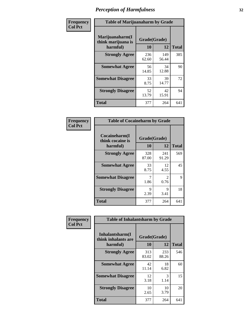| Frequency      |                                                   | <b>Table of Marijuanaharm by Grade</b> |              |              |  |
|----------------|---------------------------------------------------|----------------------------------------|--------------|--------------|--|
| <b>Col Pct</b> | Marijuanaharm(I<br>think marijuana is<br>harmful) | Grade(Grade)<br>10                     | 12           | <b>Total</b> |  |
|                | <b>Strongly Agree</b>                             | 236<br>62.60                           | 149<br>56.44 | 385          |  |
|                | <b>Somewhat Agree</b>                             | 56<br>14.85                            | 34<br>12.88  | 90           |  |
|                | <b>Somewhat Disagree</b>                          | 33<br>8.75                             | 39<br>14.77  | 72           |  |
|                | <b>Strongly Disagree</b>                          | 52<br>13.79                            | 42<br>15.91  | 94           |  |
|                | <b>Total</b>                                      | 377                                    | 264          | 641          |  |

| <b>Table of Cocaineharm by Grade</b>          |                    |                        |              |  |  |
|-----------------------------------------------|--------------------|------------------------|--------------|--|--|
| Cocaineharm(I<br>think cocaine is<br>harmful) | Grade(Grade)<br>10 | 12                     | <b>Total</b> |  |  |
| <b>Strongly Agree</b>                         | 328<br>87.00       | 241<br>91.29           | 569          |  |  |
| <b>Somewhat Agree</b>                         | 33<br>8.75         | 12<br>4.55             | 45           |  |  |
| <b>Somewhat Disagree</b>                      | 7<br>1.86          | $\mathfrak{D}$<br>0.76 | 9            |  |  |
| <b>Strongly Disagree</b>                      | 9<br>2.39          | 9<br>3.41              | 18           |  |  |
| <b>Total</b>                                  | 377                | 264                    | 641          |  |  |

| Frequency      | <b>Table of Inhalantsharm by Grade</b>             |                    |              |              |
|----------------|----------------------------------------------------|--------------------|--------------|--------------|
| <b>Col Pct</b> | Inhalantsharm(I<br>think inhalants are<br>harmful) | Grade(Grade)<br>10 | 12           | <b>Total</b> |
|                | <b>Strongly Agree</b>                              | 313<br>83.02       | 233<br>88.26 | 546          |
|                | <b>Somewhat Agree</b>                              | 42<br>11.14        | 18<br>6.82   | 60           |
|                | <b>Somewhat Disagree</b>                           | 12<br>3.18         | 3<br>1.14    | 15           |
|                | <b>Strongly Disagree</b>                           | 10<br>2.65         | 10<br>3.79   | 20           |
|                | <b>Total</b>                                       | 377                | 264          | 641          |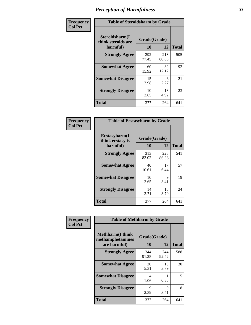| Frequency      | <b>Table of Steroidsharm by Grade</b>            |                    |              |              |
|----------------|--------------------------------------------------|--------------------|--------------|--------------|
| <b>Col Pct</b> | Steroidsharm(I<br>think steroids are<br>harmful) | Grade(Grade)<br>10 | 12           | <b>Total</b> |
|                | <b>Strongly Agree</b>                            | 292<br>77.45       | 213<br>80.68 | 505          |
|                | <b>Somewhat Agree</b>                            | 60<br>15.92        | 32<br>12.12  | 92           |
|                | <b>Somewhat Disagree</b>                         | 15<br>3.98         | 6<br>2.27    | 21           |
|                | <b>Strongly Disagree</b>                         | 10<br>2.65         | 13<br>4.92   | 23           |
|                | <b>Total</b>                                     | 377                | 264          | 641          |

| <b>Table of Ecstasyharm by Grade</b>                |                          |              |     |  |  |
|-----------------------------------------------------|--------------------------|--------------|-----|--|--|
| $E$ cstasyharm $(I$<br>think ecstasy is<br>harmful) | Grade(Grade)<br>10<br>12 |              |     |  |  |
| <b>Strongly Agree</b>                               | 313<br>83.02             | 228<br>86.36 | 541 |  |  |
| <b>Somewhat Agree</b>                               | 40<br>10.61              | 17<br>6.44   | 57  |  |  |
| <b>Somewhat Disagree</b>                            | 10<br>2.65               | 9<br>3.41    | 19  |  |  |
| <b>Strongly Disagree</b>                            | 14<br>3.71               | 10<br>3.79   | 24  |  |  |
| Total                                               | 377                      | 264          | 641 |  |  |

| Frequency      | <b>Table of Methharm by Grade</b>                            |                           |              |              |
|----------------|--------------------------------------------------------------|---------------------------|--------------|--------------|
| <b>Col Pct</b> | <b>Methharm</b> (I think<br>methamphetamines<br>are harmful) | Grade(Grade)<br><b>10</b> | 12           | <b>Total</b> |
|                | <b>Strongly Agree</b>                                        | 344<br>91.25              | 244<br>92.42 | 588          |
|                | <b>Somewhat Agree</b>                                        | 20<br>5.31                | 10<br>3.79   | 30           |
|                | <b>Somewhat Disagree</b>                                     | 4<br>1.06                 | 0.38         | 5            |
|                | <b>Strongly Disagree</b>                                     | 9<br>2.39                 | 9<br>3.41    | 18           |
|                | <b>Total</b>                                                 | 377                       | 264          | 641          |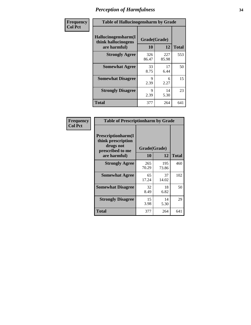| Frequency      | <b>Table of Hallucinogensharm by Grade</b>                 |                    |              |              |
|----------------|------------------------------------------------------------|--------------------|--------------|--------------|
| <b>Col Pct</b> | Hallucinogensharm(I<br>think hallucinogens<br>are harmful) | Grade(Grade)<br>10 | 12           | <b>Total</b> |
|                | <b>Strongly Agree</b>                                      | 326<br>86.47       | 227<br>85.98 | 553          |
|                | <b>Somewhat Agree</b>                                      | 33<br>8.75         | 17<br>6.44   | 50           |
|                | <b>Somewhat Disagree</b>                                   | 9<br>2.39          | 6<br>2.27    | 15           |
|                | <b>Strongly Disagree</b>                                   | 9<br>2.39          | 14<br>5.30   | 23           |
|                | <b>Total</b>                                               | 377                | 264          | 641          |

| <b>Table of Prescriptionharm by Grade</b>                                         |              |              |              |  |
|-----------------------------------------------------------------------------------|--------------|--------------|--------------|--|
| <b>Prescriptionharm</b> (I<br>think prescription<br>drugs not<br>prescribed to me | Grade(Grade) |              |              |  |
| are harmful)                                                                      | 10           | 12           | <b>Total</b> |  |
| <b>Strongly Agree</b>                                                             | 265<br>70.29 | 195<br>73.86 | 460          |  |
| <b>Somewhat Agree</b>                                                             | 65<br>17.24  | 37<br>14.02  | 102          |  |
| <b>Somewhat Disagree</b>                                                          | 32<br>8.49   | 18<br>6.82   | 50           |  |
| <b>Strongly Disagree</b>                                                          | 15<br>3.98   | 14<br>5.30   | 29           |  |
| Total                                                                             | 377          | 264          | 641          |  |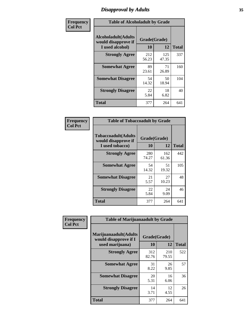# *Disapproval by Adults* **35**

| Frequency      | <b>Table of Alcoholadult by Grade</b>                                 |                    |              |              |
|----------------|-----------------------------------------------------------------------|--------------------|--------------|--------------|
| <b>Col Pct</b> | <b>Alcoholadult</b> (Adults<br>would disapprove if<br>I used alcohol) | Grade(Grade)<br>10 | 12           | <b>Total</b> |
|                | <b>Strongly Agree</b>                                                 | 212<br>56.23       | 125<br>47.35 | 337          |
|                | <b>Somewhat Agree</b>                                                 | 89<br>23.61        | 71<br>26.89  | 160          |
|                | <b>Somewhat Disagree</b>                                              | 54<br>14.32        | 50<br>18.94  | 104          |
|                | <b>Strongly Disagree</b>                                              | 22<br>5.84         | 18<br>6.82   | 40           |
|                | <b>Total</b>                                                          | 377                | 264          | 641          |

| <b>Table of Tobaccoadult by Grade</b>                                                             |              |              |     |  |  |  |
|---------------------------------------------------------------------------------------------------|--------------|--------------|-----|--|--|--|
| <b>Tobaccoadult</b> (Adults<br>Grade(Grade)<br>would disapprove if<br>10<br>12<br>I used tobacco) |              |              |     |  |  |  |
| <b>Strongly Agree</b>                                                                             | 280<br>74.27 | 162<br>61.36 | 442 |  |  |  |
| <b>Somewhat Agree</b>                                                                             | 54<br>14.32  | 51<br>19.32  | 105 |  |  |  |
| <b>Somewhat Disagree</b>                                                                          | 21<br>5.57   | 27<br>10.23  | 48  |  |  |  |
| <b>Strongly Disagree</b>                                                                          | 22<br>5.84   | 24<br>9.09   | 46  |  |  |  |
| <b>Total</b>                                                                                      | 377          | 264          | 641 |  |  |  |

| Frequency      | <b>Table of Marijuanaadult by Grade</b>                           |                    |              |              |
|----------------|-------------------------------------------------------------------|--------------------|--------------|--------------|
| <b>Col Pct</b> | Marijuanaadult(Adults<br>would disapprove if I<br>used marijuana) | Grade(Grade)<br>10 | 12           | <b>Total</b> |
|                | <b>Strongly Agree</b>                                             | 312<br>82.76       | 210<br>79.55 | 522          |
|                | <b>Somewhat Agree</b>                                             | 31<br>8.22         | 26<br>9.85   | 57           |
|                | <b>Somewhat Disagree</b>                                          | 20<br>5.31         | 16<br>6.06   | 36           |
|                | <b>Strongly Disagree</b>                                          | 14<br>3.71         | 12<br>4.55   | 26           |
|                | <b>Total</b>                                                      | 377                | 264          | 641          |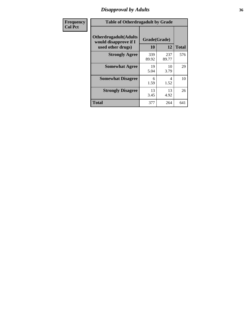# *Disapproval by Adults* **36**

| Frequency      |                                                                             | <b>Table of Otherdrugadult by Grade</b> |              |              |  |
|----------------|-----------------------------------------------------------------------------|-----------------------------------------|--------------|--------------|--|
| <b>Col Pct</b> | <b>Otherdrugadult</b> (Adults<br>would disapprove if I<br>used other drugs) | Grade(Grade)<br>10                      | 12           | <b>Total</b> |  |
|                | <b>Strongly Agree</b>                                                       | 339<br>89.92                            | 237<br>89.77 | 576          |  |
|                | <b>Somewhat Agree</b>                                                       | 19<br>5.04                              | 10<br>3.79   | 29           |  |
|                | <b>Somewhat Disagree</b>                                                    | 6<br>1.59                               | 4<br>1.52    | 10           |  |
|                | <b>Strongly Disagree</b>                                                    | 13<br>3.45                              | 13<br>4.92   | 26           |  |
|                | <b>Total</b>                                                                | 377                                     | 264          | 641          |  |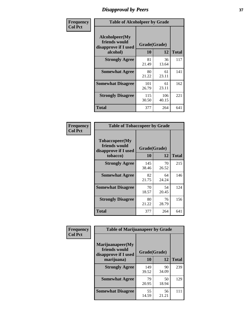## *Disapproval by Peers* **37**

| Frequency      | <b>Table of Alcoholpeer by Grade</b>                    |              |              |              |  |
|----------------|---------------------------------------------------------|--------------|--------------|--------------|--|
| <b>Col Pct</b> | Alcoholpeer(My<br>friends would<br>disapprove if I used | Grade(Grade) |              |              |  |
|                | alcohol)                                                | 10           | 12           | <b>Total</b> |  |
|                | <b>Strongly Agree</b>                                   | 81<br>21.49  | 36<br>13.64  | 117          |  |
|                | <b>Somewhat Agree</b>                                   | 80<br>21.22  | 61<br>23.11  | 141          |  |
|                | <b>Somewhat Disagree</b>                                | 101<br>26.79 | 61<br>23.11  | 162          |  |
|                | <b>Strongly Disagree</b>                                | 115<br>30.50 | 106<br>40.15 | 221          |  |
|                | Total                                                   | 377          | 264          | 641          |  |

| Frequency      | <b>Table of Tobaccopeer by Grade</b>                                |                    |             |              |
|----------------|---------------------------------------------------------------------|--------------------|-------------|--------------|
| <b>Col Pct</b> | Tobaccopeer(My<br>friends would<br>disapprove if I used<br>tobacco) | Grade(Grade)<br>10 | 12          | <b>Total</b> |
|                | <b>Strongly Agree</b>                                               | 145<br>38.46       | 70<br>26.52 | 215          |
|                | <b>Somewhat Agree</b>                                               | 82<br>21.75        | 64<br>24.24 | 146          |
|                | <b>Somewhat Disagree</b>                                            | 70<br>18.57        | 54<br>20.45 | 124          |
|                | <b>Strongly Disagree</b>                                            | 80<br>21.22        | 76<br>28.79 | 156          |
|                | Total                                                               | 377                | 264         | 641          |

| Frequency      | <b>Table of Marijuanapeer by Grade</b>                    |              |             |              |
|----------------|-----------------------------------------------------------|--------------|-------------|--------------|
| <b>Col Pct</b> | Marijuanapeer(My<br>friends would<br>disapprove if I used | Grade(Grade) |             |              |
|                | marijuana)                                                | 10           | 12          | <b>Total</b> |
|                | <b>Strongly Agree</b>                                     | 149<br>39.52 | 90<br>34.09 | 239          |
|                | <b>Somewhat Agree</b>                                     | 79<br>20.95  | 50<br>18.94 | 129          |
|                | <b>Somewhat Disagree</b>                                  | 55<br>14.59  | 56<br>21.21 | 111          |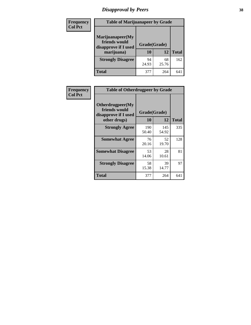# *Disapproval by Peers* **38**

| <b>Frequency</b> | <b>Table of Marijuanapeer by Grade</b>                                  |                           |             |              |  |
|------------------|-------------------------------------------------------------------------|---------------------------|-------------|--------------|--|
| <b>Col Pct</b>   | Marijuanapeer(My<br>friends would<br>disapprove if I used<br>marijuana) | Grade(Grade)<br><b>10</b> | 12          | <b>Total</b> |  |
|                  |                                                                         |                           |             |              |  |
|                  | <b>Strongly Disagree</b>                                                | 94<br>24.93               | 68<br>25.76 | 162          |  |
|                  | <b>Total</b>                                                            | 377                       | 264         | 64           |  |

| <b>Frequency</b> | <b>Table of Otherdrugpeer by Grade</b>                                    |                           |              |              |
|------------------|---------------------------------------------------------------------------|---------------------------|--------------|--------------|
| <b>Col Pct</b>   | Otherdrugpeer(My<br>friends would<br>disapprove if I used<br>other drugs) | Grade(Grade)<br><b>10</b> | 12           | <b>Total</b> |
|                  | <b>Strongly Agree</b>                                                     | 190<br>50.40              | 145<br>54.92 | 335          |
|                  | <b>Somewhat Agree</b>                                                     | 76<br>20.16               | 52<br>19.70  | 128          |
|                  | <b>Somewhat Disagree</b>                                                  | 53<br>14.06               | 28<br>10.61  | 81           |
|                  | <b>Strongly Disagree</b>                                                  | 58<br>15.38               | 39<br>14.77  | 97           |
|                  | <b>Total</b>                                                              | 377                       | 264          | 641          |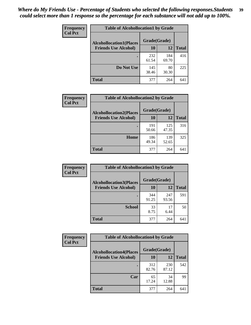| Frequency      | <b>Table of Alcohollocation1 by Grade</b> |              |              |              |
|----------------|-------------------------------------------|--------------|--------------|--------------|
| <b>Col Pct</b> | <b>Alcohollocation1(Places</b>            | Grade(Grade) |              |              |
|                | <b>Friends Use Alcohol)</b>               | 10           | 12           | <b>Total</b> |
|                |                                           | 232<br>61.54 | 184<br>69.70 | 416          |
|                | Do Not Use                                | 145<br>38.46 | 80<br>30.30  | 225          |
|                | <b>Total</b>                              | 377          | 264          | 641          |

| <b>Frequency</b> | <b>Table of Alcohollocation2 by Grade</b>                     |                    |              |              |
|------------------|---------------------------------------------------------------|--------------------|--------------|--------------|
| <b>Col Pct</b>   | <b>Alcohollocation2(Places</b><br><b>Friends Use Alcohol)</b> | Grade(Grade)<br>10 | 12           | <b>Total</b> |
|                  |                                                               |                    |              |              |
|                  |                                                               | 191<br>50.66       | 125<br>47.35 | 316          |
|                  | Home                                                          | 186<br>49.34       | 139<br>52.65 | 325          |
|                  | <b>Total</b>                                                  | 377                | 264          | 641          |

| Frequency<br><b>Col Pct</b> | <b>Table of Alcohollocation 3 by Grade</b>                    |                    |              |              |
|-----------------------------|---------------------------------------------------------------|--------------------|--------------|--------------|
|                             | <b>Alcohollocation3(Places</b><br><b>Friends Use Alcohol)</b> | Grade(Grade)<br>10 | 12           | <b>Total</b> |
|                             |                                                               | 344<br>91.25       | 247<br>93.56 | 591          |
|                             | <b>School</b>                                                 | 33<br>8.75         | 17<br>6.44   | 50           |
|                             | <b>Total</b>                                                  | 377                | 264          | 641          |

| <b>Frequency</b> | <b>Table of Alcohollocation4 by Grade</b> |              |              |              |  |
|------------------|-------------------------------------------|--------------|--------------|--------------|--|
| <b>Col Pct</b>   | <b>Alcohollocation4(Places</b>            | Grade(Grade) |              |              |  |
|                  | <b>Friends Use Alcohol)</b>               | 10           | 12           | <b>Total</b> |  |
|                  |                                           | 312<br>82.76 | 230<br>87.12 | 542          |  |
|                  | Car                                       | 65<br>17.24  | 34<br>12.88  | 99           |  |
|                  | <b>Total</b>                              | 377          | 264          | 641          |  |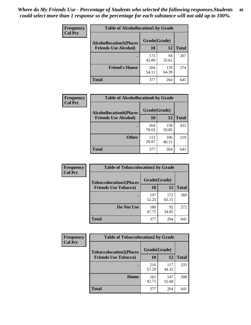| <b>Frequency</b><br><b>Col Pct</b> | <b>Table of Alcohollocation5 by Grade</b> |              |              |              |  |
|------------------------------------|-------------------------------------------|--------------|--------------|--------------|--|
|                                    | <b>Alcohollocation5(Places</b>            | Grade(Grade) |              |              |  |
|                                    | <b>Friends Use Alcohol)</b>               | 10           | 12           | <b>Total</b> |  |
|                                    |                                           | 173<br>45.89 | 94<br>35.61  | 267          |  |
|                                    | <b>Friend's House</b>                     | 204<br>54.11 | 170<br>64.39 | 374          |  |
|                                    | <b>Total</b>                              | 377          | 264          | 641          |  |

| <b>Frequency</b> | <b>Table of Alcohollocation6 by Grade</b> |              |              |              |
|------------------|-------------------------------------------|--------------|--------------|--------------|
| <b>Col Pct</b>   | <b>Alcohollocation6(Places</b>            | Grade(Grade) |              |              |
|                  | <b>Friends Use Alcohol)</b>               | 10           | 12           | <b>Total</b> |
|                  |                                           | 264<br>70.03 | 158<br>59.85 | 422          |
|                  | <b>Other</b>                              | 113<br>29.97 | 106<br>40.15 | 219          |
|                  | <b>Total</b>                              | 377          | 264          | 641          |

| <b>Frequency</b> | <b>Table of Tobaccolocation1 by Grade</b> |              |              |              |
|------------------|-------------------------------------------|--------------|--------------|--------------|
| <b>Col Pct</b>   | <b>Tobaccolocation1(Places</b>            | Grade(Grade) |              |              |
|                  | <b>Friends Use Tobacco)</b>               | 10           | 12           | <b>Total</b> |
|                  |                                           | 197<br>52.25 | 172<br>65.15 | 369          |
|                  | <b>Do Not Use</b>                         | 180<br>47.75 | 92<br>34.85  | 272          |
|                  | <b>Total</b>                              | 377          | 264          | 641          |

| <b>Frequency</b> | <b>Table of Tobaccolocation2 by Grade</b> |              |              |              |  |
|------------------|-------------------------------------------|--------------|--------------|--------------|--|
| <b>Col Pct</b>   | <b>Tobaccolocation2(Places</b>            | Grade(Grade) |              |              |  |
|                  | <b>Friends Use Tobacco)</b>               | 10           | 12           | <b>Total</b> |  |
|                  |                                           | 216<br>57.29 | 117<br>44.32 | 333          |  |
|                  | Home                                      | 161<br>42.71 | 147<br>55.68 | 308          |  |
|                  | <b>Total</b>                              | 377          | 264          | 641          |  |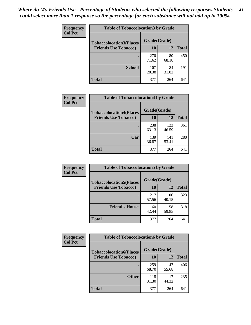| Frequency      | <b>Table of Tobaccolocation 3 by Grade</b> |              |              |              |
|----------------|--------------------------------------------|--------------|--------------|--------------|
| <b>Col Pct</b> | <b>Tobaccolocation3(Places</b>             | Grade(Grade) |              |              |
|                | <b>Friends Use Tobacco)</b>                | 10           | 12           | <b>Total</b> |
|                |                                            | 270<br>71.62 | 180<br>68.18 | 450          |
|                | <b>School</b>                              | 107<br>28.38 | 84<br>31.82  | 191          |
|                | <b>Total</b>                               | 377          | 264          | 641          |

| Frequency      | <b>Table of Tobaccolocation4 by Grade</b> |              |              |              |
|----------------|-------------------------------------------|--------------|--------------|--------------|
| <b>Col Pct</b> | <b>Tobaccolocation4(Places</b>            | Grade(Grade) |              |              |
|                | <b>Friends Use Tobacco)</b>               | 10           | 12           | <b>Total</b> |
|                |                                           | 238<br>63.13 | 123<br>46.59 | 361          |
|                | Car                                       | 139<br>36.87 | 141<br>53.41 | 280          |
|                | <b>Total</b>                              | 377          | 264          | 641          |

| Frequency      | <b>Table of Tobaccolocation5 by Grade</b> |              |              |              |
|----------------|-------------------------------------------|--------------|--------------|--------------|
| <b>Col Pct</b> | <b>Tobaccolocation5(Places</b>            | Grade(Grade) |              |              |
|                | <b>Friends Use Tobacco)</b>               | 10           | 12           | <b>Total</b> |
|                |                                           | 217<br>57.56 | 106<br>40.15 | 323          |
|                | <b>Friend's House</b>                     | 160<br>42.44 | 158<br>59.85 | 318          |
|                | <b>Total</b>                              | 377          | 264          | 641          |

| <b>Frequency</b> | <b>Table of Tobaccolocation6 by Grade</b> |              |              |              |  |
|------------------|-------------------------------------------|--------------|--------------|--------------|--|
| <b>Col Pct</b>   | <b>Tobaccolocation6(Places</b>            | Grade(Grade) |              |              |  |
|                  | <b>Friends Use Tobacco)</b>               | 10           | 12           | <b>Total</b> |  |
|                  |                                           | 259<br>68.70 | 147<br>55.68 | 406          |  |
|                  | <b>Other</b>                              | 118<br>31.30 | 117<br>44.32 | 235          |  |
|                  | <b>Total</b>                              | 377          | 264          | 641          |  |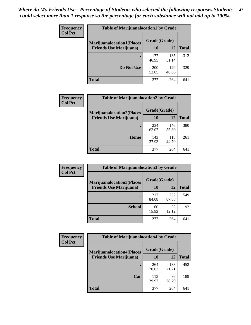| <b>Frequency</b> | <b>Table of Marijuanalocation1 by Grade</b> |              |              |              |
|------------------|---------------------------------------------|--------------|--------------|--------------|
| <b>Col Pct</b>   | <b>Marijuanalocation1(Places</b>            | Grade(Grade) |              |              |
|                  | <b>Friends Use Marijuana</b> )              | <b>10</b>    | 12           | <b>Total</b> |
|                  |                                             | 177<br>46.95 | 135<br>51.14 | 312          |
|                  | Do Not Use                                  | 200<br>53.05 | 129<br>48.86 | 329          |
|                  | <b>Total</b>                                | 377          | 264          | 641          |

| Frequency      | <b>Table of Marijuanalocation2 by Grade</b>                        |                    |              |              |
|----------------|--------------------------------------------------------------------|--------------------|--------------|--------------|
| <b>Col Pct</b> | <b>Marijuanalocation2(Places</b><br><b>Friends Use Marijuana</b> ) | Grade(Grade)<br>10 | 12           | <b>Total</b> |
|                |                                                                    |                    |              |              |
|                |                                                                    | 234<br>62.07       | 146<br>55.30 | 380          |
|                | Home                                                               | 143<br>37.93       | 118<br>44.70 | 261          |
|                | <b>Total</b>                                                       | 377                | 264          | 641          |

| Frequency<br><b>Col Pct</b> | <b>Table of Marijuanalocation3 by Grade</b> |              |              |              |
|-----------------------------|---------------------------------------------|--------------|--------------|--------------|
|                             | <b>Marijuanalocation3(Places</b>            | Grade(Grade) |              |              |
|                             | <b>Friends Use Marijuana</b> )              | 10           | 12           | <b>Total</b> |
|                             |                                             | 317<br>84.08 | 232<br>87.88 | 549          |
|                             | <b>School</b>                               | 60<br>15.92  | 32<br>12.12  | 92           |
|                             | <b>Total</b>                                | 377          | 264          | 641          |

| Frequency      | <b>Table of Marijuanalocation4 by Grade</b> |              |              |              |  |
|----------------|---------------------------------------------|--------------|--------------|--------------|--|
| <b>Col Pct</b> | <b>Marijuanalocation4(Places</b>            | Grade(Grade) |              |              |  |
|                | <b>Friends Use Marijuana</b> )              | <b>10</b>    | 12           | <b>Total</b> |  |
|                |                                             | 264<br>70.03 | 188<br>71.21 | 452          |  |
|                | Car                                         | 113<br>29.97 | 76<br>28.79  | 189          |  |
|                | <b>Total</b>                                | 377          | 264          | 641          |  |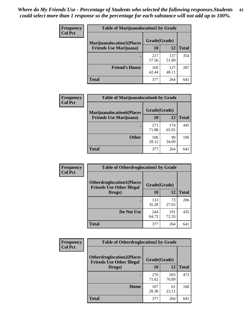| <b>Frequency</b> | <b>Table of Marijuanalocation5 by Grade</b> |              |              |              |
|------------------|---------------------------------------------|--------------|--------------|--------------|
| <b>Col Pct</b>   | <b>Marijuanalocation5</b> (Places           | Grade(Grade) |              |              |
|                  | <b>Friends Use Marijuana</b> )              | 10           | 12           | <b>Total</b> |
|                  |                                             | 217<br>57.56 | 137<br>51.89 | 354          |
|                  | <b>Friend's House</b>                       | 160<br>42.44 | 127<br>48.11 | 287          |
|                  | <b>Total</b>                                | 377          | 264          | 641          |

| <b>Frequency</b> | <b>Table of Marijuanalocation6 by Grade</b> |              |              |              |
|------------------|---------------------------------------------|--------------|--------------|--------------|
| <b>Col Pct</b>   | <b>Marijuanalocation6(Places</b>            | Grade(Grade) |              |              |
|                  | <b>Friends Use Marijuana</b> )              | 10           | 12           | <b>Total</b> |
|                  |                                             | 271<br>71.88 | 174<br>65.91 | 445          |
|                  | <b>Other</b>                                | 106<br>28.12 | 90<br>34.09  | 196          |
|                  | <b>Total</b>                                | 377          | 264          | 641          |

| Frequency      | <b>Table of Otherdruglocation1 by Grade</b>                          |              |              |              |
|----------------|----------------------------------------------------------------------|--------------|--------------|--------------|
| <b>Col Pct</b> | <b>Otherdruglocation1(Places</b><br><b>Friends Use Other Illegal</b> | Grade(Grade) |              |              |
|                | Drugs)                                                               | 10           | 12           | <b>Total</b> |
|                |                                                                      | 133<br>35.28 | 73<br>27.65  | 206          |
|                | Do Not Use                                                           | 244<br>64.72 | 191<br>72.35 | 435          |
|                | <b>Total</b>                                                         | 377          | 264          | 641          |

| <b>Frequency</b> | <b>Table of Otherdruglocation2 by Grade</b>                           |              |              |              |
|------------------|-----------------------------------------------------------------------|--------------|--------------|--------------|
| <b>Col Pct</b>   | <b>Otherdruglocation2(Places)</b><br><b>Friends Use Other Illegal</b> | Grade(Grade) |              |              |
|                  | Drugs)                                                                | 10           | 12           | <b>Total</b> |
|                  |                                                                       | 270<br>71.62 | 203<br>76.89 | 473          |
|                  | Home                                                                  | 107<br>28.38 | 61<br>23.11  | 168          |
|                  | <b>Total</b>                                                          | 377          | 264          | 641          |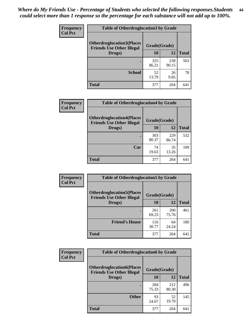| <b>Frequency</b> | <b>Table of Otherdruglocation3 by Grade</b>                          |              |              |              |
|------------------|----------------------------------------------------------------------|--------------|--------------|--------------|
| <b>Col Pct</b>   | <b>Otherdruglocation3(Places</b><br><b>Friends Use Other Illegal</b> | Grade(Grade) |              |              |
|                  | Drugs)                                                               | <b>10</b>    | 12           | <b>Total</b> |
|                  |                                                                      | 325<br>86.21 | 238<br>90.15 | 563          |
|                  | <b>School</b>                                                        | 52<br>13.79  | 26<br>9.85   | 78           |
|                  | Total                                                                | 377          | 264          | 641          |

| Frequency      | <b>Table of Otherdruglocation4 by Grade</b>                          |              |              |              |  |  |
|----------------|----------------------------------------------------------------------|--------------|--------------|--------------|--|--|
| <b>Col Pct</b> | <b>Otherdruglocation4(Places</b><br><b>Friends Use Other Illegal</b> | Grade(Grade) |              |              |  |  |
|                | Drugs)                                                               | <b>10</b>    | 12           | <b>Total</b> |  |  |
|                |                                                                      | 303<br>80.37 | 229<br>86.74 | 532          |  |  |
|                | Car                                                                  | 74<br>19.63  | 35<br>13.26  | 109          |  |  |
|                | <b>Total</b>                                                         | 377          | 264          | 641          |  |  |

| Frequency      | <b>Table of Otherdruglocation5 by Grade</b>                          |              |                     |              |
|----------------|----------------------------------------------------------------------|--------------|---------------------|--------------|
| <b>Col Pct</b> | <b>Otherdruglocation5(Places</b><br><b>Friends Use Other Illegal</b> | Grade(Grade) |                     |              |
|                | Drugs)                                                               | 10           | 12                  | <b>Total</b> |
|                |                                                                      | 261<br>69.23 | <b>200</b><br>75.76 | 461          |
|                | <b>Friend's House</b>                                                | 116<br>30.77 | 64<br>24.24         | 180          |
|                | <b>Total</b>                                                         | 377          | 264                 | 641          |

| <b>Frequency</b> | <b>Table of Otherdruglocation6 by Grade</b>                          |              |              |              |
|------------------|----------------------------------------------------------------------|--------------|--------------|--------------|
| <b>Col Pct</b>   | <b>Otherdruglocation6(Places</b><br><b>Friends Use Other Illegal</b> | Grade(Grade) |              |              |
|                  | Drugs)                                                               | 10           | 12           | <b>Total</b> |
|                  |                                                                      | 284<br>75.33 | 212<br>80.30 | 496          |
|                  | <b>Other</b>                                                         | 93<br>24.67  | 52<br>19.70  | 145          |
|                  | <b>Total</b>                                                         | 377          | 264          | 641          |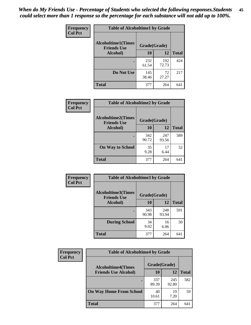| Frequency      | <b>Table of Alcoholtime1 by Grade</b>           |              |              |              |
|----------------|-------------------------------------------------|--------------|--------------|--------------|
| <b>Col Pct</b> | <b>Alcoholtime1(Times</b><br><b>Friends Use</b> | Grade(Grade) |              |              |
|                | Alcohol)                                        | 10           | 12           | <b>Total</b> |
|                |                                                 | 232<br>61.54 | 192<br>72.73 | 424          |
|                | Do Not Use                                      | 145<br>38.46 | 72<br>27.27  | 217          |
|                | <b>Total</b>                                    | 377          | 264          | 641          |

| Frequency      | <b>Table of Alcoholtime2 by Grade</b>           |              |              |              |
|----------------|-------------------------------------------------|--------------|--------------|--------------|
| <b>Col Pct</b> | <b>Alcoholtime2(Times</b><br><b>Friends Use</b> | Grade(Grade) |              |              |
|                | Alcohol)                                        | 10           | 12           | <b>Total</b> |
|                |                                                 | 342<br>90.72 | 247<br>93.56 | 589          |
|                | <b>On Way to School</b>                         | 35<br>9.28   | 17<br>6.44   | 52           |
|                | <b>Total</b>                                    | 377          | 264          | 641          |

| Frequency      | <b>Table of Alcoholtime3 by Grade</b>           |              |              |              |
|----------------|-------------------------------------------------|--------------|--------------|--------------|
| <b>Col Pct</b> | <b>Alcoholtime3(Times</b><br><b>Friends Use</b> | Grade(Grade) |              |              |
|                | Alcohol)                                        | 10           | 12           | <b>Total</b> |
|                |                                                 | 343<br>90.98 | 248<br>93.94 | 591          |
|                | <b>During School</b>                            | 34<br>9.02   | 16<br>6.06   | 50           |
|                | <b>Total</b>                                    | 377          | 264          | 641          |

| <b>Frequency</b><br><b>Col Pct</b> | <b>Table of Alcoholtime4 by Grade</b> |              |              |              |
|------------------------------------|---------------------------------------|--------------|--------------|--------------|
|                                    | <b>Alcoholtime4(Times</b>             | Grade(Grade) |              |              |
|                                    | <b>Friends Use Alcohol)</b>           | 10           | 12           | <b>Total</b> |
|                                    |                                       | 337<br>89.39 | 245<br>92.80 | 582          |
|                                    | <b>On Way Home From School</b>        | 40<br>10.61  | 19<br>7.20   | 59           |
|                                    | <b>Total</b>                          | 377          | 264          | 641          |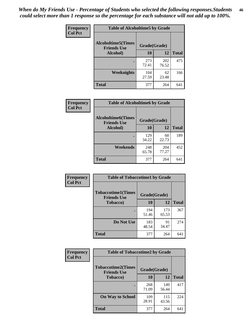*When do My Friends Use - Percentage of Students who selected the following responses.Students could select more than 1 response so the percentage for each substance will not add up to 100%.* **46**

| Frequency      | <b>Table of Alcoholtime5 by Grade</b>           |              |              |              |
|----------------|-------------------------------------------------|--------------|--------------|--------------|
| <b>Col Pct</b> | <b>Alcoholtime5(Times</b><br><b>Friends Use</b> | Grade(Grade) |              |              |
|                | Alcohol)                                        | 10           | 12           | <b>Total</b> |
|                |                                                 | 273<br>72.41 | 202<br>76.52 | 475          |
|                | Weeknights                                      | 104<br>27.59 | 62<br>23.48  | 166          |
|                | <b>Total</b>                                    | 377          | 264          | 641          |

| Frequency      | <b>Table of Alcoholtime6 by Grade</b>           |              |              |              |
|----------------|-------------------------------------------------|--------------|--------------|--------------|
| <b>Col Pct</b> | <b>Alcoholtime6(Times</b><br><b>Friends Use</b> | Grade(Grade) |              |              |
|                | Alcohol)                                        | 10           | 12           | <b>Total</b> |
|                |                                                 | 129<br>34.22 | 60<br>22.73  | 189          |
|                | Weekends                                        | 248<br>65.78 | 204<br>77.27 | 452          |
|                | <b>Total</b>                                    | 377          | 264          | 641          |

| <b>Frequency</b> | <b>Table of Tobaccotime1 by Grade</b>           |              |              |              |
|------------------|-------------------------------------------------|--------------|--------------|--------------|
| <b>Col Pct</b>   | <b>Tobaccotime1(Times</b><br><b>Friends Use</b> | Grade(Grade) |              |              |
|                  | <b>Tobacco</b> )                                | 10           | 12           | <b>Total</b> |
|                  |                                                 | 194<br>51.46 | 173<br>65.53 | 367          |
|                  | Do Not Use                                      | 183<br>48.54 | 91<br>34.47  | 274          |
|                  | <b>Total</b>                                    | 377          | 264          | 641          |

| <b>Frequency</b> | <b>Table of Tobaccotime2 by Grade</b>           |              |              |              |
|------------------|-------------------------------------------------|--------------|--------------|--------------|
| <b>Col Pct</b>   | <b>Tobaccotime2(Times</b><br><b>Friends Use</b> | Grade(Grade) |              |              |
|                  | <b>Tobacco</b> )                                | 10           | 12           | <b>Total</b> |
|                  |                                                 | 268<br>71.09 | 149<br>56.44 | 417          |
|                  | <b>On Way to School</b>                         | 109<br>28.91 | 115<br>43.56 | 224          |
|                  | <b>Total</b>                                    | 377          | 264          | 641          |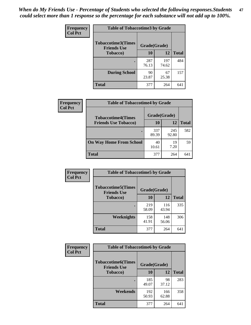*When do My Friends Use - Percentage of Students who selected the following responses.Students could select more than 1 response so the percentage for each substance will not add up to 100%.* **47**

| <b>Frequency</b> | <b>Table of Tobaccotime3 by Grade</b>           |              |              |              |  |
|------------------|-------------------------------------------------|--------------|--------------|--------------|--|
| <b>Col Pct</b>   | <b>Tobaccotime3(Times</b><br><b>Friends Use</b> |              | Grade(Grade) |              |  |
|                  | <b>Tobacco</b> )                                | 10           | 12           | <b>Total</b> |  |
|                  |                                                 | 287<br>76.13 | 197<br>74.62 | 484          |  |
|                  | <b>During School</b>                            | 90<br>23.87  | 67<br>25.38  | 157          |  |
|                  | <b>Total</b>                                    | 377          | 264          | 641          |  |

| <b>Frequency</b> | <b>Table of Tobaccotime4 by Grade</b> |              |              |              |
|------------------|---------------------------------------|--------------|--------------|--------------|
| <b>Col Pct</b>   | <b>Tobaccotime4(Times</b>             | Grade(Grade) |              |              |
|                  | <b>Friends Use Tobacco)</b>           | 10           | 12           | <b>Total</b> |
|                  |                                       | 337<br>89.39 | 245<br>92.80 | 582          |
|                  | <b>On Way Home From School</b>        | 40<br>10.61  | 19<br>7.20   | 59           |
|                  | <b>Total</b>                          | 377          | 264          | 641          |

| <b>Frequency</b> | <b>Table of Tobaccotime5 by Grade</b>           |              |              |              |
|------------------|-------------------------------------------------|--------------|--------------|--------------|
| <b>Col Pct</b>   | <b>Tobaccotime5(Times</b><br><b>Friends Use</b> | Grade(Grade) |              |              |
|                  | <b>Tobacco</b> )                                | 10           | 12           | <b>Total</b> |
|                  |                                                 | 219<br>58.09 | 116<br>43.94 | 335          |
|                  | Weeknights                                      | 158<br>41.91 | 148<br>56.06 | 306          |
|                  | <b>Total</b>                                    | 377          | 264          | 641          |

| Frequency      | <b>Table of Tobaccotime6 by Grade</b>                           |              |              |              |
|----------------|-----------------------------------------------------------------|--------------|--------------|--------------|
| <b>Col Pct</b> | <b>Tobaccotime6(Times</b><br>Grade(Grade)<br><b>Friends Use</b> |              |              |              |
|                | <b>Tobacco</b> )                                                | 10           | 12           | <b>Total</b> |
|                | $\bullet$                                                       | 185<br>49.07 | 98<br>37.12  | 283          |
|                | Weekends                                                        | 192<br>50.93 | 166<br>62.88 | 358          |
|                | <b>Total</b>                                                    | 377          | 264          | 641          |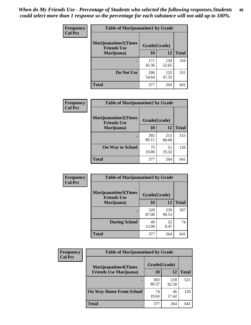| Frequency      | <b>Table of Marijuanatime1 by Grade</b>           |              |              |              |
|----------------|---------------------------------------------------|--------------|--------------|--------------|
| <b>Col Pct</b> | <b>Marijuanatime1(Times</b><br><b>Friends Use</b> | Grade(Grade) |              |              |
|                | Marijuana)                                        | 10           | 12           | <b>Total</b> |
|                |                                                   | 171<br>45.36 | 139<br>52.65 | 310          |
|                | Do Not Use                                        | 206<br>54.64 | 125<br>47.35 | 331          |
|                | <b>Total</b>                                      | 377          | 264          | 641          |

| Frequency      | <b>Table of Marijuanatime2 by Grade</b>    |              |              |              |
|----------------|--------------------------------------------|--------------|--------------|--------------|
| <b>Col Pct</b> | Marijuanatime2(Times<br><b>Friends Use</b> | Grade(Grade) |              |              |
|                | Marijuana)                                 | 10           | 12           | <b>Total</b> |
|                |                                            | 302<br>80.11 | 213<br>80.68 | 515          |
|                | <b>On Way to School</b>                    | 75<br>19.89  | 51<br>19.32  | 126          |
|                | <b>Total</b>                               | 377          | 264          | 641          |

| Frequency      | <b>Table of Marijuanatime3 by Grade</b>    |              |              |              |
|----------------|--------------------------------------------|--------------|--------------|--------------|
| <b>Col Pct</b> | Marijuanatime3(Times<br><b>Friends Use</b> | Grade(Grade) |              |              |
|                | Marijuana)                                 | 10           | 12           | <b>Total</b> |
|                |                                            | 328<br>87.00 | 239<br>90.53 | 567          |
|                | <b>During School</b>                       | 49<br>13.00  | 25<br>9.47   | 74           |
|                | <b>Total</b>                               | 377          | 264          | 641          |

| <b>Frequency</b> | <b>Table of Marijuanatime4 by Grade</b> |              |              |       |
|------------------|-----------------------------------------|--------------|--------------|-------|
| <b>Col Pct</b>   | <b>Marijuanatime4(Times</b>             | Grade(Grade) |              |       |
|                  | <b>Friends Use Marijuana</b> )          | 10           | 12           | Total |
|                  |                                         | 303<br>80.37 | 218<br>82.58 | 521   |
|                  | <b>On Way Home From School</b>          | 74<br>19.63  | 46<br>17.42  | 120   |
|                  | <b>Total</b>                            | 377          | 264          | 641   |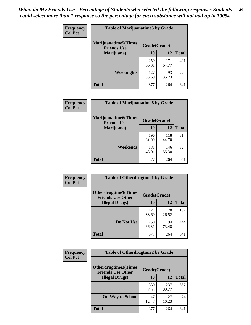| Frequency      | <b>Table of Marijuanatime5 by Grade</b>            |              |              |              |
|----------------|----------------------------------------------------|--------------|--------------|--------------|
| <b>Col Pct</b> | <b>Marijuanatime5</b> (Times<br><b>Friends Use</b> | Grade(Grade) |              |              |
|                | Marijuana)                                         | 10           | 12           | <b>Total</b> |
|                |                                                    | 250<br>66.31 | 171<br>64.77 | 421          |
|                | Weeknights                                         | 127<br>33.69 | 93<br>35.23  | 220          |
|                | <b>Total</b>                                       | 377          | 264          | 641          |

| Frequency      | <b>Table of Marijuanatime6 by Grade</b>            |              |              |              |
|----------------|----------------------------------------------------|--------------|--------------|--------------|
| <b>Col Pct</b> | <b>Marijuanatime6</b> (Times<br><b>Friends Use</b> | Grade(Grade) |              |              |
|                | Marijuana)                                         | 10           | 12           | <b>Total</b> |
|                |                                                    | 196<br>51.99 | 118<br>44.70 | 314          |
|                | Weekends                                           | 181<br>48.01 | 146<br>55.30 | 327          |
|                | <b>Total</b>                                       | 377          | 264          | 641          |

| Frequency      | <b>Table of Otherdrugtime1 by Grade</b>                 |              |              |              |
|----------------|---------------------------------------------------------|--------------|--------------|--------------|
| <b>Col Pct</b> | <b>Otherdrugtime1(Times</b><br><b>Friends Use Other</b> | Grade(Grade) |              |              |
|                | <b>Illegal Drugs</b> )                                  | 10           | 12           | <b>Total</b> |
|                |                                                         | 127<br>33.69 | 70<br>26.52  | 197          |
|                | Do Not Use                                              | 250<br>66.31 | 194<br>73.48 | 444          |
|                | <b>Total</b>                                            | 377          | 264          | 641          |

| Frequency      | <b>Table of Otherdrugtime2 by Grade</b>                 |              |              |              |  |  |
|----------------|---------------------------------------------------------|--------------|--------------|--------------|--|--|
| <b>Col Pct</b> | <b>Otherdrugtime2(Times</b><br><b>Friends Use Other</b> | Grade(Grade) |              |              |  |  |
|                | <b>Illegal Drugs</b> )                                  | 10           | 12           | <b>Total</b> |  |  |
|                |                                                         | 330<br>87.53 | 237<br>89.77 | 567          |  |  |
|                | <b>On Way to School</b>                                 | 47<br>12.47  | 27<br>10.23  | 74           |  |  |
|                | Total                                                   | 377          | 264          | 641          |  |  |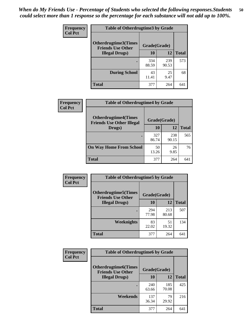| <b>Frequency</b> | <b>Table of Otherdrugtime3 by Grade</b>          |              |              |              |  |  |
|------------------|--------------------------------------------------|--------------|--------------|--------------|--|--|
| <b>Col Pct</b>   | Otherdrugtime3(Times<br><b>Friends Use Other</b> | Grade(Grade) |              |              |  |  |
|                  | <b>Illegal Drugs</b> )                           | 10           | 12           | <b>Total</b> |  |  |
|                  |                                                  | 334<br>88.59 | 239<br>90.53 | 573          |  |  |
|                  | <b>During School</b>                             | 43<br>11.41  | 25<br>9.47   | 68           |  |  |
|                  | Total                                            | 377          | 264          | 641          |  |  |

| Frequency      | <b>Table of Otherdrugtime4 by Grade</b>                         |              |              |              |  |
|----------------|-----------------------------------------------------------------|--------------|--------------|--------------|--|
| <b>Col Pct</b> | <b>Otherdrugtime4(Times</b><br><b>Friends Use Other Illegal</b> | Grade(Grade) |              |              |  |
|                | Drugs)                                                          | 10           | 12           | <b>Total</b> |  |
|                | $\bullet$                                                       | 327<br>86.74 | 238<br>90.15 | 565          |  |
|                | <b>On Way Home From School</b>                                  | 50<br>13.26  | 26<br>9.85   | 76           |  |
|                | Total                                                           | 377          | 264          | 641          |  |

| <b>Frequency</b> | <b>Table of Otherdrugtime5 by Grade</b>                  |              |              |              |  |  |
|------------------|----------------------------------------------------------|--------------|--------------|--------------|--|--|
| <b>Col Pct</b>   | <b>Otherdrugtime5</b> (Times<br><b>Friends Use Other</b> | Grade(Grade) |              |              |  |  |
|                  | <b>Illegal Drugs)</b>                                    | 10           | 12           | <b>Total</b> |  |  |
|                  |                                                          | 294<br>77.98 | 213<br>80.68 | 507          |  |  |
|                  | Weeknights                                               | 83<br>22.02  | 51<br>19.32  | 134          |  |  |
|                  | <b>Total</b>                                             | 377          | 264          | 641          |  |  |

| Frequency      | <b>Table of Otherdrugtime6 by Grade</b>                 |              |              |              |  |  |
|----------------|---------------------------------------------------------|--------------|--------------|--------------|--|--|
| <b>Col Pct</b> | <b>Otherdrugtime6(Times</b><br><b>Friends Use Other</b> | Grade(Grade) |              |              |  |  |
|                | <b>Illegal Drugs</b> )                                  | 10           | 12           | <b>Total</b> |  |  |
|                |                                                         | 240<br>63.66 | 185<br>70.08 | 425          |  |  |
|                | Weekends                                                | 137<br>36.34 | 79<br>29.92  | 216          |  |  |
|                | Total                                                   | 377          | 264          | 641          |  |  |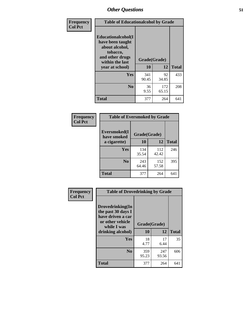| Frequency      | <b>Table of Educationalcohol by Grade</b>                                                                  |              |              |              |  |
|----------------|------------------------------------------------------------------------------------------------------------|--------------|--------------|--------------|--|
| <b>Col Pct</b> | Educationalcohol(I<br>have been taught<br>about alcohol,<br>tobacco,<br>and other drugs<br>within the last | Grade(Grade) |              |              |  |
|                | year at school)                                                                                            | 10           | 12           | <b>Total</b> |  |
|                | <b>Yes</b>                                                                                                 | 341<br>90.45 | 92<br>34.85  | 433          |  |
|                | N <sub>0</sub>                                                                                             | 36<br>9.55   | 172<br>65.15 | 208          |  |
|                | <b>Total</b>                                                                                               | 377          | 264          | 641          |  |

| Frequency      | <b>Table of Eversmoked by Grade</b> |              |              |              |  |  |
|----------------|-------------------------------------|--------------|--------------|--------------|--|--|
| <b>Col Pct</b> | Eversmoked(I<br>have smoked         | Grade(Grade) |              |              |  |  |
|                | a cigarette)                        | 10           | 12           | <b>Total</b> |  |  |
|                | <b>Yes</b>                          | 134<br>35.54 | 112<br>42.42 | 246          |  |  |
|                | N <sub>0</sub>                      | 243<br>64.46 | 152<br>57.58 | 395          |  |  |
|                | <b>Total</b>                        | 377          | 264          | 641          |  |  |

| Frequency<br><b>Col Pct</b> | <b>Table of Drovedrinking by Grade</b>                                                                              |                    |              |              |  |
|-----------------------------|---------------------------------------------------------------------------------------------------------------------|--------------------|--------------|--------------|--|
|                             | Drovedrinking(In<br>the past 30 days I<br>have driven a car<br>or other vehicle<br>while I was<br>drinking alcohol) | Grade(Grade)<br>10 | 12           | <b>Total</b> |  |
|                             | <b>Yes</b>                                                                                                          | 18<br>4.77         | 17<br>6.44   | 35           |  |
|                             | N <sub>0</sub>                                                                                                      | 359<br>95.23       | 247<br>93.56 | 606          |  |
|                             | <b>Total</b>                                                                                                        | 377                | 264          | 641          |  |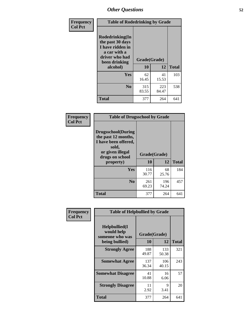| Frequency<br><b>Col Pct</b> | <b>Table of Rodedrinking by Grade</b>                                                                      |              |              |              |  |
|-----------------------------|------------------------------------------------------------------------------------------------------------|--------------|--------------|--------------|--|
|                             | Rodedrinking(In<br>the past 30 days<br>I have ridden in<br>a car with a<br>driver who had<br>been drinking | Grade(Grade) |              |              |  |
|                             | alcohol)                                                                                                   | 10           | 12           | <b>Total</b> |  |
|                             | <b>Yes</b>                                                                                                 | 62<br>16.45  | 41<br>15.53  | 103          |  |
|                             | N <sub>0</sub>                                                                                             | 315<br>83.55 | 223<br>84.47 | 538          |  |
|                             | <b>Total</b>                                                                                               | 377          | 264          | 641          |  |

#### **Frequency Col Pct**

| <b>Table of Drugsschool by Grade</b>                                                                                      |              |              |              |  |  |
|---------------------------------------------------------------------------------------------------------------------------|--------------|--------------|--------------|--|--|
| <b>Drugsschool</b> (During<br>the past 12 months,<br>I have been offered,<br>sold,<br>or given illegal<br>drugs on school | Grade(Grade) |              |              |  |  |
| property)                                                                                                                 | 10           | 12           | <b>Total</b> |  |  |
| Yes                                                                                                                       | 116<br>30.77 | 68<br>25.76  | 184          |  |  |
| N <sub>0</sub>                                                                                                            | 261<br>69.23 | 196<br>74.24 | 457          |  |  |
| <b>Total</b>                                                                                                              | 377          | 264          | 641          |  |  |

| Frequency      | <b>Table of Helpbullied by Grade</b>                 |                          |              |              |  |  |
|----------------|------------------------------------------------------|--------------------------|--------------|--------------|--|--|
| <b>Col Pct</b> | $Helpb$ ullied $(I$<br>would help<br>someone who was | Grade(Grade)<br>10<br>12 |              |              |  |  |
|                | being bullied)                                       |                          |              | <b>Total</b> |  |  |
|                | <b>Strongly Agree</b>                                | 188<br>49.87             | 133<br>50.38 | 321          |  |  |
|                | <b>Somewhat Agree</b>                                | 137<br>36.34             | 106<br>40.15 | 243          |  |  |
|                | <b>Somewhat Disagree</b>                             | 41<br>10.88              | 16<br>6.06   | 57           |  |  |
|                | <b>Strongly Disagree</b>                             | 11<br>2.92               | 9<br>3.41    | 20           |  |  |
|                | <b>Total</b>                                         | 377                      | 264          | 641          |  |  |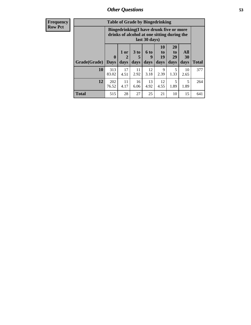11 4.17

16 6.06

**Total** 515 28 27 25 21 10 15 641

13 4.92

12 4.55

5 1.89

| <b>Frequency</b> | <b>Table of Grade by Bingedrinking</b> |                                                                                                         |                |                         |                          |                               |                               |                                 |
|------------------|----------------------------------------|---------------------------------------------------------------------------------------------------------|----------------|-------------------------|--------------------------|-------------------------------|-------------------------------|---------------------------------|
| <b>Row Pct</b>   |                                        | Bingedrinking(I have drunk five or more<br>drinks of alcohol at one sitting during the<br>last 30 days) |                |                         |                          |                               |                               |                                 |
|                  | <b>Grade</b> (Grade)   Days            | 0                                                                                                       | $1$ or<br>days | 3 <sub>to</sub><br>days | <b>6 to</b><br>9<br>days | <b>10</b><br>to<br>19<br>days | <b>20</b><br>to<br>29<br>days | <b>All</b><br><b>30</b><br>days |
|                  | 10                                     | 313<br>83.02                                                                                            | 17<br>4.51     | 11<br>2.92              | 12<br>3.18               | 9<br>2.39                     | 1.33                          | 10<br>2.65                      |

**12** 202 76.52 **Total**

377

264

5 1.89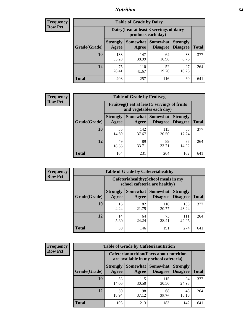### *Nutrition* **54**

| <b>Frequency</b> |
|------------------|
| <b>Row Pct</b>   |

| <b>Table of Grade by Dairy</b> |                          |                                                                 |                             |                                    |              |
|--------------------------------|--------------------------|-----------------------------------------------------------------|-----------------------------|------------------------------------|--------------|
|                                |                          | Dairy (I eat at least 3 servings of dairy<br>products each day) |                             |                                    |              |
| Grade(Grade)                   | <b>Strongly</b><br>Agree | Somewhat  <br>Agree                                             | <b>Somewhat</b><br>Disagree | <b>Strongly</b><br><b>Disagree</b> | <b>Total</b> |
| 10                             | 133<br>35.28             | 147<br>38.99                                                    | 64<br>16.98                 | 33<br>8.75                         | 377          |
| 12                             | 75<br>28.41              | 110<br>41.67                                                    | 52<br>19.70                 | 27<br>10.23                        | 264          |
| <b>Total</b>                   | 208                      | 257                                                             | 116                         | 60                                 | 641          |

| <b>Frequency</b> |  |
|------------------|--|
| <b>Row Pct</b>   |  |

| <b>Table of Grade by Fruitveg</b> |                          |                                                                          |                             |                                    |              |  |
|-----------------------------------|--------------------------|--------------------------------------------------------------------------|-----------------------------|------------------------------------|--------------|--|
|                                   |                          | Fruitveg(I eat at least 5 servings of fruits<br>and vegetables each day) |                             |                                    |              |  |
| Grade(Grade)                      | <b>Strongly</b><br>Agree | Somewhat  <br>Agree                                                      | <b>Somewhat</b><br>Disagree | <b>Strongly</b><br><b>Disagree</b> | <b>Total</b> |  |
| 10                                | 55<br>14.59              | 142<br>37.67                                                             | 115<br>30.50                | 65<br>17.24                        | 377          |  |
| 12                                | 49<br>18.56              | 89<br>33.71                                                              | 89<br>33.71                 | 37<br>14.02                        | 264          |  |
| <b>Total</b>                      | 104                      | 231                                                                      | 204                         | 102                                | 641          |  |

| <b>Frequency</b> | <b>Table of Grade by Cafeteriahealthy</b> |                                                                       |                     |                             |                                    |              |
|------------------|-------------------------------------------|-----------------------------------------------------------------------|---------------------|-----------------------------|------------------------------------|--------------|
| <b>Row Pct</b>   |                                           | Cafeteriahealthy (School meals in my<br>school cafeteria are healthy) |                     |                             |                                    |              |
|                  | Grade(Grade)                              | <b>Strongly</b><br>Agree                                              | Somewhat  <br>Agree | Somewhat<br><b>Disagree</b> | <b>Strongly</b><br><b>Disagree</b> | <b>Total</b> |
|                  | 10                                        | 16<br>4.24                                                            | 82<br>21.75         | 116<br>30.77                | 163<br>43.24                       | 377          |
|                  | 12                                        | 14<br>5.30                                                            | 64<br>24.24         | 75<br>28.41                 | 111<br>42.05                       | 264          |
|                  | Total                                     | 30                                                                    | 146                 | 191                         | 274                                | 641          |

| <b>Frequency</b> |
|------------------|
| <b>Row Pct</b>   |

| <b>Table of Grade by Cafeterianutrition</b> |                                                                                           |                     |                                    |                                    |              |
|---------------------------------------------|-------------------------------------------------------------------------------------------|---------------------|------------------------------------|------------------------------------|--------------|
|                                             | <b>Cafeterianutrition</b> (Facts about nutrition<br>are available in my school cafeteria) |                     |                                    |                                    |              |
| Grade(Grade)                                | <b>Strongly</b><br>Agree                                                                  | Somewhat  <br>Agree | <b>Somewhat</b><br><b>Disagree</b> | <b>Strongly</b><br><b>Disagree</b> | <b>Total</b> |
| 10                                          | 53<br>14.06                                                                               | 115<br>30.50        | 115<br>30.50                       | 94<br>24.93                        | 377          |
| 12                                          | 50<br>18.94                                                                               | 98<br>37.12         | 68<br>25.76                        | 48<br>18.18                        | 264          |
| <b>Total</b>                                | 103                                                                                       | 213                 | 183                                | 142                                | 641          |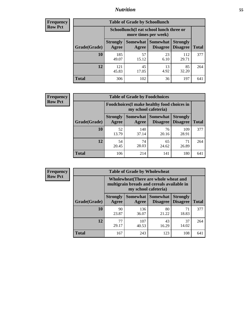### *Nutrition* **55**

| <b>Frequency</b><br>Row Pct |
|-----------------------------|
|                             |

| <b>Table of Grade by Schoollunch</b> |                                                                                                                     |                                                                 |            |              |     |  |
|--------------------------------------|---------------------------------------------------------------------------------------------------------------------|-----------------------------------------------------------------|------------|--------------|-----|--|
|                                      |                                                                                                                     | Schoollunch(I eat school lunch three or<br>more times per week) |            |              |     |  |
| Grade(Grade)                         | Somewhat   Somewhat<br><b>Strongly</b><br><b>Strongly</b><br><b>Disagree</b><br>Disagree<br>Total<br>Agree<br>Agree |                                                                 |            |              |     |  |
| 10                                   | 185<br>49.07                                                                                                        | 57<br>15.12                                                     | 23<br>6.10 | 112<br>29.71 | 377 |  |
| 12                                   | 121<br>45.83                                                                                                        | 45<br>17.05                                                     | 13<br>4.92 | 85<br>32.20  | 264 |  |
| <b>Total</b>                         | 306                                                                                                                 | 102                                                             | 36         | 197          | 641 |  |

| <b>Frequency</b> |  |
|------------------|--|
| <b>Row Pct</b>   |  |

| <b>Table of Grade by Foodchoices</b>                                       |                          |              |                                   |                                    |              |
|----------------------------------------------------------------------------|--------------------------|--------------|-----------------------------------|------------------------------------|--------------|
| <b>Foodchoices</b> (I make healthy food choices in<br>my school cafeteria) |                          |              |                                   |                                    |              |
| Grade(Grade)                                                               | <b>Strongly</b><br>Agree | Agree        | Somewhat   Somewhat  <br>Disagree | <b>Strongly</b><br><b>Disagree</b> | <b>Total</b> |
| 10                                                                         | 52<br>13.79              | 140<br>37.14 | 76<br>20.16                       | 109<br>28.91                       | 377          |
| 12                                                                         | 54<br>20.45              | 74<br>28.03  | 65<br>24.62                       | 71<br>26.89                        | 264          |
| <b>Total</b>                                                               | 106                      | 214          | 141                               | 180                                | 641          |

| <b>Frequency</b> |
|------------------|
| Row Pct          |

 $\blacksquare$ 

| <b>Table of Grade by Wholewheat</b> |                                                                                                             |                   |                             |                                    |              |  |
|-------------------------------------|-------------------------------------------------------------------------------------------------------------|-------------------|-----------------------------|------------------------------------|--------------|--|
|                                     | Wholewheat (There are whole wheat and<br>multigrain breads and cereals available in<br>my school cafeteria) |                   |                             |                                    |              |  |
| Grade(Grade)                        | <b>Strongly</b><br><b>Agree</b>                                                                             | Somewhat<br>Agree | Somewhat<br><b>Disagree</b> | <b>Strongly</b><br><b>Disagree</b> | <b>Total</b> |  |
| 10                                  | 90<br>23.87                                                                                                 | 136<br>36.07      | 80<br>21.22                 | 71<br>18.83                        | 377          |  |
| 12                                  | 77<br>29.17                                                                                                 | 107<br>40.53      | 43<br>16.29                 | 37<br>14.02                        | 264          |  |
| Total                               | 167                                                                                                         | 243               | 123                         | 108                                | 641          |  |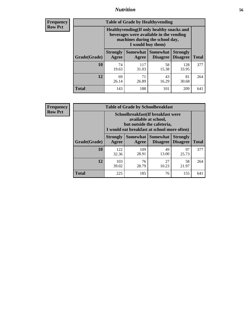### *Nutrition* **56**

**Frequency Row Pct**

| <b>Table of Grade by Healthyvending</b> |                                                                                                                                               |                          |                                    |                                    |              |
|-----------------------------------------|-----------------------------------------------------------------------------------------------------------------------------------------------|--------------------------|------------------------------------|------------------------------------|--------------|
|                                         | Healthyvending (If only healthy snacks and<br>beverages were available in the vending<br>machines during the school day,<br>I would buy them) |                          |                                    |                                    |              |
| Grade(Grade)                            | <b>Strongly</b><br>Agree                                                                                                                      | <b>Somewhat</b><br>Agree | <b>Somewhat</b><br><b>Disagree</b> | <b>Strongly</b><br><b>Disagree</b> | <b>Total</b> |
| 10                                      | 74<br>19.63                                                                                                                                   | 117<br>31.03             | 58<br>15.38                        | 128<br>33.95                       | 377          |
| 12                                      | 69<br>26.14                                                                                                                                   | 71<br>26.89              | 43<br>16.29                        | 81<br>30.68                        | 264          |
| <b>Total</b>                            | 143                                                                                                                                           | 188                      | 101                                | 209                                | 641          |

**Frequency Row Pct**

| <b>Table of Grade by Schoolbreakfast</b> |                                                                                                                                         |                     |                                    |                                    |              |  |
|------------------------------------------|-----------------------------------------------------------------------------------------------------------------------------------------|---------------------|------------------------------------|------------------------------------|--------------|--|
|                                          | Schoolbreakfast (If breakfast were<br>available at school,<br>but outside the cafeteria,<br>I would eat breakfast at school more often) |                     |                                    |                                    |              |  |
| Grade(Grade)                             | <b>Strongly</b><br>Agree                                                                                                                | Somewhat  <br>Agree | <b>Somewhat</b><br><b>Disagree</b> | <b>Strongly</b><br><b>Disagree</b> | <b>Total</b> |  |
| 10                                       | 122<br>32.36                                                                                                                            | 109<br>28.91        | 49<br>13.00                        | 97<br>25.73                        | 377          |  |
| 12                                       | 103<br>39.02                                                                                                                            | 76<br>28.79         | 27<br>10.23                        | 58<br>21.97                        | 264          |  |
| <b>Total</b>                             | 225                                                                                                                                     | 185                 | 76                                 | 155                                | 641          |  |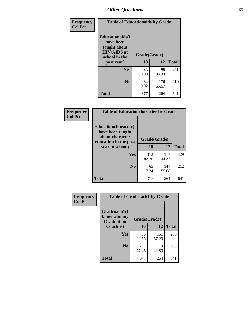| Frequency<br><b>Col Pct</b> | <b>Table of Educationaids by Grade</b>                                                                    |                    |              |              |
|-----------------------------|-----------------------------------------------------------------------------------------------------------|--------------------|--------------|--------------|
|                             | <b>Educationaids</b> (I<br>have been<br>taught about<br><b>HIV/AIDS</b> at<br>school in the<br>past year) | Grade(Grade)<br>10 | 12           | <b>Total</b> |
|                             | Yes                                                                                                       | 343<br>90.98       | 88<br>33.33  | 431          |
|                             | N <sub>0</sub>                                                                                            | 34<br>9.02         | 176<br>66.67 | 210          |
|                             | <b>Total</b>                                                                                              | 377                | 264          | 641          |

| Frequency | <b>Table of Educationcharacter by Grade</b>                         |              |              |              |
|-----------|---------------------------------------------------------------------|--------------|--------------|--------------|
| Col Pct   | <b>Educationcharacter(I)</b><br>have been taught<br>about character | Grade(Grade) |              |              |
|           | education in the past<br>year at school)                            | 10           | 12           | <b>Total</b> |
|           | <b>Yes</b>                                                          | 312<br>82.76 | 117<br>44.32 | 429          |
|           | N <sub>0</sub>                                                      | 65<br>17.24  | 147<br>55.68 | 212          |
|           | <b>Total</b>                                                        | 377          | 264          | 641          |

| Frequency      | <b>Table of Gradcoach1 by Grade</b>              |              |              |              |
|----------------|--------------------------------------------------|--------------|--------------|--------------|
| <b>Col Pct</b> | Gradcoach1(I<br>know who my<br><b>Graduation</b> | Grade(Grade) |              |              |
|                | Coach is)                                        | 10           | 12           | <b>Total</b> |
|                | <b>Yes</b>                                       | 85<br>22.55  | 151<br>57.20 | 236          |
|                | N <sub>0</sub>                                   | 292<br>77.45 | 113<br>42.80 | 405          |
|                | <b>Total</b>                                     | 377          | 264          | 641          |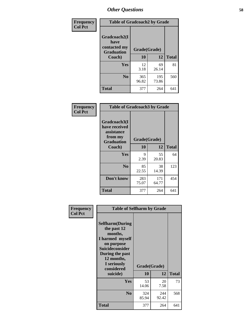| Frequency      | <b>Table of Gradcoach2 by Grade</b> |              |              |              |
|----------------|-------------------------------------|--------------|--------------|--------------|
| <b>Col Pct</b> | Gradcoach2(I<br>have                |              |              |              |
|                | contacted my<br><b>Graduation</b>   | Grade(Grade) |              |              |
|                | Coach)                              | 10           | 12           | <b>Total</b> |
|                | Yes                                 | 12<br>3.18   | 69<br>26.14  | 81           |
|                | N <sub>0</sub>                      | 365<br>96.82 | 195<br>73.86 | 560          |
|                | <b>Total</b>                        | 377          | 264          | 641          |

| <b>Frequency</b><br><b>Col Pct</b> | <b>Table of Gradcoach3 by Grade</b>                                         |              |              |              |  |
|------------------------------------|-----------------------------------------------------------------------------|--------------|--------------|--------------|--|
|                                    | Gradcoach3(I<br>have received<br>assistance<br>from my<br><b>Graduation</b> | Grade(Grade) |              |              |  |
|                                    | Coach)                                                                      | 10           | 12           | <b>Total</b> |  |
|                                    | Yes                                                                         | 9<br>2.39    | 55<br>20.83  | 64           |  |
|                                    | N <sub>0</sub>                                                              | 85<br>22.55  | 38<br>14.39  | 123          |  |
|                                    | Don't know                                                                  | 283<br>75.07 | 171<br>64.77 | 454          |  |
|                                    | <b>Total</b>                                                                | 377          | 264          | 641          |  |

| Frequency      | <b>Table of Selfharm by Grade</b>                                                                                                                                          |              |              |              |
|----------------|----------------------------------------------------------------------------------------------------------------------------------------------------------------------------|--------------|--------------|--------------|
| <b>Col Pct</b> | <b>Selfharm</b> (During<br>the past 12<br>months,<br>I harmed myself<br>on purpose<br><b>Suicideconsider</b><br>During the past<br>12 months,<br>I seriously<br>considered | Grade(Grade) |              |              |
|                | suicide)                                                                                                                                                                   | 10           | 12           | <b>Total</b> |
|                | <b>Yes</b>                                                                                                                                                                 | 53<br>14.06  | 20<br>7.58   | 73           |
|                | N <sub>0</sub>                                                                                                                                                             | 324<br>85.94 | 244<br>92.42 | 568          |
|                | Total                                                                                                                                                                      | 377          | 264          | 641          |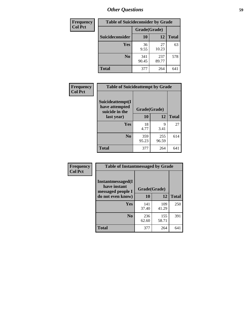| <b>Frequency</b> | <b>Table of Suicideconsider by Grade</b> |              |              |              |  |
|------------------|------------------------------------------|--------------|--------------|--------------|--|
| <b>Col Pct</b>   |                                          | Grade(Grade) |              |              |  |
|                  | Suicideconsider                          | <b>10</b>    | 12           | <b>Total</b> |  |
|                  | Yes                                      | 36<br>9.55   | 27<br>10.23  | 63           |  |
|                  | N <sub>0</sub>                           | 341<br>90.45 | 237<br>89.77 | 578          |  |
|                  | Total                                    | 377          | 264          | 641          |  |

| Frequency      | <b>Table of Suicideattempt by Grade</b>              |              |              |              |
|----------------|------------------------------------------------------|--------------|--------------|--------------|
| <b>Col Pct</b> | Suicideattempt(I<br>have attempted<br>suicide in the | Grade(Grade) |              |              |
|                | last year)                                           | 10           | 12           | <b>Total</b> |
|                | Yes                                                  | 18<br>4.77   | Q<br>3.41    | 27           |
|                | N <sub>0</sub>                                       | 359<br>95.23 | 255<br>96.59 | 614          |
|                | <b>Total</b>                                         | 377          | 264          | 641          |

| Frequency      | <b>Table of Instantmessaged by Grade</b>               |              |              |              |
|----------------|--------------------------------------------------------|--------------|--------------|--------------|
| <b>Col Pct</b> | Instantmessaged(I<br>have instant<br>messaged people I | Grade(Grade) |              |              |
|                | do not even know)                                      | 10           | 12           | <b>Total</b> |
|                | Yes                                                    | 141<br>37.40 | 109<br>41.29 | 250          |
|                | N <sub>0</sub>                                         | 236<br>62.60 | 155<br>58.71 | 391          |
|                | <b>Total</b>                                           | 377          | 264          | 641          |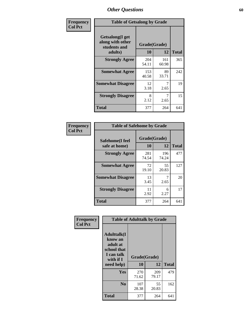| Frequency      | <b>Table of Getsalong by Grade</b>                          |              |              |              |  |  |
|----------------|-------------------------------------------------------------|--------------|--------------|--------------|--|--|
| <b>Col Pct</b> | <b>Getsalong</b> (I get<br>along with other<br>students and | Grade(Grade) |              |              |  |  |
|                | adults)                                                     | 10           | 12           | <b>Total</b> |  |  |
|                | <b>Strongly Agree</b>                                       | 204<br>54.11 | 161<br>60.98 | 365          |  |  |
|                | <b>Somewhat Agree</b>                                       | 153<br>40.58 | 89<br>33.71  | 242          |  |  |
|                | <b>Somewhat Disagree</b>                                    | 12<br>3.18   | 7<br>2.65    | 19           |  |  |
|                | <b>Strongly Disagree</b>                                    | 8<br>2.12    | 7<br>2.65    | 15           |  |  |
|                | <b>Total</b>                                                | 377          | 264          | 641          |  |  |

| Frequency      | <b>Table of Safehome by Grade</b> |                           |              |              |  |  |
|----------------|-----------------------------------|---------------------------|--------------|--------------|--|--|
| <b>Col Pct</b> | Safehome(I feel<br>safe at home)  | Grade(Grade)<br><b>10</b> | 12           | <b>Total</b> |  |  |
|                | <b>Strongly Agree</b>             | 281<br>74.54              | 196<br>74.24 | 477          |  |  |
|                | <b>Somewhat Agree</b>             | 72<br>19.10               | 55<br>20.83  | 127          |  |  |
|                | <b>Somewhat Disagree</b>          | 13<br>3.45                | 2.65         | 20           |  |  |
|                | <b>Strongly Disagree</b>          | 11<br>2.92                | 6<br>2.27    | 17           |  |  |
|                | <b>Total</b>                      | 377                       | 264          | 641          |  |  |

| Frequency      |                                                                                      | <b>Table of Adulttalk by Grade</b> |              |              |
|----------------|--------------------------------------------------------------------------------------|------------------------------------|--------------|--------------|
| <b>Col Pct</b> | <b>Adulttalk</b> (I<br>know an<br>adult at<br>school that<br>I can talk<br>with if I | Grade(Grade)                       |              |              |
|                | need help)                                                                           | 10                                 | 12           | <b>Total</b> |
|                | <b>Yes</b>                                                                           | 270<br>71.62                       | 209<br>79.17 | 479          |
|                | N <sub>0</sub>                                                                       | 107<br>28.38                       | 55<br>20.83  | 162          |
|                | <b>Total</b>                                                                         | 377                                | 264          | 641          |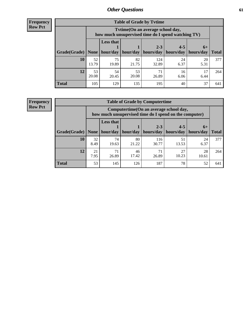**Frequency Row Pct**

| <b>Table of Grade by Tvtime</b> |             |                                                                                         |             |                      |                      |                   |              |  |  |  |
|---------------------------------|-------------|-----------------------------------------------------------------------------------------|-------------|----------------------|----------------------|-------------------|--------------|--|--|--|
|                                 |             | Tytime (On an average school day,<br>how much unsupervised time do I spend watching TV) |             |                      |                      |                   |              |  |  |  |
| $ $ Grade(Grade) $ $            | None        | Less that<br>hour/day                                                                   | hour/day    | $2 - 3$<br>hours/day | $4 - 5$<br>hours/day | $6+$<br>hours/day | <b>Total</b> |  |  |  |
| 10                              | 52<br>13.79 | 75<br>19.89                                                                             | 82<br>21.75 | 124<br>32.89         | 24<br>6.37           | 20<br>5.31        | 377          |  |  |  |
| 12                              | 53<br>20.08 | 54<br>20.45                                                                             | 53<br>20.08 | 71<br>26.89          | 16<br>6.06           | 17<br>6.44        | 264          |  |  |  |
| <b>Total</b>                    | 105         | 129                                                                                     | 135         | 195                  | 40                   | 37                | 641          |  |  |  |

**Frequency Row Pct**

| <b>Table of Grade by Computertime</b> |            |                                                                                                   |             |                      |                      |                   |              |  |  |  |
|---------------------------------------|------------|---------------------------------------------------------------------------------------------------|-------------|----------------------|----------------------|-------------------|--------------|--|--|--|
|                                       |            | Computertime (On an average school day,<br>how much unsupervised time do I spend on the computer) |             |                      |                      |                   |              |  |  |  |
| Grade(Grade)                          | None       | <b>Less that</b><br>hour/day                                                                      | hour/day    | $2 - 3$<br>hours/day | $4 - 5$<br>hours/day | $6+$<br>hours/day | <b>Total</b> |  |  |  |
| 10                                    | 32<br>8.49 | 74<br>19.63                                                                                       | 80<br>21.22 | 116<br>30.77         | 51<br>13.53          | 24<br>6.37        | 377          |  |  |  |
| 12                                    | 21<br>7.95 | 71<br>46<br>27<br>71<br>28<br>10.23<br>17.42<br>26.89<br>26.89<br>10.61                           |             |                      |                      |                   |              |  |  |  |
| <b>Total</b>                          | 53         | 145                                                                                               | 126         | 187                  | 78                   | 52                | 641          |  |  |  |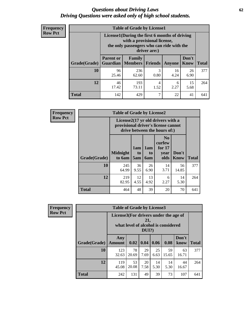#### *Questions about Driving Laws* **62** *Driving Questions were asked only of high school students.*

| <b>Frequency</b> |
|------------------|
| <b>Row Pct</b>   |

| <b>Table of Grade by License1</b> |                                                                     |                                                                                                                                           |                |            |                      |              |  |  |  |
|-----------------------------------|---------------------------------------------------------------------|-------------------------------------------------------------------------------------------------------------------------------------------|----------------|------------|----------------------|--------------|--|--|--|
|                                   |                                                                     | License1(During the first 6 months of driving<br>with a provisional license,<br>the only passengers who can ride with the<br>driver are:) |                |            |                      |              |  |  |  |
| Grade(Grade)                      | <b>Parent or</b><br><b>Guardian</b>                                 | Family<br><b>Members</b>                                                                                                                  | <b>Friends</b> | Anyone     | Don't<br><b>Know</b> | <b>Total</b> |  |  |  |
| 10                                | 96<br>25.46                                                         | 236<br>62.60                                                                                                                              | 3<br>0.80      | 16<br>4.24 | 26<br>6.90           | 377          |  |  |  |
| 12                                | 46<br>15<br>193<br>4<br>6<br>73.11<br>17.42<br>2.27<br>1.52<br>5.68 |                                                                                                                                           |                |            |                      |              |  |  |  |
| <b>Total</b>                      | 142                                                                 | 429                                                                                                                                       | 7              | 22         | 41                   | 641          |  |  |  |

| <b>Frequency</b> | <b>Table of Grade by License2</b> |                           |                              |                  |                                                                                                          |               |              |  |  |
|------------------|-----------------------------------|---------------------------|------------------------------|------------------|----------------------------------------------------------------------------------------------------------|---------------|--------------|--|--|
| <b>Row Pct</b>   |                                   |                           |                              |                  | License2(17 yr old drivers with a<br>provisional driver's license cannot<br>drive between the hours of:) |               |              |  |  |
|                  | Grade(Grade)                      | <b>Midnight</b><br>to 6am | 1am<br>t <sub>0</sub><br>5am | 1am<br>to<br>6am | N <sub>0</sub><br>curfew<br>for $17$<br>vear<br>olds                                                     | Don't<br>Know | <b>Total</b> |  |  |
|                  | 10                                | 245<br>64.99              | 36<br>9.55                   | 26<br>6.90       | 14<br>3.71                                                                                               | 56<br>14.85   | 377          |  |  |
|                  | 12                                | 219<br>82.95              | 12<br>4.55                   | 13<br>4.92       | 6<br>2.27                                                                                                | 14<br>5.30    | 264          |  |  |
|                  | <b>Total</b>                      | 464                       | 48                           | 39               | 20                                                                                                       | 70            | 641          |  |  |

| Frequency      |              | <b>Table of Grade by License3</b>     |                                     |                 |            |             |               |              |  |  |
|----------------|--------------|---------------------------------------|-------------------------------------|-----------------|------------|-------------|---------------|--------------|--|--|
| <b>Row Pct</b> |              | License3(For drivers under the age of | what level of alcohol is considered | 21,<br>$DUI$ ?) |            |             |               |              |  |  |
|                | Grade(Grade) | Any<br><b>Amount</b>                  | 0.02                                | 0.04            | 0.06       | 0.08        | Don't<br>know | <b>Total</b> |  |  |
|                | <b>10</b>    | 123<br>32.63                          | 78<br>20.69                         | 29<br>7.69      | 25<br>6.63 | 59<br>15.65 | 63<br>16.71   | 377          |  |  |
|                | 12           | 119<br>45.08                          | 53<br>20.08                         | 20<br>7.58      | 14<br>5.30 | 14<br>5.30  | 44<br>16.67   | 264          |  |  |
|                | <b>Total</b> | 242                                   | 131                                 | 49              | 39         | 73          | 107           | 641          |  |  |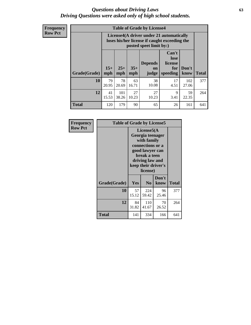#### *Questions about Driving Laws* **63** *Driving Questions were asked only of high school students.*

**Frequency Row Pct**

| <b>Table of Grade by License4</b> |             |                                                                                                                                                                                                                                                                                |             |             |            |              |     |  |  |
|-----------------------------------|-------------|--------------------------------------------------------------------------------------------------------------------------------------------------------------------------------------------------------------------------------------------------------------------------------|-------------|-------------|------------|--------------|-----|--|--|
|                                   |             | License4(A driver under 21 automatically<br>loses his/her license if caught exceeding the<br>posted speet limit by:)<br>Can't<br>lose<br><b>Depends</b><br>license<br>$15+$<br>$25+$<br>$35+$<br>Don't<br>for<br>on<br><b>Total</b><br>mph<br>speeding<br>know<br>mph<br>judge |             |             |            |              |     |  |  |
| Grade(Grade)                      | mph         |                                                                                                                                                                                                                                                                                |             |             |            |              |     |  |  |
| 10                                | 79<br>20.95 | 78<br>20.69                                                                                                                                                                                                                                                                    | 63<br>16.71 | 38<br>10.08 | 17<br>4.51 | 102<br>27.06 | 377 |  |  |
| 12                                | 41<br>15.53 | 101<br>27<br>27<br>9<br>59<br>38.26<br>10.23<br>3.41<br>22.35<br>10.23                                                                                                                                                                                                         |             |             |            |              |     |  |  |
| <b>Total</b>                      | 120         | 179                                                                                                                                                                                                                                                                            | 90          | 65          | 26         | 161          | 641 |  |  |

| Frequency      |              | <b>Table of Grade by License5</b> |                                                                                                                                      |                     |              |  |  |
|----------------|--------------|-----------------------------------|--------------------------------------------------------------------------------------------------------------------------------------|---------------------|--------------|--|--|
| <b>Row Pct</b> |              |                                   | License5(A)<br>Georgia teenager<br>with family<br>connections or a<br>good lawyer can<br>break a teen<br>driving law and<br>license) | keep their driver's |              |  |  |
|                | Grade(Grade) | <b>Yes</b>                        | N <sub>0</sub>                                                                                                                       | Don't<br>know       | <b>Total</b> |  |  |
|                | 10           | 57<br>15.12                       | 224<br>59.42                                                                                                                         | 96<br>25.46         | 377          |  |  |
|                | 12           | 84<br>31.82                       | 110<br>41.67                                                                                                                         | 70<br>26.52         | 264          |  |  |
|                | Total        | 141                               | 334                                                                                                                                  | 166                 | 641          |  |  |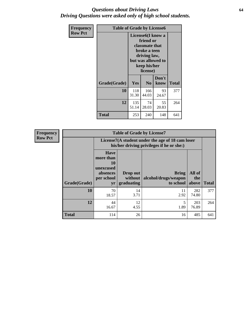#### *Questions about Driving Laws* **64** *Driving Questions were asked only of high school students.*

| <b>Frequency</b> |              | <b>Table of Grade by License6</b>                                                                                                               |                             |               |              |  |  |
|------------------|--------------|-------------------------------------------------------------------------------------------------------------------------------------------------|-----------------------------|---------------|--------------|--|--|
| <b>Row Pct</b>   |              | License <sub>6</sub> (I know a<br>friend or<br>classmate that<br>broke a teen<br>driving law,<br>but was allowed to<br>keep his/her<br>license) |                             |               |              |  |  |
|                  | Grade(Grade) | <b>Yes</b>                                                                                                                                      | N <sub>0</sub>              | Don't<br>know | <b>Total</b> |  |  |
|                  | 10           | 118<br>31.30                                                                                                                                    | 93<br>166<br>44.03<br>24.67 |               |              |  |  |
|                  | 12           | 135<br>74<br>55<br>28.03<br>20.83<br>51.14                                                                                                      |                             |               | 264          |  |  |
|                  | <b>Total</b> | 253                                                                                                                                             | 240                         | 148           | 641          |  |  |

| Frequency      | <b>Table of Grade by License7</b> |                                                                             |                                     |                                                                                               |                        |              |
|----------------|-----------------------------------|-----------------------------------------------------------------------------|-------------------------------------|-----------------------------------------------------------------------------------------------|------------------------|--------------|
| <b>Row Pct</b> |                                   |                                                                             |                                     | License7(A student under the age of 18 cam loser<br>his/her driving privileges if he or she:) |                        |              |
|                | Grade(Grade)                      | <b>Have</b><br>more than<br>10<br>unexcused<br>absences<br>per school<br>yr | Drop out<br>without  <br>graduating | <b>Bring</b><br>alcohol/drugs/weapon<br>to school                                             | All of<br>the<br>above | <b>Total</b> |
|                | 10                                | 70<br>18.57                                                                 | 14<br>3.71                          | 11<br>2.92                                                                                    | 282<br>74.80           | 377          |
|                | 12                                | 44<br>16.67                                                                 | 12<br>4.55                          | 1.89                                                                                          | 203<br>76.89           | 264          |
|                | <b>Total</b>                      | 114                                                                         | 26                                  | 16                                                                                            | 485                    | 641          |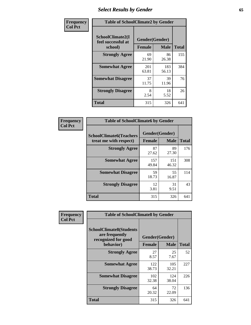## *Select Results by Gender* **65**

| Frequency      | <b>Table of SchoolClimate2 by Gender</b>          |                                 |              |              |
|----------------|---------------------------------------------------|---------------------------------|--------------|--------------|
| <b>Col Pct</b> | SchoolClimate2(I<br>feel successful at<br>school) | Gender(Gender)<br><b>Female</b> | <b>Male</b>  | <b>Total</b> |
|                | <b>Strongly Agree</b>                             | 69<br>21.90                     | 86<br>26.38  | 155          |
|                | <b>Somewhat Agree</b>                             | 201<br>63.81                    | 183<br>56.13 | 384          |
|                | <b>Somewhat Disagree</b>                          | 37<br>11.75                     | 39<br>11.96  | 76           |
|                | <b>Strongly Disagree</b>                          | 8<br>2.54                       | 18<br>5.52   | 26           |
|                | <b>Total</b>                                      | 315                             | 326          | 641          |

| <b>Frequency</b> | <b>Table of SchoolClimate6 by Gender</b>                 |                                 |              |              |  |
|------------------|----------------------------------------------------------|---------------------------------|--------------|--------------|--|
| <b>Col Pct</b>   | <b>SchoolClimate6(Teachers</b><br>treat me with respect) | Gender(Gender)<br><b>Female</b> | <b>Male</b>  | <b>Total</b> |  |
|                  | <b>Strongly Agree</b>                                    | 87<br>27.62                     | 89<br>27.30  | 176          |  |
|                  | <b>Somewhat Agree</b>                                    | 157<br>49.84                    | 151<br>46.32 | 308          |  |
|                  | <b>Somewhat Disagree</b>                                 | 59<br>18.73                     | 55<br>16.87  | 114          |  |
|                  | <b>Strongly Disagree</b>                                 | 12<br>3.81                      | 31<br>9.51   | 43           |  |
|                  | <b>Total</b>                                             | 315                             | 326          | 641          |  |

| <b>Frequency</b> | <b>Table of SchoolClimate8 by Gender</b>                                             |               |                               |              |  |
|------------------|--------------------------------------------------------------------------------------|---------------|-------------------------------|--------------|--|
| <b>Col Pct</b>   | <b>SchoolClimate8(Students</b><br>are frequently<br>recognized for good<br>behavior) | <b>Female</b> | Gender(Gender)<br><b>Male</b> | <b>Total</b> |  |
|                  |                                                                                      |               |                               |              |  |
|                  | <b>Strongly Agree</b>                                                                | 27<br>8.57    | 25<br>7.67                    | 52           |  |
|                  | <b>Somewhat Agree</b>                                                                | 122<br>38.73  | 105<br>32.21                  | 227          |  |
|                  | <b>Somewhat Disagree</b>                                                             | 102<br>32.38  | 124<br>38.04                  | 226          |  |
|                  | <b>Strongly Disagree</b>                                                             | 64<br>20.32   | 72<br>22.09                   | 136          |  |
|                  | Total                                                                                | 315           | 326                           | 641          |  |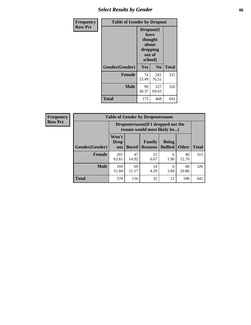## *Select Results by Gender* **66**

| Frequency      | <b>Table of Gender by Dropout</b> |                                                              |                |              |
|----------------|-----------------------------------|--------------------------------------------------------------|----------------|--------------|
| <b>Row Pct</b> |                                   | Dropout(I<br>have<br>thought<br>about<br>dropping<br>school) | out of         |              |
|                | Gender(Gender)                    | Yes                                                          | N <sub>0</sub> | <b>Total</b> |
|                | <b>Female</b>                     | 74<br>23.49                                                  | 241<br>76.51   | 315          |
|                | <b>Male</b>                       | 99<br>30.37                                                  | 227<br>69.63   | 326          |
|                | <b>Total</b>                      | 173                                                          | 468            | 641          |

| <b>Frequency</b> |
|------------------|
| <b>Row Pct</b>   |

| <b>Table of Gender by Dropoutreason</b> |                      |                                                                     |                                 |                                |              |              |
|-----------------------------------------|----------------------|---------------------------------------------------------------------|---------------------------------|--------------------------------|--------------|--------------|
|                                         |                      | Dropoutreason (If I dropped out the<br>reason would most likely be) |                                 |                                |              |              |
| Gender(Gender)                          | Won't<br>Drop<br>out | <b>Bored</b>                                                        | <b>Family</b><br><b>Reasons</b> | <b>Being</b><br><b>Bullied</b> | <b>Other</b> | <b>Total</b> |
| <b>Female</b>                           | 201<br>63.81         | 47<br>14.92                                                         | 21<br>6.67                      | 6<br>1.90                      | 40<br>12.70  | 315          |
| <b>Male</b>                             | 169<br>51.84         | 69<br>21.17                                                         | 14<br>4.29                      | 6<br>1.84                      | 68<br>20.86  | 326          |
| <b>Total</b>                            | 370                  | 116                                                                 | 35                              | 12                             | 108          | 641          |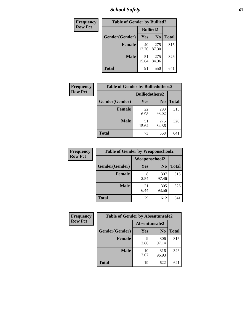*School Safety* **67**

| Frequency      | <b>Table of Gender by Bullied2</b> |                 |                |              |
|----------------|------------------------------------|-----------------|----------------|--------------|
| <b>Row Pct</b> |                                    | <b>Bullied2</b> |                |              |
|                | Gender(Gender)                     | <b>Yes</b>      | N <sub>0</sub> | <b>Total</b> |
|                | <b>Female</b>                      | 40<br>12.70     | 275<br>87.30   | 315          |
|                | <b>Male</b>                        | 51<br>15.64     | 275<br>84.36   | 326          |
|                | <b>Total</b>                       | 91              | 550            | 641          |

| Frequency      | <b>Table of Gender by Bulliedothers2</b> |                       |                |              |  |
|----------------|------------------------------------------|-----------------------|----------------|--------------|--|
| <b>Row Pct</b> |                                          | <b>Bulliedothers2</b> |                |              |  |
|                | Gender(Gender)                           | Yes                   | N <sub>0</sub> | <b>Total</b> |  |
|                | <b>Female</b>                            | 22<br>6.98            | 293<br>93.02   | 315          |  |
|                | <b>Male</b>                              | 51<br>15.64           | 275<br>84.36   | 326          |  |
|                | <b>Total</b>                             | 73                    | 568            | 641          |  |

| Frequency      | <b>Table of Gender by Weaponschool2</b> |                      |                |              |
|----------------|-----------------------------------------|----------------------|----------------|--------------|
| <b>Row Pct</b> |                                         | <b>Weaponschool2</b> |                |              |
|                | Gender(Gender)                          | Yes                  | N <sub>0</sub> | <b>Total</b> |
|                | <b>Female</b>                           | 2.54                 | 307<br>97.46   | 315          |
|                | <b>Male</b>                             | 21<br>6.44           | 305<br>93.56   | 326          |
|                | <b>Total</b>                            | 29                   | 612            | 641          |

| <b>Frequency</b> | <b>Table of Gender by Absentunsafe2</b> |               |                |              |  |
|------------------|-----------------------------------------|---------------|----------------|--------------|--|
| <b>Row Pct</b>   |                                         | Absentunsafe2 |                |              |  |
|                  | Gender(Gender)                          | Yes           | N <sub>0</sub> | <b>Total</b> |  |
|                  | <b>Female</b>                           | q<br>2.86     | 306<br>97.14   | 315          |  |
|                  | <b>Male</b>                             | 10<br>3.07    | 316<br>96.93   | 326          |  |
|                  | <b>Total</b>                            | 19            | 622            | 641          |  |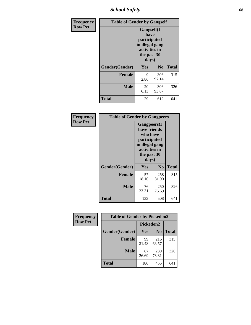*School Safety* **68**

| Frequency      | <b>Table of Gender by Gangself</b> |                                                                                                |              |              |
|----------------|------------------------------------|------------------------------------------------------------------------------------------------|--------------|--------------|
| <b>Row Pct</b> |                                    | Gangself(I<br>have<br>participated<br>in illegal gang<br>activities in<br>the past 30<br>days) |              |              |
|                | Gender(Gender)                     | Yes                                                                                            | $\bf No$     | <b>Total</b> |
|                | <b>Female</b>                      | 9<br>2.86                                                                                      | 306<br>97.14 | 315          |
|                | <b>Male</b>                        | 20<br>6.13                                                                                     | 306<br>93.87 | 326          |
|                | <b>Total</b>                       | 29                                                                                             | 612          | 641          |

| Frequency      | <b>Table of Gender by Gangpeers</b> |                                                                                                                             |                |              |
|----------------|-------------------------------------|-----------------------------------------------------------------------------------------------------------------------------|----------------|--------------|
| <b>Row Pct</b> |                                     | <b>Gangpeers</b> (I<br>have friends<br>who have<br>participated<br>in illegal gang<br>activities in<br>the past 30<br>days) |                |              |
|                | Gender(Gender)                      | <b>Yes</b>                                                                                                                  | N <sub>0</sub> | <b>Total</b> |
|                | <b>Female</b>                       | 57<br>18.10                                                                                                                 | 258<br>81.90   | 315          |
|                | <b>Male</b>                         | 76<br>23.31                                                                                                                 | 250<br>76.69   | 326          |
|                | <b>Total</b>                        | 133                                                                                                                         | 508            | 641          |

| Frequency      | <b>Table of Gender by Pickedon2</b> |             |                |              |
|----------------|-------------------------------------|-------------|----------------|--------------|
| <b>Row Pct</b> |                                     | Pickedon2   |                |              |
|                | Gender(Gender)                      | Yes         | N <sub>0</sub> | <b>Total</b> |
|                | <b>Female</b>                       | 99<br>31.43 | 216<br>68.57   | 315          |
|                | <b>Male</b>                         | 87<br>26.69 | 239<br>73.31   | 326          |
|                | <b>Total</b>                        | 186         | 455            | 641          |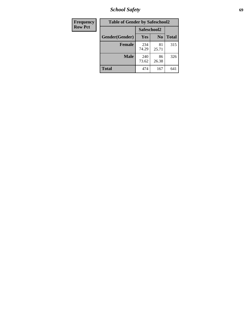*School Safety* **69**

| Frequency      | <b>Table of Gender by Safeschool2</b> |              |                |              |
|----------------|---------------------------------------|--------------|----------------|--------------|
| <b>Row Pct</b> |                                       | Safeschool2  |                |              |
|                | Gender(Gender)                        | <b>Yes</b>   | N <sub>0</sub> | <b>Total</b> |
|                | <b>Female</b>                         | 234<br>74.29 | 81<br>25.71    | 315          |
|                | <b>Male</b>                           | 240<br>73.62 | 86<br>26.38    | 326          |
|                | <b>Total</b>                          | 474          | 167            | 641          |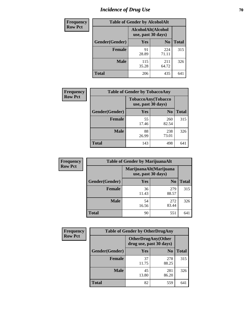# *Incidence of Drug Use* **70**

| <b>Frequency</b> | <b>Table of Gender by AlcoholAlt</b>     |              |                |              |
|------------------|------------------------------------------|--------------|----------------|--------------|
| <b>Row Pct</b>   | AlcoholAlt(Alcohol<br>use, past 30 days) |              |                |              |
|                  | Gender(Gender)                           | <b>Yes</b>   | N <sub>0</sub> | <b>Total</b> |
|                  | <b>Female</b>                            | 91<br>28.89  | 224<br>71.11   | 315          |
|                  | <b>Male</b>                              | 115<br>35.28 | 211<br>64.72   | 326          |
|                  | <b>Total</b>                             | 206          | 435            | 641          |

| <b>Frequency</b> | <b>Table of Gender by TobaccoAny</b> |                    |                    |              |
|------------------|--------------------------------------|--------------------|--------------------|--------------|
| <b>Row Pct</b>   |                                      | use, past 30 days) | TobaccoAny(Tobacco |              |
|                  | Gender(Gender)                       | Yes                | N <sub>0</sub>     | <b>Total</b> |
|                  | <b>Female</b>                        | 55<br>17.46        | 260<br>82.54       | 315          |
|                  | <b>Male</b>                          | 88<br>26.99        | 238<br>73.01       | 326          |
|                  | <b>Total</b>                         | 143                | 498                | 641          |

| <b>Frequency</b> | <b>Table of Gender by MarijuanaAlt</b> |                    |                        |              |
|------------------|----------------------------------------|--------------------|------------------------|--------------|
| <b>Row Pct</b>   |                                        | use, past 30 days) | MarijuanaAlt(Marijuana |              |
|                  | Gender(Gender)                         | <b>Yes</b>         | N <sub>0</sub>         | <b>Total</b> |
|                  | <b>Female</b>                          | 36<br>11.43        | 279<br>88.57           | 315          |
|                  | <b>Male</b>                            | 54<br>16.56        | 272<br>83.44           | 326          |
|                  | <b>Total</b>                           | 90                 | 551                    | 641          |

| <b>Frequency</b> | <b>Table of Gender by OtherDrugAny</b> |                                               |                |              |
|------------------|----------------------------------------|-----------------------------------------------|----------------|--------------|
| <b>Row Pct</b>   |                                        | OtherDrugAny(Other<br>drug use, past 30 days) |                |              |
|                  | Gender(Gender)                         | <b>Yes</b>                                    | N <sub>0</sub> | <b>Total</b> |
|                  | <b>Female</b>                          | 37<br>11.75                                   | 278<br>88.25   | 315          |
|                  | <b>Male</b>                            | 45<br>13.80                                   | 281<br>86.20   | 326          |
|                  | <b>Total</b>                           | 82                                            | 559            | 641          |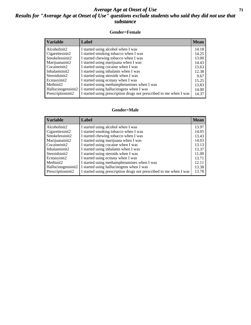#### *Average Age at Onset of Use* **71** *Results for "Average Age at Onset of Use" questions exclude students who said they did not use that substance*

#### **Gender=Female**

| <b>Variable</b>    | <b>Label</b>                                                       | <b>Mean</b> |
|--------------------|--------------------------------------------------------------------|-------------|
| Alcoholinit2       | I started using alcohol when I was                                 | 14.18       |
| Cigarettesinit2    | I started smoking tobacco when I was                               | 14.25       |
| Smokelessinit2     | I started chewing tobacco when I was                               | 13.00       |
| Marijuanainit2     | I started using marijuana when I was                               | 14.43       |
| Cocaineinit2       | I started using cocaine when I was                                 | 13.63       |
| Inhalantsinit2     | I started using inhalants when I was                               | 12.38       |
| Steroidsinit2      | I started using steroids when I was                                | 9.67        |
| Ecstasyinit2       | I started using ecstasy when I was                                 | 15.25       |
| Methinit2          | I started using methamphetamines when I was                        | 13.83       |
| Hallucinogensinit2 | I started using hallucinogens when I was                           | 14.00       |
| Prescription in t2 | I started using prescription drugs not prescribed to me when I was | 14.37       |

#### **Gender=Male**

| <b>Variable</b>    | Label                                                              | <b>Mean</b> |
|--------------------|--------------------------------------------------------------------|-------------|
| Alcoholinit2       | I started using alcohol when I was                                 | 13.97       |
| Cigarettesinit2    | I started smoking tobacco when I was                               | 14.05       |
| Smokelessinit2     | I started chewing tobacco when I was                               | 13.43       |
| Marijuanainit2     | I started using marijuana when I was                               | 14.03       |
| Cocaineinit2       | I started using cocaine when I was                                 | 13.13       |
| Inhalantsinit2     | I started using inhalants when I was                               | 13.37       |
| Steroidsinit2      | I started using steroids when I was                                | 11.00       |
| Ecstasyinit2       | I started using ecstasy when I was                                 | 13.71       |
| Methinit2          | I started using methamphetamines when I was                        | 12.11       |
| Hallucinogensinit2 | I started using hallucinogens when I was                           | 13.38       |
| Prescriptioninit2  | I started using prescription drugs not prescribed to me when I was | 13.78       |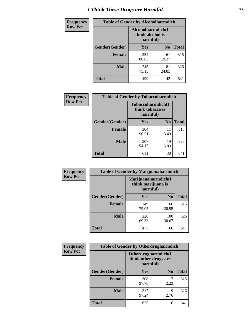# *I Think These Drugs are Harmful* **72**

| <b>Frequency</b> | <b>Table of Gender by Alcoholharmdich</b> |                                                   |                |              |  |
|------------------|-------------------------------------------|---------------------------------------------------|----------------|--------------|--|
| <b>Row Pct</b>   |                                           | Alcoholharmdich(I<br>think alcohol is<br>harmful) |                |              |  |
|                  | Gender(Gender)                            | <b>Yes</b>                                        | N <sub>0</sub> | <b>Total</b> |  |
|                  | <b>Female</b>                             | 254<br>80.63                                      | 61<br>19.37    | 315          |  |
|                  | <b>Male</b>                               | 245<br>75.15                                      | 81<br>24.85    | 326          |  |
|                  | Total                                     | 499                                               | 142            | 641          |  |

| Frequency      | <b>Table of Gender by Tobaccoharmdich</b> |                              |                   |              |
|----------------|-------------------------------------------|------------------------------|-------------------|--------------|
| <b>Row Pct</b> |                                           | think tobacco is<br>harmful) | Tobaccoharmdich(I |              |
|                | Gender(Gender)                            | Yes                          | N <sub>0</sub>    | <b>Total</b> |
|                | <b>Female</b>                             | 304<br>96.51                 | 11<br>3.49        | 315          |
|                | <b>Male</b>                               | 307<br>94.17                 | 19<br>5.83        | 326          |
|                | <b>Total</b>                              | 611                          | 30                | 641          |

| Frequency      | <b>Table of Gender by Marijuanaharmdich</b> |                                                       |                |              |  |
|----------------|---------------------------------------------|-------------------------------------------------------|----------------|--------------|--|
| <b>Row Pct</b> |                                             | Marijuanaharmdich(I<br>think marijuana is<br>harmful) |                |              |  |
|                | Gender(Gender)                              | <b>Yes</b>                                            | N <sub>0</sub> | <b>Total</b> |  |
|                | <b>Female</b>                               | 249<br>79.05                                          | 66<br>20.95    | 315          |  |
|                | <b>Male</b>                                 | 226<br>69.33                                          | 100<br>30.67   | 326          |  |
|                | <b>Total</b>                                | 475                                                   | 166            | 641          |  |

| Frequency      | <b>Table of Gender by Otherdrugharmdich</b> |                                                          |                |              |
|----------------|---------------------------------------------|----------------------------------------------------------|----------------|--------------|
| <b>Row Pct</b> |                                             | Otherdrugharmdich(I<br>think other drugs are<br>harmful) |                |              |
|                | Gender(Gender)                              | <b>Yes</b>                                               | N <sub>0</sub> | <b>Total</b> |
|                | <b>Female</b>                               | 308<br>97.78                                             | 7<br>2.22      | 315          |
|                | <b>Male</b>                                 | 317<br>97.24                                             | 9<br>2.76      | 326          |
|                | <b>Total</b>                                | 625                                                      | 16             | 641          |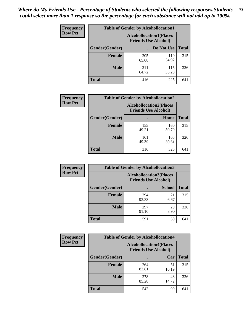| <b>Frequency</b> | <b>Table of Gender by Alcohollocation1</b> |                                                               |              |              |
|------------------|--------------------------------------------|---------------------------------------------------------------|--------------|--------------|
| <b>Row Pct</b>   |                                            | <b>Alcohollocation1(Places</b><br><b>Friends Use Alcohol)</b> |              |              |
|                  | Gender(Gender)                             |                                                               | Do Not Use   | <b>Total</b> |
|                  | <b>Female</b>                              | 205<br>65.08                                                  | 110<br>34.92 | 315          |
|                  | <b>Male</b>                                | 211<br>64.72                                                  | 115<br>35.28 | 326          |
|                  | <b>Total</b>                               | 416                                                           | 225          | 641          |

| <b>Frequency</b> | <b>Table of Gender by Alcohollocation2</b> |              |                                                               |              |
|------------------|--------------------------------------------|--------------|---------------------------------------------------------------|--------------|
| <b>Row Pct</b>   |                                            |              | <b>Alcohollocation2(Places</b><br><b>Friends Use Alcohol)</b> |              |
|                  | Gender(Gender)                             |              | Home                                                          | <b>Total</b> |
|                  | <b>Female</b>                              | 155<br>49.21 | 160<br>50.79                                                  | 315          |
|                  | <b>Male</b>                                | 161<br>49.39 | 165<br>50.61                                                  | 326          |
|                  | <b>Total</b>                               | 316          | 325                                                           | 641          |

| Frequency      | <b>Table of Gender by Alcohollocation3</b> |              |                                                               |              |
|----------------|--------------------------------------------|--------------|---------------------------------------------------------------|--------------|
| <b>Row Pct</b> |                                            |              | <b>Alcohollocation3(Places</b><br><b>Friends Use Alcohol)</b> |              |
|                | Gender(Gender)                             |              | <b>School</b>                                                 | <b>Total</b> |
|                | <b>Female</b>                              | 294<br>93.33 | 21<br>6.67                                                    | 315          |
|                | <b>Male</b>                                | 297<br>91.10 | 29<br>8.90                                                    | 326          |
|                | <b>Total</b>                               | 591          | 50                                                            | 641          |

| Frequency      |                | <b>Table of Gender by Alcohollocation4</b>                    |             |              |  |
|----------------|----------------|---------------------------------------------------------------|-------------|--------------|--|
| <b>Row Pct</b> |                | <b>Alcohollocation4(Places</b><br><b>Friends Use Alcohol)</b> |             |              |  |
|                | Gender(Gender) |                                                               | Car         | <b>Total</b> |  |
|                | <b>Female</b>  | 264<br>83.81                                                  | 51<br>16.19 | 315          |  |
|                | <b>Male</b>    | 278<br>85.28                                                  | 48<br>14.72 | 326          |  |
|                | <b>Total</b>   | 542                                                           | 99          | 641          |  |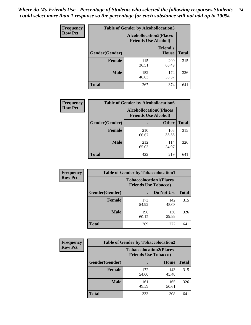| <b>Frequency</b> | <b>Table of Gender by Alcohollocation5</b> |                                                                |                                 |              |
|------------------|--------------------------------------------|----------------------------------------------------------------|---------------------------------|--------------|
| <b>Row Pct</b>   |                                            | <b>Alcohollocation5</b> (Places<br><b>Friends Use Alcohol)</b> |                                 |              |
|                  | Gender(Gender)                             |                                                                | <b>Friend's</b><br><b>House</b> | <b>Total</b> |
|                  | <b>Female</b>                              | 115<br>36.51                                                   | 200<br>63.49                    | 315          |
|                  | <b>Male</b>                                | 152<br>46.63                                                   | 174<br>53.37                    | 326          |
|                  | <b>Total</b>                               | 267                                                            | 374                             | 641          |

| Frequency      | <b>Table of Gender by Alcohollocation6</b> |                                                               |              |              |  |
|----------------|--------------------------------------------|---------------------------------------------------------------|--------------|--------------|--|
| <b>Row Pct</b> |                                            | <b>Alcohollocation6(Places</b><br><b>Friends Use Alcohol)</b> |              |              |  |
|                | Gender(Gender)                             |                                                               | <b>Other</b> | <b>Total</b> |  |
|                | <b>Female</b>                              | 210<br>66.67                                                  | 105<br>33.33 | 315          |  |
|                | <b>Male</b>                                | 212<br>65.03                                                  | 114<br>34.97 | 326          |  |
|                | <b>Total</b>                               | 422                                                           | 219          | 641          |  |

| Frequency      | <b>Table of Gender by Tobaccolocation1</b> |                                                               |              |              |  |
|----------------|--------------------------------------------|---------------------------------------------------------------|--------------|--------------|--|
| <b>Row Pct</b> |                                            | <b>Tobaccolocation1(Places</b><br><b>Friends Use Tobacco)</b> |              |              |  |
|                | Gender(Gender)                             |                                                               | Do Not Use   | <b>Total</b> |  |
|                | <b>Female</b>                              | 173<br>54.92                                                  | 142<br>45.08 | 315          |  |
|                | <b>Male</b>                                | 196<br>60.12                                                  | 130<br>39.88 | 326          |  |
|                | <b>Total</b>                               | 369                                                           | 272          | 641          |  |

| <b>Frequency</b> | <b>Table of Gender by Tobaccolocation2</b> |                                                               |              |              |
|------------------|--------------------------------------------|---------------------------------------------------------------|--------------|--------------|
| <b>Row Pct</b>   |                                            | <b>Tobaccolocation2(Places</b><br><b>Friends Use Tobacco)</b> |              |              |
|                  | Gender(Gender)                             |                                                               | Home         | <b>Total</b> |
|                  | Female                                     | 172<br>54.60                                                  | 143<br>45.40 | 315          |
|                  | <b>Male</b>                                | 161<br>49.39                                                  | 165<br>50.61 | 326          |
|                  | <b>Total</b>                               | 333                                                           | 308          | 641          |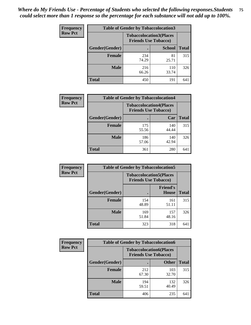| <b>Frequency</b> | <b>Table of Gender by Tobaccolocation3</b> |                                                               |               |              |
|------------------|--------------------------------------------|---------------------------------------------------------------|---------------|--------------|
| <b>Row Pct</b>   |                                            | <b>Tobaccolocation3(Places</b><br><b>Friends Use Tobacco)</b> |               |              |
|                  | Gender(Gender)                             |                                                               | <b>School</b> | <b>Total</b> |
|                  | <b>Female</b>                              | 234<br>74.29                                                  | 81<br>25.71   | 315          |
|                  | <b>Male</b>                                | 216<br>66.26                                                  | 110<br>33.74  | 326          |
|                  | <b>Total</b>                               | 450                                                           | 191           | 641          |

| <b>Frequency</b> | <b>Table of Gender by Tobaccolocation4</b> |                             |                                |              |
|------------------|--------------------------------------------|-----------------------------|--------------------------------|--------------|
| <b>Row Pct</b>   |                                            | <b>Friends Use Tobacco)</b> | <b>Tobaccolocation4(Places</b> |              |
|                  | Gender(Gender)                             |                             | Car                            | <b>Total</b> |
|                  | <b>Female</b>                              | 175<br>55.56                | 140<br>44.44                   | 315          |
|                  | <b>Male</b>                                | 186<br>57.06                | 140<br>42.94                   | 326          |
|                  | <b>Total</b>                               | 361                         | 280                            | 641          |

| <b>Frequency</b> | <b>Table of Gender by Tobaccolocation5</b> |                                                               |                                 |              |
|------------------|--------------------------------------------|---------------------------------------------------------------|---------------------------------|--------------|
| <b>Row Pct</b>   |                                            | <b>Tobaccolocation5(Places</b><br><b>Friends Use Tobacco)</b> |                                 |              |
|                  | Gender(Gender)                             |                                                               | <b>Friend's</b><br><b>House</b> | <b>Total</b> |
|                  | <b>Female</b>                              | 154<br>48.89                                                  | 161<br>51.11                    | 315          |
|                  | <b>Male</b>                                | 169<br>51.84                                                  | 157<br>48.16                    | 326          |
|                  | <b>Total</b>                               | 323                                                           | 318                             | 641          |

| <b>Frequency</b> | <b>Table of Gender by Tobaccolocation6</b> |                                                               |              |              |
|------------------|--------------------------------------------|---------------------------------------------------------------|--------------|--------------|
| <b>Row Pct</b>   |                                            | <b>Tobaccolocation6(Places</b><br><b>Friends Use Tobacco)</b> |              |              |
|                  | Gender(Gender)                             |                                                               | <b>Other</b> | <b>Total</b> |
|                  | Female                                     | 212<br>67.30                                                  | 103<br>32.70 | 315          |
|                  | <b>Male</b>                                | 194<br>59.51                                                  | 132<br>40.49 | 326          |
|                  | <b>Total</b>                               | 406                                                           | 235          | 641          |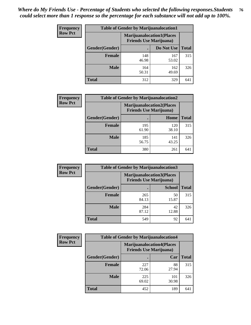| <b>Frequency</b> | <b>Table of Gender by Marijuanalocation1</b> |                                                                    |              |              |
|------------------|----------------------------------------------|--------------------------------------------------------------------|--------------|--------------|
| <b>Row Pct</b>   |                                              | <b>Marijuanalocation1(Places</b><br><b>Friends Use Marijuana</b> ) |              |              |
|                  | Gender(Gender)                               |                                                                    | Do Not Use   | <b>Total</b> |
|                  | <b>Female</b>                                | 148<br>46.98                                                       | 167<br>53.02 | 315          |
|                  | <b>Male</b>                                  | 164<br>50.31                                                       | 162<br>49.69 | 326          |
|                  | <b>Total</b>                                 | 312                                                                | 329          | 641          |

| <b>Frequency</b> | <b>Table of Gender by Marijuanalocation2</b> |                                                                    |              |              |
|------------------|----------------------------------------------|--------------------------------------------------------------------|--------------|--------------|
| <b>Row Pct</b>   |                                              | <b>Marijuanalocation2(Places</b><br><b>Friends Use Marijuana</b> ) |              |              |
|                  | Gender(Gender)                               |                                                                    | Home         | <b>Total</b> |
|                  | <b>Female</b>                                | 195<br>61.90                                                       | 120<br>38.10 | 315          |
|                  | <b>Male</b>                                  | 185<br>56.75                                                       | 141<br>43.25 | 326          |
|                  | Total                                        | 380                                                                | 261          | 641          |

| Frequency      |                | <b>Table of Gender by Marijuanalocation3</b> |                                                                    |              |
|----------------|----------------|----------------------------------------------|--------------------------------------------------------------------|--------------|
| <b>Row Pct</b> |                |                                              | <b>Marijuanalocation3(Places</b><br><b>Friends Use Marijuana</b> ) |              |
|                | Gender(Gender) |                                              | <b>School</b>                                                      | <b>Total</b> |
|                | Female         | 265<br>84.13                                 | 50<br>15.87                                                        | 315          |
|                | <b>Male</b>    | 284<br>87.12                                 | 42<br>12.88                                                        | 326          |
|                | <b>Total</b>   | 549                                          | 92                                                                 | 641          |

| <b>Frequency</b> | <b>Table of Gender by Marijuanalocation4</b> |                                                                    |              |              |  |
|------------------|----------------------------------------------|--------------------------------------------------------------------|--------------|--------------|--|
| <b>Row Pct</b>   |                                              | <b>Marijuanalocation4(Places</b><br><b>Friends Use Marijuana</b> ) |              |              |  |
|                  | Gender(Gender)                               |                                                                    | Car          | <b>Total</b> |  |
|                  | Female                                       | 227<br>72.06                                                       | 88<br>27.94  | 315          |  |
|                  | <b>Male</b>                                  | 225<br>69.02                                                       | 101<br>30.98 | 326          |  |
|                  | <b>Total</b>                                 | 452                                                                | 189          | 641          |  |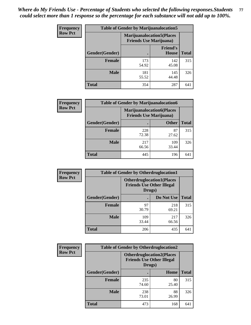| <b>Frequency</b> | <b>Table of Gender by Marijuanalocation5</b> |                                                                    |                          |              |
|------------------|----------------------------------------------|--------------------------------------------------------------------|--------------------------|--------------|
| <b>Row Pct</b>   |                                              | <b>Marijuanalocation5(Places</b><br><b>Friends Use Marijuana</b> ) |                          |              |
|                  | <b>Gender</b> (Gender)                       |                                                                    | <b>Friend's</b><br>House | <b>Total</b> |
|                  | <b>Female</b>                                | 173<br>54.92                                                       | 142<br>45.08             | 315          |
|                  | <b>Male</b>                                  | 181<br>55.52                                                       | 145<br>44.48             | 326          |
|                  | <b>Total</b>                                 | 354                                                                | 287                      | 641          |

| <b>Frequency</b> | <b>Table of Gender by Marijuanalocation6</b> |                                |                                  |              |
|------------------|----------------------------------------------|--------------------------------|----------------------------------|--------------|
| <b>Row Pct</b>   |                                              | <b>Friends Use Marijuana</b> ) | <b>Marijuanalocation6(Places</b> |              |
|                  | <b>Gender</b> (Gender)                       |                                | <b>Other</b>                     | <b>Total</b> |
|                  | Female                                       | 228<br>72.38                   | 87<br>27.62                      | 315          |
|                  | <b>Male</b>                                  | 217<br>66.56                   | 109<br>33.44                     | 326          |
|                  | Total                                        | 445                            | 196                              | 641          |

| <b>Frequency</b> | <b>Table of Gender by Otherdruglocation1</b> |                                                                                |              |              |
|------------------|----------------------------------------------|--------------------------------------------------------------------------------|--------------|--------------|
| <b>Row Pct</b>   |                                              | <b>Otherdruglocation1(Places</b><br><b>Friends Use Other Illegal</b><br>Drugs) |              |              |
|                  | Gender(Gender)                               |                                                                                | Do Not Use   | <b>Total</b> |
|                  | <b>Female</b>                                | 97<br>30.79                                                                    | 218<br>69.21 | 315          |
|                  | <b>Male</b>                                  | 109<br>33.44                                                                   | 217<br>66.56 | 326          |
|                  | <b>Total</b>                                 | 206                                                                            | 435          | 641          |

| <b>Frequency</b> | <b>Table of Gender by Otherdruglocation2</b> |                                            |                                   |              |
|------------------|----------------------------------------------|--------------------------------------------|-----------------------------------|--------------|
| <b>Row Pct</b>   |                                              | <b>Friends Use Other Illegal</b><br>Drugs) | <b>Otherdruglocation2(Places)</b> |              |
|                  | Gender(Gender)                               |                                            | Home                              | <b>Total</b> |
|                  | Female                                       | 235<br>74.60                               | 80<br>25.40                       | 315          |
|                  | <b>Male</b>                                  | 238<br>73.01                               | 88<br>26.99                       | 326          |
|                  | <b>Total</b>                                 | 473                                        | 168                               | 641          |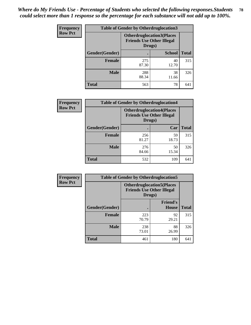| Frequency      | <b>Table of Gender by Otherdruglocation3</b> |              |                                                                                |              |
|----------------|----------------------------------------------|--------------|--------------------------------------------------------------------------------|--------------|
| <b>Row Pct</b> |                                              |              | <b>Otherdruglocation3(Places</b><br><b>Friends Use Other Illegal</b><br>Drugs) |              |
|                | Gender(Gender)                               |              | <b>School</b>                                                                  | <b>Total</b> |
|                | Female                                       | 275<br>87.30 | 40<br>12.70                                                                    | 315          |
|                | <b>Male</b>                                  | 288<br>88.34 | 38<br>11.66                                                                    | 326          |
|                | <b>Total</b>                                 | 563          | 78                                                                             | 641          |

| Frequency      | <b>Table of Gender by Otherdruglocation4</b> |                                                                                |             |              |
|----------------|----------------------------------------------|--------------------------------------------------------------------------------|-------------|--------------|
| <b>Row Pct</b> |                                              | <b>Otherdruglocation4(Places</b><br><b>Friends Use Other Illegal</b><br>Drugs) |             |              |
|                | Gender(Gender)                               |                                                                                | Car         | <b>Total</b> |
|                | <b>Female</b>                                | 256<br>81.27                                                                   | 59<br>18.73 | 315          |
|                | <b>Male</b>                                  | 276<br>84.66                                                                   | 50<br>15.34 | 326          |
|                | <b>Total</b>                                 | 532                                                                            | 109         | 641          |

| Frequency      | <b>Table of Gender by Otherdruglocation5</b> |                                            |                                  |              |
|----------------|----------------------------------------------|--------------------------------------------|----------------------------------|--------------|
| <b>Row Pct</b> |                                              | <b>Friends Use Other Illegal</b><br>Drugs) | <b>Otherdruglocation5(Places</b> |              |
|                | Gender(Gender)                               |                                            | <b>Friend's</b><br><b>House</b>  | <b>Total</b> |
|                | <b>Female</b>                                | 223<br>70.79                               | 92<br>29.21                      | 315          |
|                | <b>Male</b>                                  | 238<br>73.01                               | 88<br>26.99                      | 326          |
|                | <b>Total</b>                                 | 461                                        | 180                              | 641          |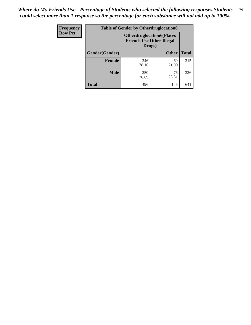| Frequency      | <b>Table of Gender by Otherdruglocation6</b> |                                                                                |              |              |
|----------------|----------------------------------------------|--------------------------------------------------------------------------------|--------------|--------------|
| <b>Row Pct</b> |                                              | <b>Otherdruglocation6(Places</b><br><b>Friends Use Other Illegal</b><br>Drugs) |              |              |
|                | Gender(Gender)                               |                                                                                | <b>Other</b> | <b>Total</b> |
|                | <b>Female</b>                                | 246<br>78.10                                                                   | 69<br>21.90  | 315          |
|                | <b>Male</b>                                  | 250<br>76.69                                                                   | 76<br>23.31  | 326          |
|                | <b>Total</b>                                 | 496                                                                            | 145          | 641          |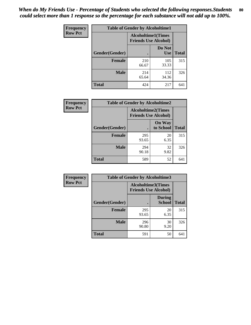| <b>Frequency</b> | <b>Table of Gender by Alcoholtime1</b> |                                                          |                      |              |
|------------------|----------------------------------------|----------------------------------------------------------|----------------------|--------------|
| <b>Row Pct</b>   |                                        | <b>Alcoholtime1(Times</b><br><b>Friends Use Alcohol)</b> |                      |              |
|                  | Gender(Gender)                         |                                                          | Do Not<br><b>Use</b> | <b>Total</b> |
|                  | <b>Female</b>                          | 210<br>66.67                                             | 105<br>33.33         | 315          |
|                  | <b>Male</b>                            | 214<br>65.64                                             | 112<br>34.36         | 326          |
|                  | <b>Total</b>                           | 424                                                      | 217                  | 641          |

| <b>Frequency</b> | <b>Table of Gender by Alcoholtime2</b> |                                                          |                            |              |
|------------------|----------------------------------------|----------------------------------------------------------|----------------------------|--------------|
| <b>Row Pct</b>   |                                        | <b>Alcoholtime2(Times</b><br><b>Friends Use Alcohol)</b> |                            |              |
|                  | Gender(Gender)                         |                                                          | <b>On Way</b><br>to School | <b>Total</b> |
|                  | <b>Female</b>                          | 295<br>93.65                                             | 20<br>6.35                 | 315          |
|                  | <b>Male</b>                            | 294<br>90.18                                             | 32<br>9.82                 | 326          |
|                  | Total                                  | 589                                                      | 52                         | 641          |

| Frequency      | <b>Table of Gender by Alcoholtime3</b> |                                                   |                                |              |
|----------------|----------------------------------------|---------------------------------------------------|--------------------------------|--------------|
| <b>Row Pct</b> |                                        | Alcoholtime3(Times<br><b>Friends Use Alcohol)</b> |                                |              |
|                | Gender(Gender)                         |                                                   | <b>During</b><br><b>School</b> | <b>Total</b> |
|                | Female                                 | 295<br>93.65                                      | 20<br>6.35                     | 315          |
|                | <b>Male</b>                            | 296<br>90.80                                      | 30<br>9.20                     | 326          |
|                | <b>Total</b>                           | 591                                               | 50                             | 641          |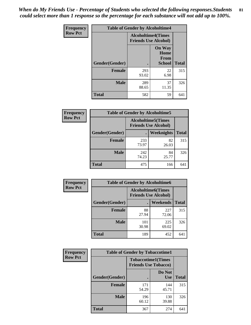*When do My Friends Use - Percentage of Students who selected the following responses.Students could select more than 1 response so the percentage for each substance will not add up to 100%.* **81**

| <b>Frequency</b> | <b>Table of Gender by Alcoholtime4</b> |                                                          |                                                |              |
|------------------|----------------------------------------|----------------------------------------------------------|------------------------------------------------|--------------|
| <b>Row Pct</b>   |                                        | <b>Alcoholtime4(Times</b><br><b>Friends Use Alcohol)</b> |                                                |              |
|                  | Gender(Gender)                         |                                                          | <b>On Way</b><br>Home<br>From<br><b>School</b> | <b>Total</b> |
|                  | <b>Female</b>                          | 293<br>93.02                                             | 22<br>6.98                                     | 315          |
|                  | <b>Male</b>                            | 289<br>88.65                                             | 37<br>11.35                                    | 326          |
|                  | <b>Total</b>                           | 582                                                      | 59                                             | 641          |

| <b>Frequency</b> | <b>Table of Gender by Alcoholtime5</b> |                                                           |             |              |
|------------------|----------------------------------------|-----------------------------------------------------------|-------------|--------------|
| <b>Row Pct</b>   |                                        | <b>Alcoholtime5</b> (Times<br><b>Friends Use Alcohol)</b> |             |              |
|                  | Gender(Gender)                         |                                                           | Weeknights  | <b>Total</b> |
|                  | <b>Female</b>                          | 233<br>73.97                                              | 82<br>26.03 | 315          |
|                  | <b>Male</b>                            | 242<br>74.23                                              | 84<br>25.77 | 326          |
|                  | <b>Total</b>                           | 475                                                       | 166         | 641          |

| <b>Frequency</b> | <b>Table of Gender by Alcoholtime6</b> |              |                                                          |              |  |
|------------------|----------------------------------------|--------------|----------------------------------------------------------|--------------|--|
| <b>Row Pct</b>   |                                        |              | <b>Alcoholtime6(Times</b><br><b>Friends Use Alcohol)</b> |              |  |
|                  | Gender(Gender)                         |              | <b>Weekends</b>                                          | <b>Total</b> |  |
|                  | <b>Female</b>                          | 88<br>27.94  | 227<br>72.06                                             | 315          |  |
|                  | <b>Male</b>                            | 101<br>30.98 | 225<br>69.02                                             | 326          |  |
|                  | Total                                  | 189          | 452                                                      | 641          |  |

| <b>Frequency</b> | <b>Table of Gender by Tobaccotime1</b> |                                                          |                      |              |
|------------------|----------------------------------------|----------------------------------------------------------|----------------------|--------------|
| <b>Row Pct</b>   |                                        | <b>Tobaccotime1(Times</b><br><b>Friends Use Tobacco)</b> |                      |              |
|                  | Gender(Gender)                         |                                                          | Do Not<br><b>Use</b> | <b>Total</b> |
|                  | <b>Female</b>                          | 171<br>54.29                                             | 144<br>45.71         | 315          |
|                  | <b>Male</b>                            | 196<br>60.12                                             | 130<br>39.88         | 326          |
|                  | <b>Total</b>                           | 367                                                      | 274                  | 641          |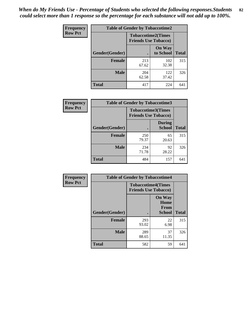*When do My Friends Use - Percentage of Students who selected the following responses.Students could select more than 1 response so the percentage for each substance will not add up to 100%.* **82**

| Frequency      | <b>Table of Gender by Tobaccotime2</b> |                                                          |                            |              |
|----------------|----------------------------------------|----------------------------------------------------------|----------------------------|--------------|
| <b>Row Pct</b> |                                        | <b>Tobaccotime2(Times</b><br><b>Friends Use Tobacco)</b> |                            |              |
|                | Gender(Gender)                         | $\bullet$                                                | <b>On Way</b><br>to School | <b>Total</b> |
|                | <b>Female</b>                          | 213<br>67.62                                             | 102<br>32.38               | 315          |
|                | <b>Male</b>                            | 204<br>62.58                                             | 122<br>37.42               | 326          |
|                | <b>Total</b>                           | 417                                                      | 224                        | 641          |

| Frequency      | <b>Table of Gender by Tobaccotime3</b> |                                                          |                                |              |
|----------------|----------------------------------------|----------------------------------------------------------|--------------------------------|--------------|
| <b>Row Pct</b> |                                        | <b>Tobaccotime3(Times</b><br><b>Friends Use Tobacco)</b> |                                |              |
|                | Gender(Gender)                         |                                                          | <b>During</b><br><b>School</b> | <b>Total</b> |
|                | Female                                 | 250<br>79.37                                             | 65<br>20.63                    | 315          |
|                | <b>Male</b>                            | 234<br>71.78                                             | 92<br>28.22                    | 326          |
|                | <b>Total</b>                           | 484                                                      | 157                            | 641          |

| Frequency      | <b>Table of Gender by Tobaccotime4</b> |                                                          |                                                       |              |
|----------------|----------------------------------------|----------------------------------------------------------|-------------------------------------------------------|--------------|
| <b>Row Pct</b> |                                        | <b>Tobaccotime4(Times</b><br><b>Friends Use Tobacco)</b> |                                                       |              |
|                | Gender(Gender)                         |                                                          | <b>On Way</b><br>Home<br><b>From</b><br><b>School</b> | <b>Total</b> |
|                | <b>Female</b>                          | 293<br>93.02                                             | 22<br>6.98                                            | 315          |
|                | <b>Male</b>                            | 289<br>88.65                                             | 37<br>11.35                                           | 326          |
|                | <b>Total</b>                           | 582                                                      | 59                                                    | 641          |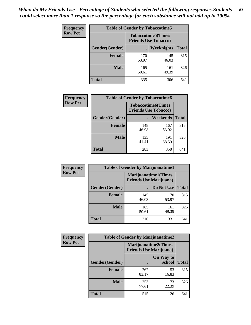| <b>Frequency</b> | <b>Table of Gender by Tobaccotime5</b> |                                                          |              |              |  |
|------------------|----------------------------------------|----------------------------------------------------------|--------------|--------------|--|
| <b>Row Pct</b>   |                                        | <b>Tobaccotime5(Times</b><br><b>Friends Use Tobacco)</b> |              |              |  |
|                  | Gender(Gender)                         |                                                          | Weeknights   | <b>Total</b> |  |
|                  | Female                                 | 170<br>53.97                                             | 145<br>46.03 | 315          |  |
|                  | <b>Male</b>                            | 165<br>50.61                                             | 161<br>49.39 | 326          |  |
|                  | <b>Total</b>                           | 335                                                      | 306          | 641          |  |

| Frequency      | <b>Table of Gender by Tobaccotime6</b> |                                                          |              |              |
|----------------|----------------------------------------|----------------------------------------------------------|--------------|--------------|
| <b>Row Pct</b> |                                        | <b>Tobaccotime6(Times</b><br><b>Friends Use Tobacco)</b> |              |              |
|                | Gender(Gender)                         |                                                          | Weekends     | <b>Total</b> |
|                | Female                                 | 148<br>46.98                                             | 167<br>53.02 | 315          |
|                | <b>Male</b>                            | 135<br>41.41                                             | 191<br>58.59 | 326          |
|                | <b>Total</b>                           | 283                                                      | 358          | 641          |

| <b>Frequency</b> | <b>Table of Gender by Marijuanatime1</b> |                                |                             |              |
|------------------|------------------------------------------|--------------------------------|-----------------------------|--------------|
| <b>Row Pct</b>   |                                          | <b>Friends Use Marijuana</b> ) | <b>Marijuanatime1(Times</b> |              |
|                  | Gender(Gender)                           |                                | Do Not Use                  | <b>Total</b> |
|                  | <b>Female</b>                            | 145<br>46.03                   | 170<br>53.97                | 315          |
|                  | <b>Male</b>                              | 165<br>50.61                   | 161<br>49.39                | 326          |
|                  | <b>Total</b>                             | 310                            | 331                         | 641          |

| <b>Frequency</b> | <b>Table of Gender by Marijuanatime2</b> |                                |                             |              |
|------------------|------------------------------------------|--------------------------------|-----------------------------|--------------|
| <b>Row Pct</b>   |                                          | <b>Friends Use Marijuana</b> ) | <b>Marijuanatime2(Times</b> |              |
|                  | Gender(Gender)                           |                                | On Way to<br><b>School</b>  | <b>Total</b> |
|                  | Female                                   | 262<br>83.17                   | 53<br>16.83                 | 315          |
|                  | <b>Male</b>                              | 253<br>77.61                   | 73<br>22.39                 | 326          |
|                  | <b>Total</b>                             | 515                            | 126                         | 641          |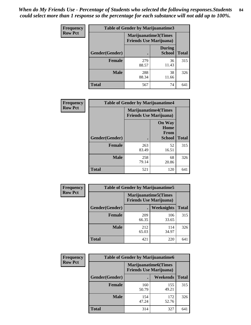| Frequency      | Table of Gender by Marijuanatime3 |                                                        |                                |              |
|----------------|-----------------------------------|--------------------------------------------------------|--------------------------------|--------------|
| <b>Row Pct</b> |                                   | Marijuanatime3(Times<br><b>Friends Use Marijuana</b> ) |                                |              |
|                | Gender(Gender)                    |                                                        | <b>During</b><br><b>School</b> | <b>Total</b> |
|                | <b>Female</b>                     | 279<br>88.57                                           | 36<br>11.43                    | 315          |
|                | <b>Male</b>                       | 288<br>88.34                                           | 38<br>11.66                    | 326          |
|                | <b>Total</b>                      | 567                                                    | 74                             | 641          |

| Frequency      | <b>Table of Gender by Marijuanatime4</b> |                                |                                                       |              |
|----------------|------------------------------------------|--------------------------------|-------------------------------------------------------|--------------|
| <b>Row Pct</b> |                                          | <b>Friends Use Marijuana</b> ) | <b>Marijuanatime4</b> (Times                          |              |
|                | Gender(Gender)                           |                                | <b>On Way</b><br>Home<br><b>From</b><br><b>School</b> | <b>Total</b> |
|                | <b>Female</b>                            | 263<br>83.49                   | 52<br>16.51                                           | 315          |
|                | <b>Male</b>                              | 258<br>79.14                   | 68<br>20.86                                           | 326          |
|                | <b>Total</b>                             | 521                            | 120                                                   | 641          |

| <b>Frequency</b> | <b>Table of Gender by Marijuanatime5</b> |              |                                                                |              |  |
|------------------|------------------------------------------|--------------|----------------------------------------------------------------|--------------|--|
| <b>Row Pct</b>   |                                          |              | <b>Marijuanatime5</b> (Times<br><b>Friends Use Marijuana</b> ) |              |  |
|                  | Gender(Gender)                           | ٠            | Weeknights                                                     | <b>Total</b> |  |
|                  | <b>Female</b>                            | 209<br>66.35 | 106<br>33.65                                                   | 315          |  |
|                  | <b>Male</b>                              | 212<br>65.03 | 114<br>34.97                                                   | 326          |  |
|                  | <b>Total</b>                             | 421          | 220                                                            | 641          |  |

| Frequency      | <b>Table of Gender by Marijuanatime6</b> |                                                               |                 |              |  |
|----------------|------------------------------------------|---------------------------------------------------------------|-----------------|--------------|--|
| <b>Row Pct</b> |                                          | <b>Marijuanatime6(Times</b><br><b>Friends Use Marijuana</b> ) |                 |              |  |
|                | Gender(Gender)                           |                                                               | <b>Weekends</b> | <b>Total</b> |  |
|                | <b>Female</b>                            | 160<br>50.79                                                  | 155<br>49.21    | 315          |  |
|                | <b>Male</b>                              | 154<br>47.24                                                  | 172<br>52.76    | 326          |  |
|                | <b>Total</b>                             | 314                                                           | 327             | 641          |  |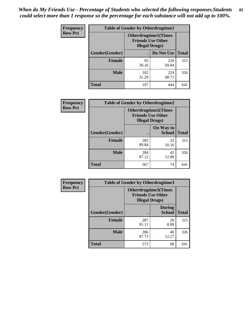*When do My Friends Use - Percentage of Students who selected the following responses.Students could select more than 1 response so the percentage for each substance will not add up to 100%.* **85**

| <b>Frequency</b> | <b>Table of Gender by Otherdrugtime1</b> |                                                                                    |              |              |
|------------------|------------------------------------------|------------------------------------------------------------------------------------|--------------|--------------|
| <b>Row Pct</b>   |                                          | <b>Otherdrugtime1</b> (Times<br><b>Friends Use Other</b><br><b>Illegal Drugs</b> ) |              |              |
|                  | Gender(Gender)                           |                                                                                    | Do Not Use   | <b>Total</b> |
|                  | Female                                   | 95<br>30.16                                                                        | 220<br>69.84 | 315          |
|                  | <b>Male</b>                              | 102<br>31.29                                                                       | 224<br>68.71 | 326          |
|                  | <b>Total</b>                             | 197                                                                                | 444          | 641          |

| <b>Frequency</b> | <b>Table of Gender by Otherdrugtime2</b> |                                                                                   |                            |              |
|------------------|------------------------------------------|-----------------------------------------------------------------------------------|----------------------------|--------------|
| <b>Row Pct</b>   |                                          | <b>Otherdrugtime2(Times</b><br><b>Friends Use Other</b><br><b>Illegal Drugs</b> ) |                            |              |
|                  | Gender(Gender)                           |                                                                                   | On Way to<br><b>School</b> | <b>Total</b> |
|                  | <b>Female</b>                            | 283<br>89.84                                                                      | 32<br>10.16                | 315          |
|                  | <b>Male</b>                              | 284<br>87.12                                                                      | 42<br>12.88                | 326          |
|                  | <b>Total</b>                             | 567                                                                               | 74                         | 641          |

| Frequency      | <b>Table of Gender by Otherdrugtime3</b> |                        |                                                  |              |
|----------------|------------------------------------------|------------------------|--------------------------------------------------|--------------|
| <b>Row Pct</b> |                                          | <b>Illegal Drugs</b> ) | Otherdrugtime3(Times<br><b>Friends Use Other</b> |              |
|                | Gender(Gender)                           |                        | <b>During</b><br><b>School</b>                   | <b>Total</b> |
|                | <b>Female</b>                            | 287<br>91.11           | 28<br>8.89                                       | 315          |
|                | <b>Male</b>                              | 286<br>87.73           | 40<br>12.27                                      | 326          |
|                | <b>Total</b>                             | 573                    | 68                                               | 641          |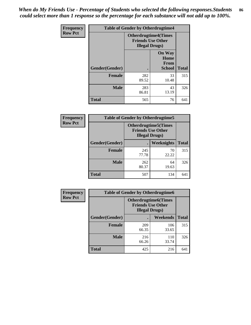*When do My Friends Use - Percentage of Students who selected the following responses.Students could select more than 1 response so the percentage for each substance will not add up to 100%.* **86**

| <b>Frequency</b> | <b>Table of Gender by Otherdrugtime4</b> |                                                    |                                                       |              |
|------------------|------------------------------------------|----------------------------------------------------|-------------------------------------------------------|--------------|
| <b>Row Pct</b>   |                                          | <b>Friends Use Other</b><br><b>Illegal Drugs</b> ) | <b>Otherdrugtime4(Times</b>                           |              |
|                  | Gender(Gender)                           |                                                    | <b>On Way</b><br>Home<br><b>From</b><br><b>School</b> | <b>Total</b> |
|                  | Female                                   | 282<br>89.52                                       | 33<br>10.48                                           | 315          |
|                  | <b>Male</b>                              | 283<br>86.81                                       | 43<br>13.19                                           | 326          |
|                  | <b>Total</b>                             | 565                                                | 76                                                    | 641          |

| Frequency      | <b>Table of Gender by Otherdrugtime5</b> |                                                                                    |             |              |
|----------------|------------------------------------------|------------------------------------------------------------------------------------|-------------|--------------|
| <b>Row Pct</b> |                                          | <b>Otherdrugtime5</b> (Times<br><b>Friends Use Other</b><br><b>Illegal Drugs</b> ) |             |              |
|                | Gender(Gender)                           |                                                                                    | Weeknights  | <b>Total</b> |
|                | <b>Female</b>                            | 245<br>77.78                                                                       | 70<br>22.22 | 315          |
|                | <b>Male</b>                              | 262<br>80.37                                                                       | 64<br>19.63 | 326          |
|                | <b>Total</b>                             | 507                                                                                | 134         | 641          |

| <b>Frequency</b> | <b>Table of Gender by Otherdrugtime6</b> |                                                                                   |              |              |
|------------------|------------------------------------------|-----------------------------------------------------------------------------------|--------------|--------------|
| <b>Row Pct</b>   |                                          | <b>Otherdrugtime6(Times</b><br><b>Friends Use Other</b><br><b>Illegal Drugs</b> ) |              |              |
|                  | Gender(Gender)                           |                                                                                   | Weekends     | <b>Total</b> |
|                  | <b>Female</b>                            | 209<br>66.35                                                                      | 106<br>33.65 | 315          |
|                  | <b>Male</b>                              | 216<br>66.26                                                                      | 110<br>33.74 | 326          |
|                  | <b>Total</b>                             | 425                                                                               | 216          | 641          |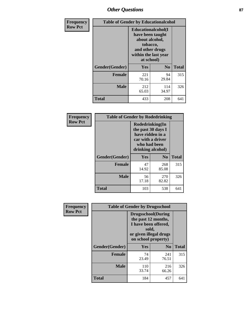# *Other Questions* **87**

| <b>Frequency</b> | <b>Table of Gender by Educationalcohol</b> |                                                                                                                                       |                |              |  |
|------------------|--------------------------------------------|---------------------------------------------------------------------------------------------------------------------------------------|----------------|--------------|--|
| <b>Row Pct</b>   |                                            | <b>Educationalcohol</b> (I<br>have been taught<br>about alcohol,<br>tobacco,<br>and other drugs<br>within the last year<br>at school) |                |              |  |
|                  | Gender(Gender)                             | <b>Yes</b>                                                                                                                            | N <sub>0</sub> | <b>Total</b> |  |
|                  | <b>Female</b>                              | 221<br>70.16                                                                                                                          | 94<br>29.84    | 315          |  |
|                  | <b>Male</b>                                | 212<br>65.03                                                                                                                          | 114<br>34.97   | 326          |  |
|                  | <b>Total</b>                               | 433                                                                                                                                   | 208            | 641          |  |

| Frequency      | <b>Table of Gender by Rodedrinking</b> |                                                                                                                     |                |              |  |
|----------------|----------------------------------------|---------------------------------------------------------------------------------------------------------------------|----------------|--------------|--|
| <b>Row Pct</b> |                                        | Rodedrinking(In<br>the past 30 days I<br>have ridden in a<br>car with a driver<br>who had been<br>drinking alcohol) |                |              |  |
|                | Gender(Gender)                         | Yes                                                                                                                 | N <sub>0</sub> | <b>Total</b> |  |
|                | <b>Female</b>                          | 47<br>14.92                                                                                                         | 268<br>85.08   | 315          |  |
|                | <b>Male</b>                            | 56<br>17.18                                                                                                         | 270<br>82.82   | 326          |  |
|                | <b>Total</b>                           | 103                                                                                                                 | 538            | 641          |  |

| Frequency      | <b>Table of Gender by Drugsschool</b> |                                                                                                                                     |                |              |  |
|----------------|---------------------------------------|-------------------------------------------------------------------------------------------------------------------------------------|----------------|--------------|--|
| <b>Row Pct</b> |                                       | <b>Drugsschool</b> (During<br>the past 12 months,<br>I have been offered,<br>sold,<br>or given illegal drugs<br>on school property) |                |              |  |
|                | Gender(Gender)                        | Yes                                                                                                                                 | N <sub>0</sub> | <b>Total</b> |  |
|                | <b>Female</b>                         | 74<br>23.49                                                                                                                         | 241<br>76.51   | 315          |  |
|                | <b>Male</b>                           | 110<br>33.74                                                                                                                        | 216<br>66.26   | 326          |  |
|                | <b>Total</b>                          | 184                                                                                                                                 | 457            | 641          |  |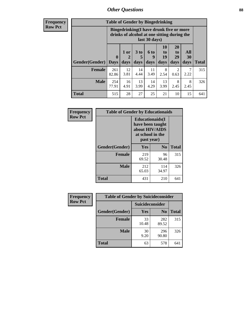# *Other Questions* **88**

**Frequency Row Pct**

| <b>Table of Gender by Bingedrinking</b> |                         |                                                                                                         |                   |                   |                        |                               |                   |              |
|-----------------------------------------|-------------------------|---------------------------------------------------------------------------------------------------------|-------------------|-------------------|------------------------|-------------------------------|-------------------|--------------|
|                                         |                         | Bingedrinking(I have drunk five or more<br>drinks of alcohol at one sitting during the<br>last 30 days) |                   |                   |                        |                               |                   |              |
| <b>Gender</b> (Gender)                  | $\bf{0}$<br><b>Days</b> | $1$ or<br>days                                                                                          | 3 to<br>5<br>days | 6 to<br>9<br>days | 10<br>to<br>19<br>days | <b>20</b><br>to<br>29<br>days | All<br>30<br>days | <b>Total</b> |
| <b>Female</b>                           | 261<br>82.86            | 12<br>3.81                                                                                              | 14<br>4.44        | 11<br>3.49        | 8<br>2.54              | 2<br>0.63                     | 2.22              | 315          |
| <b>Male</b>                             | 254                     | 16                                                                                                      | 13                | 14                | 13                     | 8                             | 8                 | 326          |
|                                         | 77.91                   | 4.91                                                                                                    | 3.99              | 4.29              | 3.99                   | 2.45                          | 2.45              |              |

| Frequency      | <b>Table of Gender by Educationaids</b> |                                                                                                 |                |              |  |
|----------------|-----------------------------------------|-------------------------------------------------------------------------------------------------|----------------|--------------|--|
| <b>Row Pct</b> |                                         | <b>Educationaids</b> (I<br>have been taught<br>about HIV/AIDS<br>at school in the<br>past year) |                |              |  |
|                | Gender(Gender)                          | Yes                                                                                             | N <sub>0</sub> | <b>Total</b> |  |
|                | <b>Female</b>                           | 219<br>69.52                                                                                    | 96<br>30.48    | 315          |  |
|                | <b>Male</b>                             | 212<br>65.03                                                                                    | 114<br>34.97   | 326          |  |
|                | <b>Total</b>                            | 431                                                                                             | 210            | 641          |  |

| Frequency      | <b>Table of Gender by Suicideconsider</b> |                 |                |              |  |
|----------------|-------------------------------------------|-----------------|----------------|--------------|--|
| <b>Row Pct</b> |                                           | Suicideconsider |                |              |  |
|                | Gender(Gender)                            | Yes             | N <sub>0</sub> | <b>Total</b> |  |
|                | <b>Female</b>                             | 33<br>10.48     | 282<br>89.52   | 315          |  |
|                | <b>Male</b>                               | 30<br>9.20      | 296<br>90.80   | 326          |  |
|                | Total                                     | 63              | 578            | 641          |  |